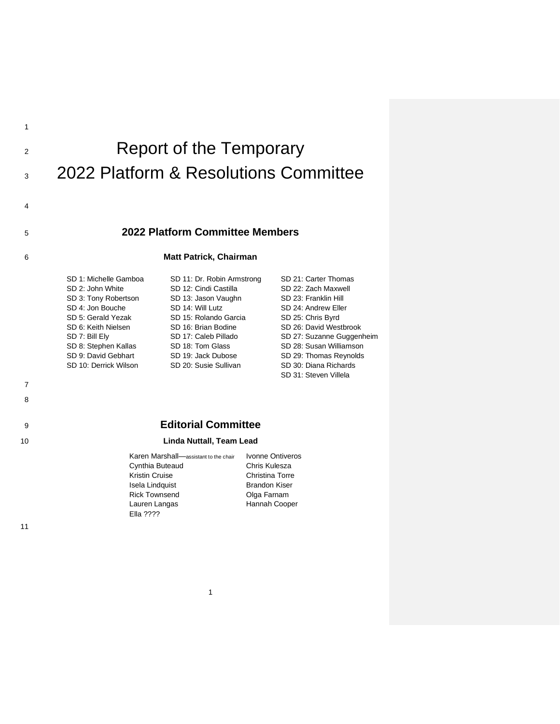# 2 Report of the Temporary <sup>3</sup> 2022 Platform & Resolutions Committee

### <sup>5</sup> **2022 Platform Committee Members**

### 6 **Matt Patrick, Chairman**

| SD 1: Michelle Gamboa | SD 11: Dr. Robin Armstrong | SD 21: Carter Thomas      |
|-----------------------|----------------------------|---------------------------|
| SD 2: John White      | SD 12: Cindi Castilla      | SD 22: Zach Maxwell       |
| SD 3: Tony Robertson  | SD 13: Jason Vaughn        | SD 23: Franklin Hill      |
| SD 4: Jon Bouche      | SD 14: Will Lutz           | SD 24: Andrew Eller       |
| SD 5: Gerald Yezak    | SD 15: Rolando Garcia      | SD 25: Chris Byrd         |
| SD 6: Keith Nielsen   | SD 16: Brian Bodine        | SD 26: David Westbrook    |
| SD 7: Bill Ely        | SD 17: Caleb Pillado       | SD 27: Suzanne Guggenheim |
| SD 8: Stephen Kallas  | SD 18: Tom Glass           | SD 28: Susan Williamson   |
| SD 9: David Gebhart   | SD 19: Jack Dubose         | SD 29: Thomas Reynolds    |
| SD 10: Derrick Wilson | SD 20: Susie Sullivan      | SD 30: Diana Richards     |
|                       |                            | SD 31: Steven Villela     |

7

1

4

- 8
- 

### <sup>9</sup> **Editorial Committee**

#### 10 **Linda Nuttall, Team Lead**

1

Karen Marshall—assistant to the chair Ivonne Ontiveros Cynthia Buteaud Chris Kulesza Kristin Cruise **Christina Torre** Isela Lindquist **Brandon Kiser** Rick Townsend **Olga Farnam** Lauren Langas Hannah Cooper Ella ????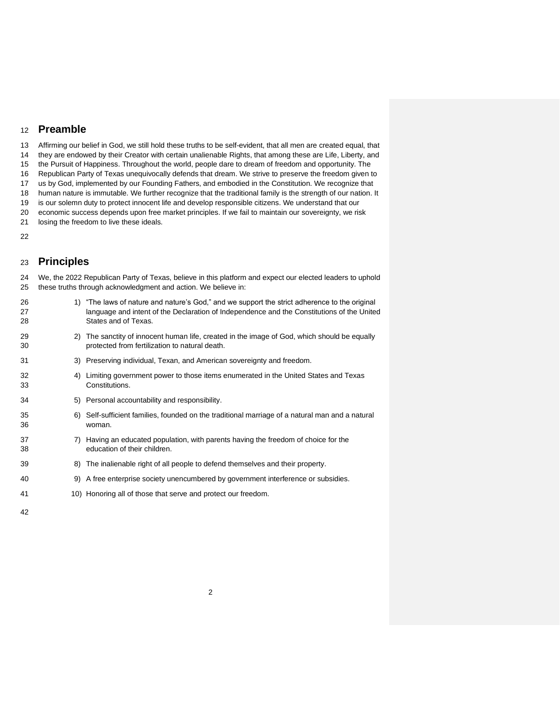### **Preamble**

 Affirming our belief in God, we still hold these truths to be self-evident, that all men are created equal, that they are endowed by their Creator with certain unalienable Rights, that among these are Life, Liberty, and the Pursuit of Happiness. Throughout the world, people dare to dream of freedom and opportunity. The Republican Party of Texas unequivocally defends that dream. We strive to preserve the freedom given to us by God, implemented by our Founding Fathers, and embodied in the Constitution. We recognize that human nature is immutable. We further recognize that the traditional family is the strength of our nation. It is our solemn duty to protect innocent life and develop responsible citizens. We understand that our

economic success depends upon free market principles. If we fail to maintain our sovereignty, we risk

- losing the freedom to live these ideals.
- 

### **Principles**

 We, the 2022 Republican Party of Texas, believe in this platform and expect our elected leaders to uphold these truths through acknowledgment and action. We believe in:

- 1) "The laws of nature and nature's God," and we support the strict adherence to the original language and intent of the Declaration of Independence and the Constitutions of the United States and of Texas.
- 2) The sanctity of innocent human life, created in the image of God, which should be equally protected from fertilization to natural death.
- 3) Preserving individual, Texan, and American sovereignty and freedom.
- 4) Limiting government power to those items enumerated in the United States and Texas Constitutions.
- 5) Personal accountability and responsibility.
- 6) Self-sufficient families, founded on the traditional marriage of a natural man and a natural woman.
- 7) Having an educated population, with parents having the freedom of choice for the education of their children.
- 8) The inalienable right of all people to defend themselves and their property.
- 9) A free enterprise society unencumbered by government interference or subsidies.
- 41 10) Honoring all of those that serve and protect our freedom.
-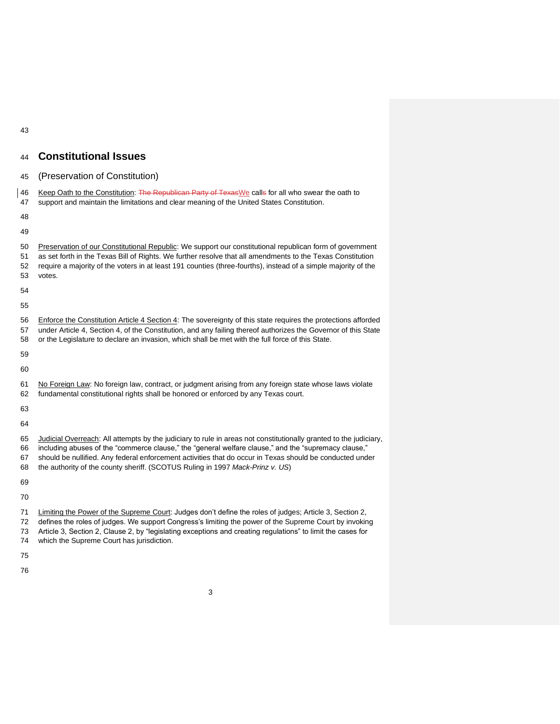$\overline{\phantom{a}}$ 

### **Constitutional Issues**

| 44                         | <b>CONSULTIONAL ISSUES</b>                                                                                                                                                                                                                                                                                                                                                                                             |
|----------------------------|------------------------------------------------------------------------------------------------------------------------------------------------------------------------------------------------------------------------------------------------------------------------------------------------------------------------------------------------------------------------------------------------------------------------|
| 45                         | (Preservation of Constitution)                                                                                                                                                                                                                                                                                                                                                                                         |
| 46<br>47                   | Keep Oath to the Constitution: The Republican Party of TexasWe calls for all who swear the oath to<br>support and maintain the limitations and clear meaning of the United States Constitution.                                                                                                                                                                                                                        |
| 48                         |                                                                                                                                                                                                                                                                                                                                                                                                                        |
| 49                         |                                                                                                                                                                                                                                                                                                                                                                                                                        |
| 50<br>51<br>52<br>53       | Preservation of our Constitutional Republic: We support our constitutional republican form of government<br>as set forth in the Texas Bill of Rights. We further resolve that all amendments to the Texas Constitution<br>require a majority of the voters in at least 191 counties (three-fourths), instead of a simple majority of the<br>votes.                                                                     |
| 54                         |                                                                                                                                                                                                                                                                                                                                                                                                                        |
| 55                         |                                                                                                                                                                                                                                                                                                                                                                                                                        |
| 56<br>57<br>58             | Enforce the Constitution Article 4 Section 4: The sovereignty of this state requires the protections afforded<br>under Article 4, Section 4, of the Constitution, and any failing thereof authorizes the Governor of this State<br>or the Legislature to declare an invasion, which shall be met with the full force of this State.                                                                                    |
| 59                         |                                                                                                                                                                                                                                                                                                                                                                                                                        |
| 60                         |                                                                                                                                                                                                                                                                                                                                                                                                                        |
| 61<br>62                   | No Foreign Law: No foreign law, contract, or judgment arising from any foreign state whose laws violate<br>fundamental constitutional rights shall be honored or enforced by any Texas court.                                                                                                                                                                                                                          |
| 63                         |                                                                                                                                                                                                                                                                                                                                                                                                                        |
| 64                         |                                                                                                                                                                                                                                                                                                                                                                                                                        |
| 65<br>66<br>67<br>68       | Judicial Overreach: All attempts by the judiciary to rule in areas not constitutionally granted to the judiciary,<br>including abuses of the "commerce clause," the "general welfare clause," and the "supremacy clause,"<br>should be nullified. Any federal enforcement activities that do occur in Texas should be conducted under<br>the authority of the county sheriff. (SCOTUS Ruling in 1997 Mack-Prinz v. US) |
| 69                         |                                                                                                                                                                                                                                                                                                                                                                                                                        |
| 70                         |                                                                                                                                                                                                                                                                                                                                                                                                                        |
| 71<br>72<br>73<br>74<br>75 | Limiting the Power of the Supreme Court: Judges don't define the roles of judges; Article 3, Section 2,<br>defines the roles of judges. We support Congress's limiting the power of the Supreme Court by invoking<br>Article 3, Section 2, Clause 2, by "legislating exceptions and creating regulations" to limit the cases for<br>which the Supreme Court has jurisdiction.                                          |
|                            |                                                                                                                                                                                                                                                                                                                                                                                                                        |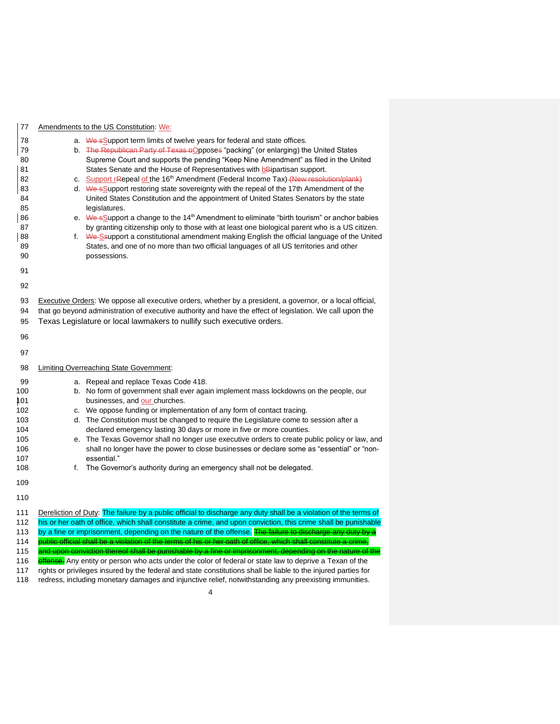| 77                                                                         | Amendments to the US Constitution: We:                                                                                                                                                                                                                                                                                                                                                                                                                                                                                                                                                                                                                                                                                                                                                                                                                                                                                                                                                                                                                            |  |
|----------------------------------------------------------------------------|-------------------------------------------------------------------------------------------------------------------------------------------------------------------------------------------------------------------------------------------------------------------------------------------------------------------------------------------------------------------------------------------------------------------------------------------------------------------------------------------------------------------------------------------------------------------------------------------------------------------------------------------------------------------------------------------------------------------------------------------------------------------------------------------------------------------------------------------------------------------------------------------------------------------------------------------------------------------------------------------------------------------------------------------------------------------|--|
| 78<br>79<br>80<br>81<br>82<br>83<br>84<br>85<br>86<br>87<br>88<br>89<br>90 | a. We sSupport term limits of twelve years for federal and state offices.<br>b. The Republican Party of Texas eOpposes "packing" (or enlarging) the United States<br>Supreme Court and supports the pending "Keep Nine Amendment" as filed in the United<br>States Senate and the House of Representatives with <b>bBipartisan</b> support.<br>c. Support rRepeal of the 16 <sup>th</sup> Amendment (Federal Income Tax) (New resolution/plank)<br>d. We sSupport restoring state sovereignty with the repeal of the 17th Amendment of the<br>United States Constitution and the appointment of United States Senators by the state<br>legislatures.<br>e. We soupport a change to the $14th$ Amendment to eliminate "birth tourism" or anchor babies<br>by granting citizenship only to those with at least one biological parent who is a US citizen.<br>f. We Ssupport a constitutional amendment making English the official language of the United<br>States, and one of no more than two official languages of all US territories and other<br>possessions. |  |
| 91                                                                         |                                                                                                                                                                                                                                                                                                                                                                                                                                                                                                                                                                                                                                                                                                                                                                                                                                                                                                                                                                                                                                                                   |  |
| 92                                                                         |                                                                                                                                                                                                                                                                                                                                                                                                                                                                                                                                                                                                                                                                                                                                                                                                                                                                                                                                                                                                                                                                   |  |
| 93<br>94<br>95<br>96                                                       | Executive Orders: We oppose all executive orders, whether by a president, a governor, or a local official,<br>that go beyond administration of executive authority and have the effect of legislation. We call upon the<br>Texas Legislature or local lawmakers to nullify such executive orders.                                                                                                                                                                                                                                                                                                                                                                                                                                                                                                                                                                                                                                                                                                                                                                 |  |
| 97                                                                         |                                                                                                                                                                                                                                                                                                                                                                                                                                                                                                                                                                                                                                                                                                                                                                                                                                                                                                                                                                                                                                                                   |  |
| 98                                                                         | Limiting Overreaching State Government:                                                                                                                                                                                                                                                                                                                                                                                                                                                                                                                                                                                                                                                                                                                                                                                                                                                                                                                                                                                                                           |  |
| 99<br>100<br>101<br>102<br>103<br>104<br>105<br>106<br>107<br>108          | a. Repeal and replace Texas Code 418.<br>b. No form of government shall ever again implement mass lockdowns on the people, our<br>businesses, and our churches.<br>c. We oppose funding or implementation of any form of contact tracing.<br>d. The Constitution must be changed to require the Legislature come to session after a<br>declared emergency lasting 30 days or more in five or more counties.<br>e. The Texas Governor shall no longer use executive orders to create public policy or law, and<br>shall no longer have the power to close businesses or declare some as "essential" or "non-<br>essential."<br>The Governor's authority during an emergency shall not be delegated.<br>f.                                                                                                                                                                                                                                                                                                                                                          |  |
| 109                                                                        |                                                                                                                                                                                                                                                                                                                                                                                                                                                                                                                                                                                                                                                                                                                                                                                                                                                                                                                                                                                                                                                                   |  |
| 110                                                                        |                                                                                                                                                                                                                                                                                                                                                                                                                                                                                                                                                                                                                                                                                                                                                                                                                                                                                                                                                                                                                                                                   |  |
| 111<br>112<br>113<br>114<br>115<br>116<br>117<br>118                       | Dereliction of Duty: The failure by a public official to discharge any duty shall be a violation of the terms of<br>his or her oath of office, which shall constitute a crime, and upon conviction, this crime shall be punishable<br>by a fine or imprisonment, depending on the nature of the offense. The failure to discharge any duty by a<br>public official shall be a violation of the terms of his or her oath of office, which shall constitute a crime,<br>and upon conviction thereof shall be punishable by a fine or imprisonment, depending on the nature of the<br><b>effense.</b> Any entity or person who acts under the color of federal or state law to deprive a Texan of the<br>rights or privileges insured by the federal and state constitutions shall be liable to the injured parties for<br>redress, including monetary damages and injunctive relief, notwithstanding any preexisting immunities.                                                                                                                                    |  |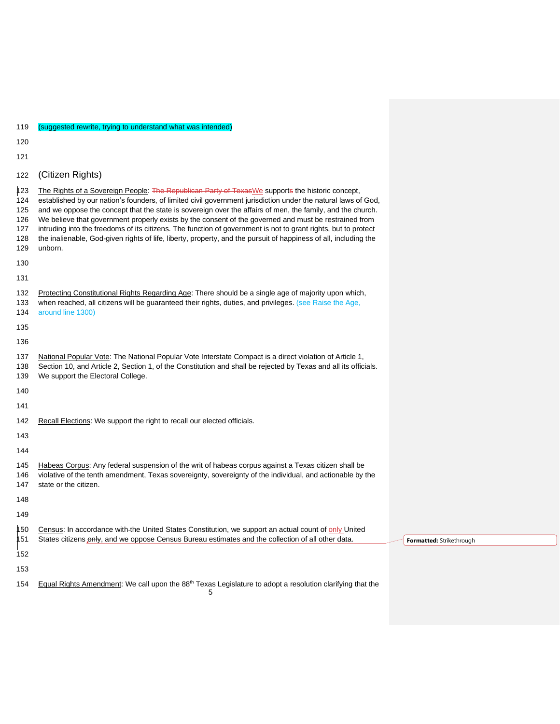| 119                                           | (suggested rewrite, trying to understand what was intended)                                                                                                                                                                                                                                                                                                                                                                                                                                                                                                                                                                                                                               |                          |
|-----------------------------------------------|-------------------------------------------------------------------------------------------------------------------------------------------------------------------------------------------------------------------------------------------------------------------------------------------------------------------------------------------------------------------------------------------------------------------------------------------------------------------------------------------------------------------------------------------------------------------------------------------------------------------------------------------------------------------------------------------|--------------------------|
| 120                                           |                                                                                                                                                                                                                                                                                                                                                                                                                                                                                                                                                                                                                                                                                           |                          |
| 121                                           |                                                                                                                                                                                                                                                                                                                                                                                                                                                                                                                                                                                                                                                                                           |                          |
| 122                                           | (Citizen Rights)                                                                                                                                                                                                                                                                                                                                                                                                                                                                                                                                                                                                                                                                          |                          |
| 123<br>124<br>125<br>126<br>127<br>128<br>129 | The Rights of a Sovereign People: The Republican Party of TexasWe supports the historic concept,<br>established by our nation's founders, of limited civil government jurisdiction under the natural laws of God,<br>and we oppose the concept that the state is sovereign over the affairs of men, the family, and the church.<br>We believe that government properly exists by the consent of the governed and must be restrained from<br>intruding into the freedoms of its citizens. The function of government is not to grant rights, but to protect<br>the inalienable, God-given rights of life, liberty, property, and the pursuit of happiness of all, including the<br>unborn. |                          |
| 130                                           |                                                                                                                                                                                                                                                                                                                                                                                                                                                                                                                                                                                                                                                                                           |                          |
| 131<br>132<br>133<br>134                      | Protecting Constitutional Rights Regarding Age: There should be a single age of majority upon which,<br>when reached, all citizens will be guaranteed their rights, duties, and privileges. (see Raise the Age,<br>around line 1300)                                                                                                                                                                                                                                                                                                                                                                                                                                                      |                          |
| 135                                           |                                                                                                                                                                                                                                                                                                                                                                                                                                                                                                                                                                                                                                                                                           |                          |
| 136                                           |                                                                                                                                                                                                                                                                                                                                                                                                                                                                                                                                                                                                                                                                                           |                          |
| 137<br>138<br>139                             | National Popular Vote: The National Popular Vote Interstate Compact is a direct violation of Article 1,<br>Section 10, and Article 2, Section 1, of the Constitution and shall be rejected by Texas and all its officials.<br>We support the Electoral College.                                                                                                                                                                                                                                                                                                                                                                                                                           |                          |
| 140                                           |                                                                                                                                                                                                                                                                                                                                                                                                                                                                                                                                                                                                                                                                                           |                          |
| 141                                           |                                                                                                                                                                                                                                                                                                                                                                                                                                                                                                                                                                                                                                                                                           |                          |
| 142                                           | Recall Elections: We support the right to recall our elected officials.                                                                                                                                                                                                                                                                                                                                                                                                                                                                                                                                                                                                                   |                          |
| 143                                           |                                                                                                                                                                                                                                                                                                                                                                                                                                                                                                                                                                                                                                                                                           |                          |
| 144                                           |                                                                                                                                                                                                                                                                                                                                                                                                                                                                                                                                                                                                                                                                                           |                          |
| 145<br>146<br>147                             | Habeas Corpus: Any federal suspension of the writ of habeas corpus against a Texas citizen shall be<br>violative of the tenth amendment, Texas sovereignty, sovereignty of the individual, and actionable by the<br>state or the citizen.                                                                                                                                                                                                                                                                                                                                                                                                                                                 |                          |
| 148                                           |                                                                                                                                                                                                                                                                                                                                                                                                                                                                                                                                                                                                                                                                                           |                          |
| 149                                           |                                                                                                                                                                                                                                                                                                                                                                                                                                                                                                                                                                                                                                                                                           |                          |
| 150<br>151                                    | Census: In accordance with the United States Constitution, we support an actual count of only United<br>States citizens only, and we oppose Census Bureau estimates and the collection of all other data.                                                                                                                                                                                                                                                                                                                                                                                                                                                                                 | Formatted: Strikethrough |
| 152                                           |                                                                                                                                                                                                                                                                                                                                                                                                                                                                                                                                                                                                                                                                                           |                          |
| 153                                           |                                                                                                                                                                                                                                                                                                                                                                                                                                                                                                                                                                                                                                                                                           |                          |
| 154                                           | Equal Rights Amendment: We call upon the 88 <sup>th</sup> Texas Legislature to adopt a resolution clarifying that the<br>5                                                                                                                                                                                                                                                                                                                                                                                                                                                                                                                                                                |                          |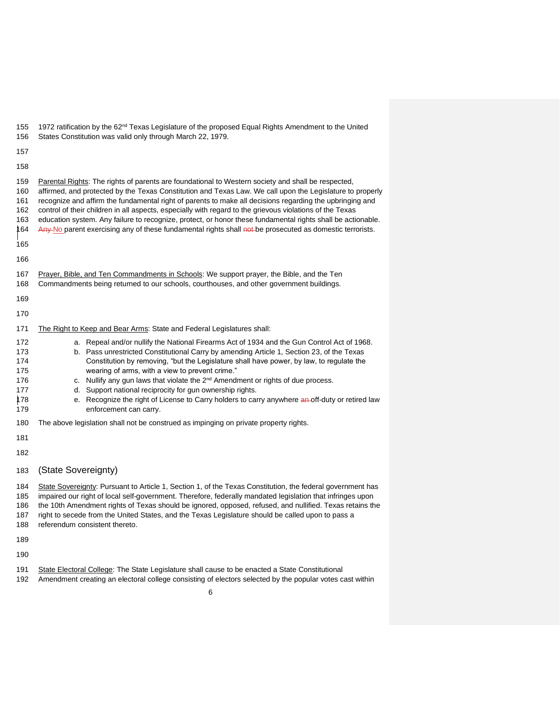155 1972 ratification by the 62<sup>nd</sup> Texas Legislature of the proposed Equal Rights Amendment to the United States Constitution was valid only through March 22, 1979. 159 Parental Rights: The rights of parents are foundational to Western society and shall be respected, affirmed, and protected by the Texas Constitution and Texas Law. We call upon the Legislature to properly recognize and affirm the fundamental right of parents to make all decisions regarding the upbringing and control of their children in all aspects, especially with regard to the grievous violations of the Texas education system. Any failure to recognize, protect, or honor these fundamental rights shall be actionable. 164 Any No parent exercising any of these fundamental rights shall not be prosecuted as domestic terrorists. 167 Prayer, Bible, and Ten Commandments in Schools: We support prayer, the Bible, and the Ten Commandments being returned to our schools, courthouses, and other government buildings. The Right to Keep and Bear Arms: State and Federal Legislatures shall: a. Repeal and/or nullify the National Firearms Act of 1934 and the Gun Control Act of 1968. b. Pass unrestricted Constitutional Carry by amending Article 1, Section 23, of the Texas Constitution by removing, "but the Legislature shall have power, by law, to regulate the wearing of arms, with a view to prevent crime." 176 **c.** Nullify any gun laws that violate the  $2<sup>nd</sup>$  Amendment or rights of due process. 177 d. Support national reciprocity for gun ownership rights. 178 e. Recognize the right of License to Carry holders to carry anywhere an off-duty or retired law enforcement can carry. The above legislation shall not be construed as impinging on private property rights. (State Sovereignty) 184 State Sovereignty: Pursuant to Article 1, Section 1, of the Texas Constitution, the federal government has impaired our right of local self-government. Therefore, federally mandated legislation that infringes upon the 10th Amendment rights of Texas should be ignored, opposed, refused, and nullified. Texas retains the right to secede from the United States, and the Texas Legislature should be called upon to pass a referendum consistent thereto. 191 State Electoral College: The State Legislature shall cause to be enacted a State Constitutional Amendment creating an electoral college consisting of electors selected by the popular votes cast within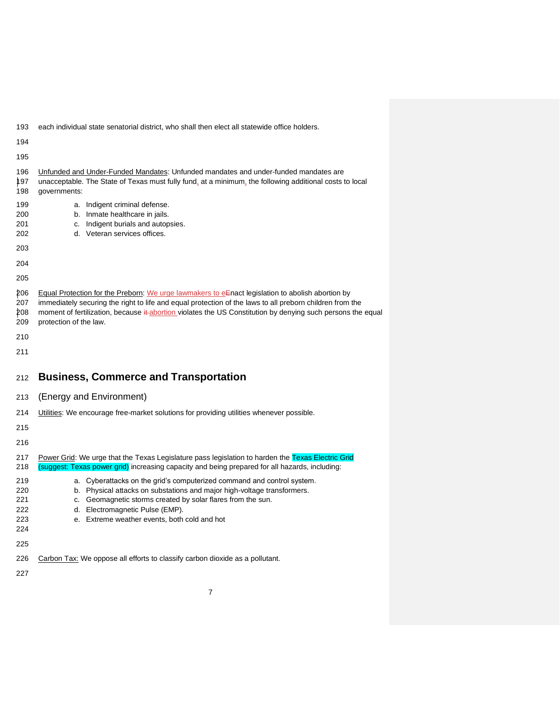| 193                                    | each individual state senatorial district, who shall then elect all statewide office holders.                                                                                                                                                                                                                                                         |  |  |
|----------------------------------------|-------------------------------------------------------------------------------------------------------------------------------------------------------------------------------------------------------------------------------------------------------------------------------------------------------------------------------------------------------|--|--|
| 194                                    |                                                                                                                                                                                                                                                                                                                                                       |  |  |
| 195                                    |                                                                                                                                                                                                                                                                                                                                                       |  |  |
| 196<br>197<br>198                      | Unfunded and Under-Funded Mandates: Unfunded mandates and under-funded mandates are<br>unacceptable. The State of Texas must fully fund, at a minimum, the following additional costs to local<br>governments:                                                                                                                                        |  |  |
| 199<br>200<br>201<br>202               | a. Indigent criminal defense.<br>b. Inmate healthcare in jails.<br>c. Indigent burials and autopsies.<br>d. Veteran services offices.                                                                                                                                                                                                                 |  |  |
| 203                                    |                                                                                                                                                                                                                                                                                                                                                       |  |  |
| 204                                    |                                                                                                                                                                                                                                                                                                                                                       |  |  |
| 205                                    |                                                                                                                                                                                                                                                                                                                                                       |  |  |
| 206<br>207<br>208<br>209               | Equal Protection for the Preborn: We urge lawmakers to eEnact legislation to abolish abortion by<br>immediately securing the right to life and equal protection of the laws to all preborn children from the<br>moment of fertilization, because it abortion violates the US Constitution by denying such persons the equal<br>protection of the law. |  |  |
| 210                                    |                                                                                                                                                                                                                                                                                                                                                       |  |  |
| 211                                    |                                                                                                                                                                                                                                                                                                                                                       |  |  |
| 212                                    | <b>Business, Commerce and Transportation</b>                                                                                                                                                                                                                                                                                                          |  |  |
| 213                                    | (Energy and Environment)                                                                                                                                                                                                                                                                                                                              |  |  |
| 214                                    | Utilities: We encourage free-market solutions for providing utilities whenever possible.                                                                                                                                                                                                                                                              |  |  |
| 215                                    |                                                                                                                                                                                                                                                                                                                                                       |  |  |
| 216                                    |                                                                                                                                                                                                                                                                                                                                                       |  |  |
| 217<br>218                             | Power Grid: We urge that the Texas Legislature pass legislation to harden the Texas Electric Grid<br>(suggest: Texas power grid) increasing capacity and being prepared for all hazards, including:                                                                                                                                                   |  |  |
| 219<br>220<br>221<br>222<br>223<br>224 | a. Cyberattacks on the grid's computerized command and control system.<br>b. Physical attacks on substations and major high-voltage transformers.<br>c. Geomagnetic storms created by solar flares from the sun.<br>d. Electromagnetic Pulse (EMP).<br>e. Extreme weather events, both cold and hot                                                   |  |  |
| 225                                    |                                                                                                                                                                                                                                                                                                                                                       |  |  |
| 226                                    | Carbon Tax: We oppose all efforts to classify carbon dioxide as a pollutant.                                                                                                                                                                                                                                                                          |  |  |
| 227                                    |                                                                                                                                                                                                                                                                                                                                                       |  |  |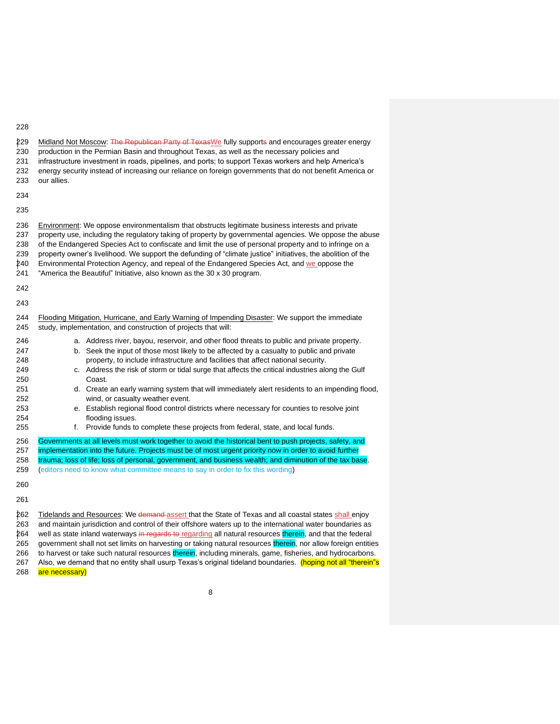| 228                                                                |                                                                                                                                                                                                                                                                                                                                                                                                                                                                                                                                                                                                                                                                                                                                          |  |  |
|--------------------------------------------------------------------|------------------------------------------------------------------------------------------------------------------------------------------------------------------------------------------------------------------------------------------------------------------------------------------------------------------------------------------------------------------------------------------------------------------------------------------------------------------------------------------------------------------------------------------------------------------------------------------------------------------------------------------------------------------------------------------------------------------------------------------|--|--|
| 229<br>230<br>231<br>232<br>233                                    | Midland Not Moscow: The Republican Party of TexasWe fully supports and encourages greater energy<br>production in the Permian Basin and throughout Texas, as well as the necessary policies and<br>infrastructure investment in roads, pipelines, and ports; to support Texas workers and help America's<br>energy security instead of increasing our reliance on foreign governments that do not benefit America or<br>our allies.                                                                                                                                                                                                                                                                                                      |  |  |
| 234                                                                |                                                                                                                                                                                                                                                                                                                                                                                                                                                                                                                                                                                                                                                                                                                                          |  |  |
| 235                                                                |                                                                                                                                                                                                                                                                                                                                                                                                                                                                                                                                                                                                                                                                                                                                          |  |  |
| 236<br>237<br>238<br>239<br>240<br>241                             | Environment: We oppose environmentalism that obstructs legitimate business interests and private<br>property use, including the regulatory taking of property by governmental agencies. We oppose the abuse<br>of the Endangered Species Act to confiscate and limit the use of personal property and to infringe on a<br>property owner's livelihood. We support the defunding of "climate justice" initiatives, the abolition of the<br>Environmental Protection Agency, and repeal of the Endangered Species Act, and we oppose the<br>"America the Beautiful" Initiative, also known as the 30 x 30 program.                                                                                                                         |  |  |
| 242                                                                |                                                                                                                                                                                                                                                                                                                                                                                                                                                                                                                                                                                                                                                                                                                                          |  |  |
| 243                                                                |                                                                                                                                                                                                                                                                                                                                                                                                                                                                                                                                                                                                                                                                                                                                          |  |  |
| 244<br>245                                                         | Flooding Mitigation, Hurricane, and Early Warning of Impending Disaster: We support the immediate<br>study, implementation, and construction of projects that will:                                                                                                                                                                                                                                                                                                                                                                                                                                                                                                                                                                      |  |  |
| 246<br>247<br>248<br>249<br>250<br>251<br>252<br>253<br>254<br>255 | a. Address river, bayou, reservoir, and other flood threats to public and private property.<br>b. Seek the input of those most likely to be affected by a casualty to public and private<br>property, to include infrastructure and facilities that affect national security.<br>c. Address the risk of storm or tidal surge that affects the critical industries along the Gulf<br>Coast.<br>d. Create an early warning system that will immediately alert residents to an impending flood,<br>wind, or casualty weather event.<br>e. Establish regional flood control districts where necessary for counties to resolve joint<br>flooding issues.<br>f. Provide funds to complete these projects from federal, state, and local funds. |  |  |
| 256<br>257<br>258<br>259                                           | Governments at all levels must work together to avoid the historical bent to push projects, safety, and<br>implementation into the future. Projects must be of most urgent priority now in order to avoid further<br>trauma; loss of life; loss of personal, government, and business wealth; and diminution of the tax base.<br>(editors need to know what committee means to say in order to fix this wording)                                                                                                                                                                                                                                                                                                                         |  |  |
| 260                                                                |                                                                                                                                                                                                                                                                                                                                                                                                                                                                                                                                                                                                                                                                                                                                          |  |  |
| 261                                                                |                                                                                                                                                                                                                                                                                                                                                                                                                                                                                                                                                                                                                                                                                                                                          |  |  |
| 262<br>263<br>264<br>265<br>266                                    | Tidelands and Resources: We demand assert that the State of Texas and all coastal states shall enjoy<br>and maintain jurisdiction and control of their offshore waters up to the international water boundaries as<br>well as state inland waterways in regards to regarding all natural resources therein, and that the federal<br>government shall not set limits on harvesting or taking natural resources therein, nor allow foreign entities<br>to harvest or take such natural resources therein, including minerals, game, fisheries, and hydrocarbons.                                                                                                                                                                           |  |  |

268 are necessary)

267 Also, we demand that no entity shall usurp Texas's original tideland boundaries. (hoping not all "therein"s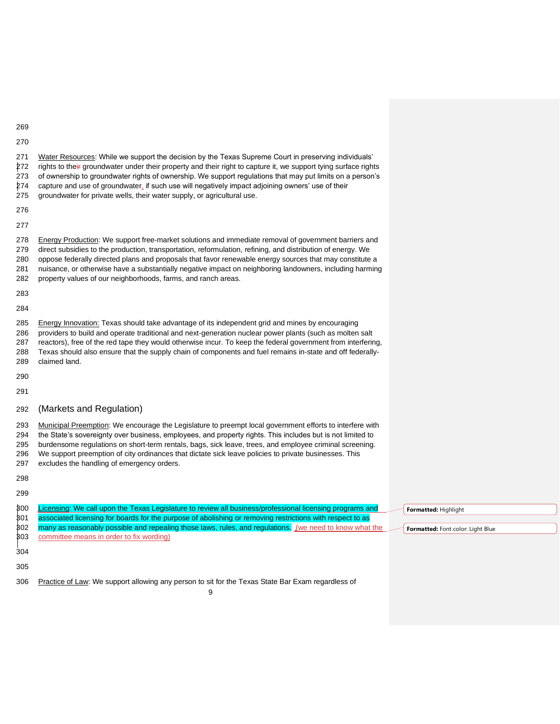### Water Resources: While we support the decision by the Texas Supreme Court in preserving individuals' 272 rights to their groundwater under their property and their right to capture it, we support tying surface rights of ownership to groundwater rights of ownership. We support regulations that may put limits on a person's capture and use of groundwater, if such use will negatively impact adjoining owners' use of their groundwater for private wells, their water supply, or agricultural use. 278 Energy Production: We support free-market solutions and immediate removal of government barriers and direct subsidies to the production, transportation, reformulation, refining, and distribution of energy. We oppose federally directed plans and proposals that favor renewable energy sources that may constitute a nuisance, or otherwise have a substantially negative impact on neighboring landowners, including harming property values of our neighborhoods, farms, and ranch areas. Energy Innovation: Texas should take advantage of its independent grid and mines by encouraging providers to build and operate traditional and next-generation nuclear power plants (such as molten salt reactors), free of the red tape they would otherwise incur. To keep the federal government from interfering, Texas should also ensure that the supply chain of components and fuel remains in-state and off federally- claimed land. (Markets and Regulation) Municipal Preemption: We encourage the Legislature to preempt local government efforts to interfere with the State's sovereignty over business, employees, and property rights. This includes but is not limited to burdensome regulations on short-term rentals, bags, sick leave, trees, and employee criminal screening. We support preemption of city ordinances that dictate sick leave policies to private businesses. This excludes the handling of emergency orders.

 300 L<u>icensing</u>: We call upon the Texas Legislature to review all business/professional licensing programs and<br>301 associated licensing for boards for the purpose of abolishing or removing restrictions with respect to as associated licensing for boards for the purpose of abolishing or removing restrictions with respect to as 302 many as reasonably possible and repealing those laws, rules, and regulations. (we need to know what the 303 committee means in order to fix wording) 

**Formatted:** Highlight

**Formatted:** Font color: Light Blue

Practice of Law: We support allowing any person to sit for the Texas State Bar Exam regardless of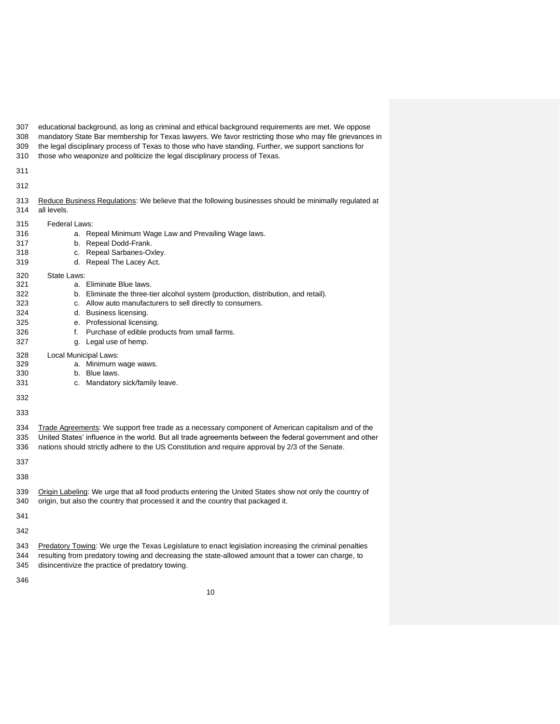| 307<br>308<br>309<br>310                             | educational background, as long as criminal and ethical background requirements are met. We oppose<br>mandatory State Bar membership for Texas lawyers. We favor restricting those who may file grievances in<br>the legal disciplinary process of Texas to those who have standing. Further, we support sanctions for<br>those who weaponize and politicize the legal disciplinary process of Texas. |  |
|------------------------------------------------------|-------------------------------------------------------------------------------------------------------------------------------------------------------------------------------------------------------------------------------------------------------------------------------------------------------------------------------------------------------------------------------------------------------|--|
| 311                                                  |                                                                                                                                                                                                                                                                                                                                                                                                       |  |
| 312                                                  |                                                                                                                                                                                                                                                                                                                                                                                                       |  |
| 313<br>314                                           | Reduce Business Regulations: We believe that the following businesses should be minimally regulated at<br>all levels.                                                                                                                                                                                                                                                                                 |  |
| 315<br>316<br>317<br>318<br>319                      | Federal Laws:<br>a. Repeal Minimum Wage Law and Prevailing Wage laws.<br>b. Repeal Dodd-Frank.<br>c. Repeal Sarbanes-Oxley.<br>d. Repeal The Lacey Act.                                                                                                                                                                                                                                               |  |
| 320<br>321<br>322<br>323<br>324<br>325<br>326<br>327 | State Laws:<br>a. Eliminate Blue laws.<br>b. Eliminate the three-tier alcohol system (production, distribution, and retail).<br>c. Allow auto manufacturers to sell directly to consumers.<br>d. Business licensing.<br>e. Professional licensing.<br>Purchase of edible products from small farms.<br>f.<br>g. Legal use of hemp.                                                                    |  |
| 328<br>329<br>330<br>331<br>332                      | Local Municipal Laws:<br>a. Minimum wage waws.<br>b. Blue laws.<br>c. Mandatory sick/family leave.                                                                                                                                                                                                                                                                                                    |  |
| 333                                                  |                                                                                                                                                                                                                                                                                                                                                                                                       |  |
| 334<br>335<br>336                                    | Trade Agreements: We support free trade as a necessary component of American capitalism and of the<br>United States' influence in the world. But all trade agreements between the federal government and other<br>nations should strictly adhere to the US Constitution and require approval by 2/3 of the Senate.                                                                                    |  |
| 337                                                  |                                                                                                                                                                                                                                                                                                                                                                                                       |  |
| 338                                                  |                                                                                                                                                                                                                                                                                                                                                                                                       |  |
| 339<br>340                                           | Origin Labeling: We urge that all food products entering the United States show not only the country of<br>origin, but also the country that processed it and the country that packaged it.                                                                                                                                                                                                           |  |
| 341                                                  |                                                                                                                                                                                                                                                                                                                                                                                                       |  |
| 342                                                  |                                                                                                                                                                                                                                                                                                                                                                                                       |  |
| 343<br>344<br>345                                    | Predatory Towing: We urge the Texas Legislature to enact legislation increasing the criminal penalties<br>resulting from predatory towing and decreasing the state-allowed amount that a tower can charge, to<br>disincentivize the practice of predatory towing.                                                                                                                                     |  |
| 0.40                                                 |                                                                                                                                                                                                                                                                                                                                                                                                       |  |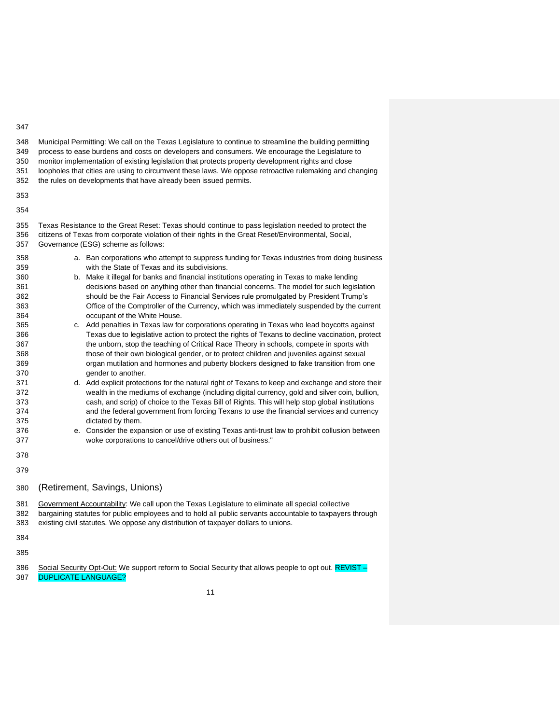Municipal Permitting: We call on the Texas Legislature to continue to streamline the building permitting process to ease burdens and costs on developers and consumers. We encourage the Legislature to monitor implementation of existing legislation that protects property development rights and close loopholes that cities are using to circumvent these laws. We oppose retroactive rulemaking and changing the rules on developments that have already been issued permits.

 Texas Resistance to the Great Reset: Texas should continue to pass legislation needed to protect the citizens of Texas from corporate violation of their rights in the Great Reset/Environmental, Social, Governance (ESG) scheme as follows:

- a. Ban corporations who attempt to suppress funding for Texas industries from doing business with the State of Texas and its subdivisions.
- b. Make it illegal for banks and financial institutions operating in Texas to make lending decisions based on anything other than financial concerns. The model for such legislation should be the Fair Access to Financial Services rule promulgated by President Trump's Office of the Comptroller of the Currency, which was immediately suspended by the current occupant of the White House.
- c. Add penalties in Texas law for corporations operating in Texas who lead boycotts against Texas due to legislative action to protect the rights of Texans to decline vaccination, protect the unborn, stop the teaching of Critical Race Theory in schools, compete in sports with those of their own biological gender, or to protect children and juveniles against sexual organ mutilation and hormones and puberty blockers designed to fake transition from one gender to another.
- d. Add explicit protections for the natural right of Texans to keep and exchange and store their wealth in the mediums of exchange (including digital currency, gold and silver coin, bullion, cash, and scrip) of choice to the Texas Bill of Rights. This will help stop global institutions and the federal government from forcing Texans to use the financial services and currency dictated by them.
- e. Consider the expansion or use of existing Texas anti-trust law to prohibit collusion between woke corporations to cancel/drive others out of business."
- 
- 

#### (Retirement, Savings, Unions)

381 Government Accountability: We call upon the Texas Legislature to eliminate all special collective

- bargaining statutes for public employees and to hold all public servants accountable to taxpayers through existing civil statutes. We oppose any distribution of taxpayer dollars to unions.
- 
- 

386 Social Security Opt-Out: We support reform to Social Security that allows people to opt out. REVIST -DUPLICATE LANGUAGE?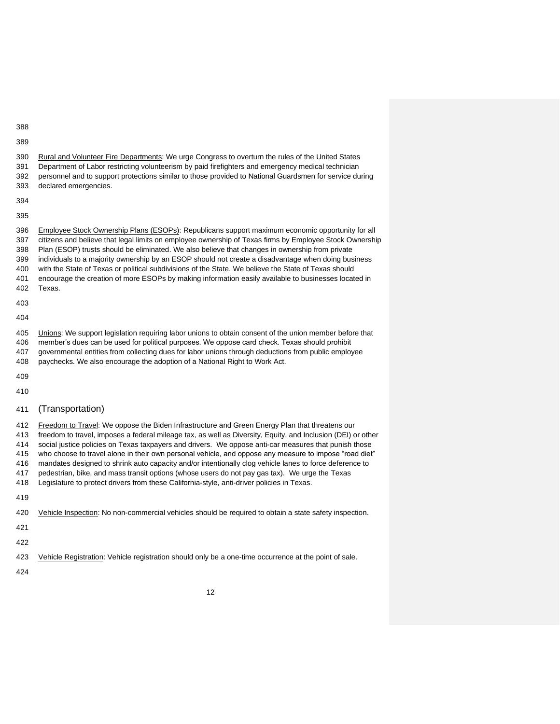390 Rural and Volunteer Fire Departments: We urge Congress to overturn the rules of the United States Department of Labor restricting volunteerism by paid firefighters and emergency medical technician personnel and to support protections similar to those provided to National Guardsmen for service during declared emergencies.

396 Employee Stock Ownership Plans (ESOPs): Republicans support maximum economic opportunity for all citizens and believe that legal limits on employee ownership of Texas firms by Employee Stock Ownership Plan (ESOP) trusts should be eliminated. We also believe that changes in ownership from private individuals to a majority ownership by an ESOP should not create a disadvantage when doing business with the State of Texas or political subdivisions of the State. We believe the State of Texas should encourage the creation of more ESOPs by making information easily available to businesses located in Texas.

 

405 Unions: We support legislation requiring labor unions to obtain consent of the union member before that member's dues can be used for political purposes. We oppose card check. Texas should prohibit governmental entities from collecting dues for labor unions through deductions from public employee paychecks. We also encourage the adoption of a National Right to Work Act.

#### (Transportation)

 Freedom to Travel: We oppose the Biden Infrastructure and Green Energy Plan that threatens our freedom to travel, imposes a federal mileage tax, as well as Diversity, Equity, and Inclusion (DEI) or other social justice policies on Texas taxpayers and drivers. We oppose anti-car measures that punish those who choose to travel alone in their own personal vehicle, and oppose any measure to impose "road diet" mandates designed to shrink auto capacity and/or intentionally clog vehicle lanes to force deference to pedestrian, bike, and mass transit options (whose users do not pay gas tax). We urge the Texas Legislature to protect drivers from these California-style, anti-driver policies in Texas. 420 Vehicle Inspection: No non-commercial vehicles should be required to obtain a state safety inspection. 

423 Vehicle Registration: Vehicle registration should only be a one-time occurrence at the point of sale.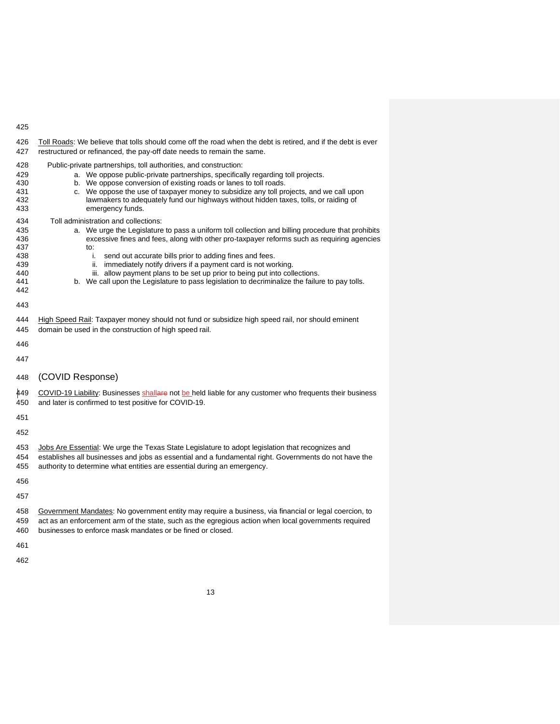| 426<br>427                                                  | Toll Roads: We believe that tolls should come off the road when the debt is retired, and if the debt is ever<br>restructured or refinanced, the pay-off date needs to remain the same.                                                                                                                                                                                                                                                                                                                                                                                 |
|-------------------------------------------------------------|------------------------------------------------------------------------------------------------------------------------------------------------------------------------------------------------------------------------------------------------------------------------------------------------------------------------------------------------------------------------------------------------------------------------------------------------------------------------------------------------------------------------------------------------------------------------|
| 428<br>429<br>430<br>431<br>432<br>433                      | Public-private partnerships, toll authorities, and construction:<br>a. We oppose public-private partnerships, specifically regarding toll projects.<br>b. We oppose conversion of existing roads or lanes to toll roads.<br>c. We oppose the use of taxpayer money to subsidize any toll projects, and we call upon<br>lawmakers to adequately fund our highways without hidden taxes, tolls, or raiding of<br>emergency funds.                                                                                                                                        |
| 434<br>435<br>436<br>437<br>438<br>439<br>440<br>441<br>442 | Toll administration and collections:<br>a. We urge the Legislature to pass a uniform toll collection and billing procedure that prohibits<br>excessive fines and fees, along with other pro-taxpayer reforms such as requiring agencies<br>to:<br>i.<br>send out accurate bills prior to adding fines and fees.<br>immediately notify drivers if a payment card is not working.<br>ii.<br>iii. allow payment plans to be set up prior to being put into collections.<br>b. We call upon the Legislature to pass legislation to decriminalize the failure to pay tolls. |
| 443                                                         |                                                                                                                                                                                                                                                                                                                                                                                                                                                                                                                                                                        |
| 444<br>445                                                  | High Speed Rail: Taxpayer money should not fund or subsidize high speed rail, nor should eminent<br>domain be used in the construction of high speed rail.                                                                                                                                                                                                                                                                                                                                                                                                             |
| 446                                                         |                                                                                                                                                                                                                                                                                                                                                                                                                                                                                                                                                                        |
| 447                                                         |                                                                                                                                                                                                                                                                                                                                                                                                                                                                                                                                                                        |
| 448                                                         | (COVID Response)                                                                                                                                                                                                                                                                                                                                                                                                                                                                                                                                                       |
| 449<br>450                                                  | COVID-19 Liability: Businesses shallare not be held liable for any customer who frequents their business<br>and later is confirmed to test positive for COVID-19.                                                                                                                                                                                                                                                                                                                                                                                                      |
| 451                                                         |                                                                                                                                                                                                                                                                                                                                                                                                                                                                                                                                                                        |
| 452                                                         |                                                                                                                                                                                                                                                                                                                                                                                                                                                                                                                                                                        |
| 453<br>454<br>455                                           | Jobs Are Essential: We urge the Texas State Legislature to adopt legislation that recognizes and<br>establishes all businesses and jobs as essential and a fundamental right. Governments do not have the<br>authority to determine what entities are essential during an emergency.                                                                                                                                                                                                                                                                                   |
| 456                                                         |                                                                                                                                                                                                                                                                                                                                                                                                                                                                                                                                                                        |
| 457                                                         |                                                                                                                                                                                                                                                                                                                                                                                                                                                                                                                                                                        |
| 458<br>459<br>460                                           | Government Mandates: No government entity may require a business, via financial or legal coercion, to<br>act as an enforcement arm of the state, such as the egregious action when local governments required<br>businesses to enforce mask mandates or be fined or closed.                                                                                                                                                                                                                                                                                            |
| 461                                                         |                                                                                                                                                                                                                                                                                                                                                                                                                                                                                                                                                                        |
| 462                                                         |                                                                                                                                                                                                                                                                                                                                                                                                                                                                                                                                                                        |
|                                                             |                                                                                                                                                                                                                                                                                                                                                                                                                                                                                                                                                                        |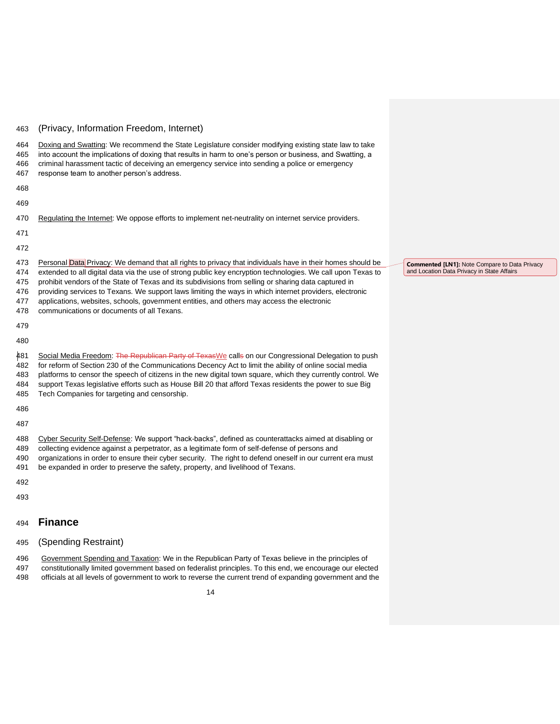#### (Privacy, Information Freedom, Internet)

 Doxing and Swatting: We recommend the State Legislature consider modifying existing state law to take into account the implications of doxing that results in harm to one's person or business, and Swatting, a criminal harassment tactic of deceiving an emergency service into sending a police or emergency response team to another person's address. Regulating the Internet: We oppose efforts to implement net-neutrality on internet service providers. 473 Personal Data Privacy: We demand that all rights to privacy that individuals have in their homes should be extended to all digital data via the use of strong public key encryption technologies. We call upon Texas to prohibit vendors of the State of Texas and its subdivisions from selling or sharing data captured in providing services to Texans. We support laws limiting the ways in which internet providers, electronic applications, websites, schools, government entities, and others may access the electronic communications or documents of all Texans. Social Media Freedom: The Republican Party of TexasWe calls on our Congressional Delegation to push for reform of Section 230 of the Communications Decency Act to limit the ability of online social media platforms to censor the speech of citizens in the new digital town square, which they currently control. We support Texas legislative efforts such as House Bill 20 that afford Texas residents the power to sue Big Tech Companies for targeting and censorship. Cyber Security Self-Defense: We support "hack-backs", defined as counterattacks aimed at disabling or collecting evidence against a perpetrator, as a legitimate form of self-defense of persons and organizations in order to ensure their cyber security. The right to defend oneself in our current era must be expanded in order to preserve the safety, property, and livelihood of Texans. **Finance**

(Spending Restraint)

496 Government Spending and Taxation: We in the Republican Party of Texas believe in the principles of constitutionally limited government based on federalist principles. To this end, we encourage our elected officials at all levels of government to work to reverse the current trend of expanding government and the

**Commented [LN1]:** Note Compare to Data Privacy and Location Data Privacy in State Affairs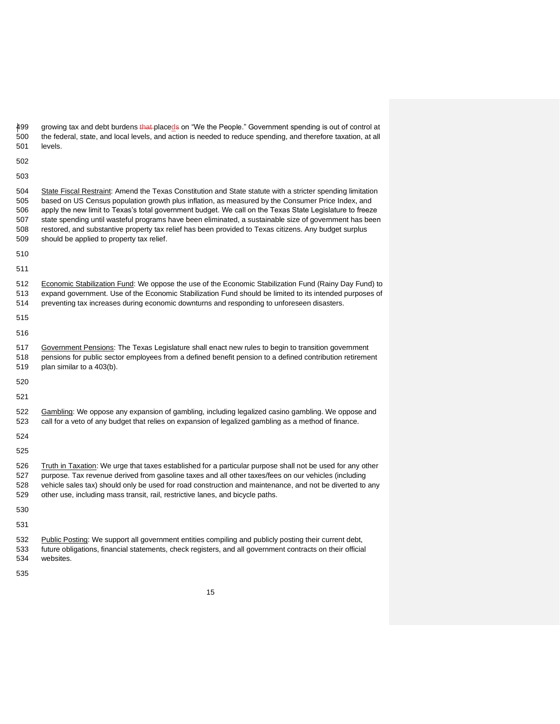499 growing tax and debt burdens <del>that </del>place<u>ds</u> on "We the People." Government spending is out of control at<br>500 the federal. state. and local levels. and action is needed to reduce spending. and therefore taxation. at the federal, state, and local levels, and action is needed to reduce spending, and therefore taxation, at all levels. 504 State Fiscal Restraint: Amend the Texas Constitution and State statute with a stricter spending limitation based on US Census population growth plus inflation, as measured by the Consumer Price Index, and apply the new limit to Texas's total government budget. We call on the Texas State Legislature to freeze state spending until wasteful programs have been eliminated, a sustainable size of government has been restored, and substantive property tax relief has been provided to Texas citizens. Any budget surplus should be applied to property tax relief. Economic Stabilization Fund: We oppose the use of the Economic Stabilization Fund (Rainy Day Fund) to expand government. Use of the Economic Stabilization Fund should be limited to its intended purposes of preventing tax increases during economic downturns and responding to unforeseen disasters. Government Pensions: The Texas Legislature shall enact new rules to begin to transition government pensions for public sector employees from a defined benefit pension to a defined contribution retirement plan similar to a 403(b). 522 Gambling: We oppose any expansion of gambling, including legalized casino gambling. We oppose and call for a veto of any budget that relies on expansion of legalized gambling as a method of finance. 526 Truth in Taxation: We urge that taxes established for a particular purpose shall not be used for any other purpose. Tax revenue derived from gasoline taxes and all other taxes/fees on our vehicles (including vehicle sales tax) should only be used for road construction and maintenance, and not be diverted to any other use, including mass transit, rail, restrictive lanes, and bicycle paths. Public Posting: We support all government entities compiling and publicly posting their current debt, future obligations, financial statements, check registers, and all government contracts on their official websites.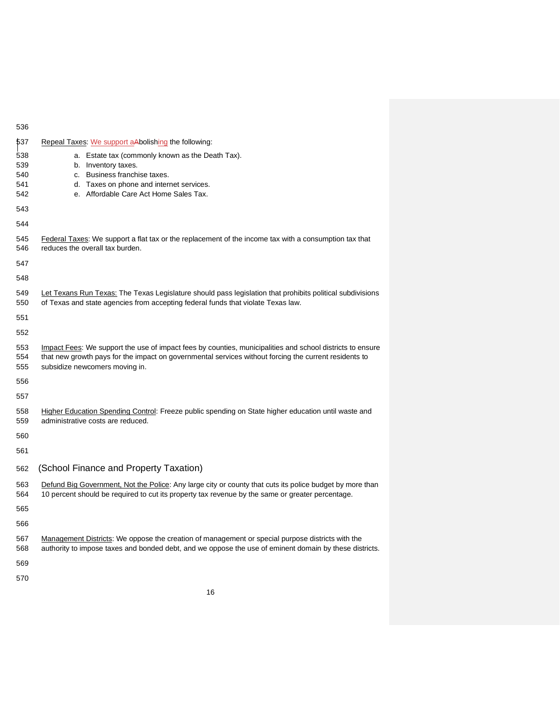| 536                      |                                                                                                                                                                                                                                                      |
|--------------------------|------------------------------------------------------------------------------------------------------------------------------------------------------------------------------------------------------------------------------------------------------|
| 537<br>538<br>539<br>540 | Repeal Taxes: We support aAbolishing the following:<br>a. Estate tax (commonly known as the Death Tax).<br>b. Inventory taxes.<br>c. Business franchise taxes.                                                                                       |
| 541<br>542               | d. Taxes on phone and internet services.<br>e. Affordable Care Act Home Sales Tax.                                                                                                                                                                   |
| 543<br>544               |                                                                                                                                                                                                                                                      |
| 545<br>546               | Federal Taxes: We support a flat tax or the replacement of the income tax with a consumption tax that<br>reduces the overall tax burden.                                                                                                             |
| 547                      |                                                                                                                                                                                                                                                      |
| 548                      |                                                                                                                                                                                                                                                      |
| 549<br>550               | Let Texans Run Texas: The Texas Legislature should pass legislation that prohibits political subdivisions<br>of Texas and state agencies from accepting federal funds that violate Texas law.                                                        |
| 551                      |                                                                                                                                                                                                                                                      |
| 552                      |                                                                                                                                                                                                                                                      |
| 553<br>554<br>555        | Impact Fees: We support the use of impact fees by counties, municipalities and school districts to ensure<br>that new growth pays for the impact on governmental services without forcing the current residents to<br>subsidize newcomers moving in. |
| 556                      |                                                                                                                                                                                                                                                      |
| 557                      |                                                                                                                                                                                                                                                      |
| 558<br>559               | Higher Education Spending Control: Freeze public spending on State higher education until waste and<br>administrative costs are reduced.                                                                                                             |
| 560                      |                                                                                                                                                                                                                                                      |
| 561                      |                                                                                                                                                                                                                                                      |
| 562                      | (School Finance and Property Taxation)                                                                                                                                                                                                               |
| 563<br>564               | Defund Big Government, Not the Police: Any large city or county that cuts its police budget by more than<br>10 percent should be required to cut its property tax revenue by the same or greater percentage.                                         |
| 565                      |                                                                                                                                                                                                                                                      |
| 566                      |                                                                                                                                                                                                                                                      |
| 567<br>568               | Management Districts: We oppose the creation of management or special purpose districts with the<br>authority to impose taxes and bonded debt, and we oppose the use of eminent domain by these districts.                                           |
| 569                      |                                                                                                                                                                                                                                                      |
| 570                      |                                                                                                                                                                                                                                                      |
|                          | 16                                                                                                                                                                                                                                                   |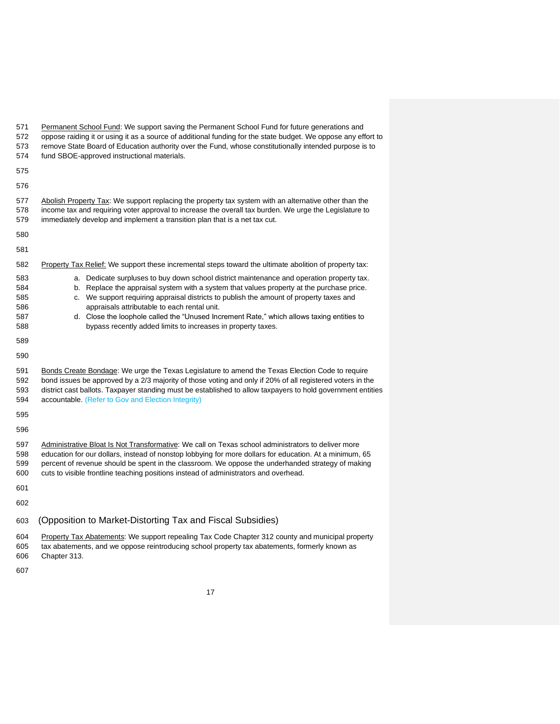Permanent School Fund: We support saving the Permanent School Fund for future generations and oppose raiding it or using it as a source of additional funding for the state budget. We oppose any effort to remove State Board of Education authority over the Fund, whose constitutionally intended purpose is to fund SBOE-approved instructional materials. Abolish Property Tax: We support replacing the property tax system with an alternative other than the income tax and requiring voter approval to increase the overall tax burden. We urge the Legislature to immediately develop and implement a transition plan that is a net tax cut. 582 Property Tax Relief: We support these incremental steps toward the ultimate abolition of property tax: a. Dedicate surpluses to buy down school district maintenance and operation property tax. b. Replace the appraisal system with a system that values property at the purchase price. c. We support requiring appraisal districts to publish the amount of property taxes and appraisals attributable to each rental unit. d. Close the loophole called the "Unused Increment Rate," which allows taxing entities to bypass recently added limits to increases in property taxes. 591 Bonds Create Bondage: We urge the Texas Legislature to amend the Texas Election Code to require bond issues be approved by a 2/3 majority of those voting and only if 20% of all registered voters in the district cast ballots. Taxpayer standing must be established to allow taxpayers to hold government entities accountable. (Refer to Gov and Election Integrity) Administrative Bloat Is Not Transformative: We call on Texas school administrators to deliver more education for our dollars, instead of nonstop lobbying for more dollars for education. At a minimum, 65 percent of revenue should be spent in the classroom. We oppose the underhanded strategy of making cuts to visible frontline teaching positions instead of administrators and overhead. (Opposition to Market-Distorting Tax and Fiscal Subsidies) 604 Property Tax Abatements: We support repealing Tax Code Chapter 312 county and municipal property tax abatements, and we oppose reintroducing school property tax abatements, formerly known as Chapter 313.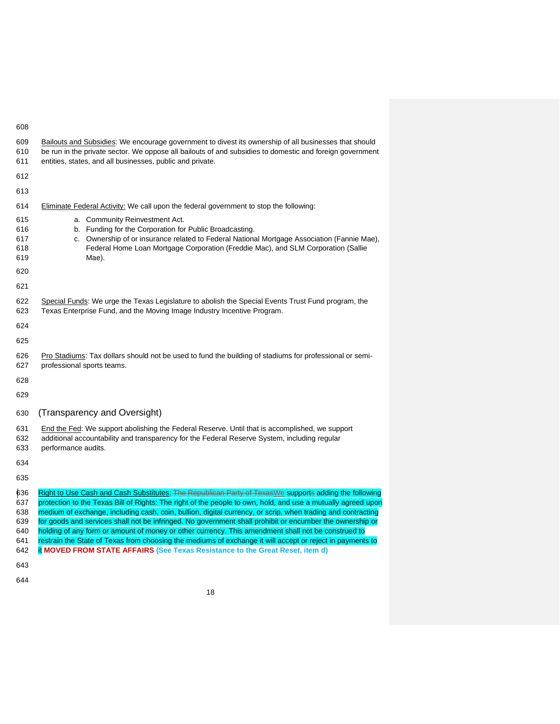| 609<br>610<br>611                             | Bailouts and Subsidies: We encourage government to divest its ownership of all businesses that should<br>be run in the private sector. We oppose all bailouts of and subsidies to domestic and foreign government<br>entities, states, and all businesses, public and private.                                                                                                                                                                                                                                                                                                                                                                                                                                                                       |  |
|-----------------------------------------------|------------------------------------------------------------------------------------------------------------------------------------------------------------------------------------------------------------------------------------------------------------------------------------------------------------------------------------------------------------------------------------------------------------------------------------------------------------------------------------------------------------------------------------------------------------------------------------------------------------------------------------------------------------------------------------------------------------------------------------------------------|--|
| 612                                           |                                                                                                                                                                                                                                                                                                                                                                                                                                                                                                                                                                                                                                                                                                                                                      |  |
| 613                                           |                                                                                                                                                                                                                                                                                                                                                                                                                                                                                                                                                                                                                                                                                                                                                      |  |
| 614                                           | Eliminate Federal Activity: We call upon the federal government to stop the following:                                                                                                                                                                                                                                                                                                                                                                                                                                                                                                                                                                                                                                                               |  |
| 615<br>616<br>617<br>618<br>619               | a. Community Reinvestment Act.<br>b. Funding for the Corporation for Public Broadcasting.<br>c. Ownership of or insurance related to Federal National Mortgage Association (Fannie Mae),<br>Federal Home Loan Mortgage Corporation (Freddie Mac), and SLM Corporation (Sallie<br>Mae).                                                                                                                                                                                                                                                                                                                                                                                                                                                               |  |
| 620                                           |                                                                                                                                                                                                                                                                                                                                                                                                                                                                                                                                                                                                                                                                                                                                                      |  |
| 621                                           |                                                                                                                                                                                                                                                                                                                                                                                                                                                                                                                                                                                                                                                                                                                                                      |  |
| 622<br>623                                    | Special Funds: We urge the Texas Legislature to abolish the Special Events Trust Fund program, the<br>Texas Enterprise Fund, and the Moving Image Industry Incentive Program.                                                                                                                                                                                                                                                                                                                                                                                                                                                                                                                                                                        |  |
| 624                                           |                                                                                                                                                                                                                                                                                                                                                                                                                                                                                                                                                                                                                                                                                                                                                      |  |
| 625                                           |                                                                                                                                                                                                                                                                                                                                                                                                                                                                                                                                                                                                                                                                                                                                                      |  |
| 626<br>627                                    | Pro Stadiums: Tax dollars should not be used to fund the building of stadiums for professional or semi-<br>professional sports teams.                                                                                                                                                                                                                                                                                                                                                                                                                                                                                                                                                                                                                |  |
| 628                                           |                                                                                                                                                                                                                                                                                                                                                                                                                                                                                                                                                                                                                                                                                                                                                      |  |
| 629                                           |                                                                                                                                                                                                                                                                                                                                                                                                                                                                                                                                                                                                                                                                                                                                                      |  |
| 630                                           | (Transparency and Oversight)                                                                                                                                                                                                                                                                                                                                                                                                                                                                                                                                                                                                                                                                                                                         |  |
| 631<br>632<br>633                             | End the Fed: We support abolishing the Federal Reserve. Until that is accomplished, we support<br>additional accountability and transparency for the Federal Reserve System, including regular<br>performance audits.                                                                                                                                                                                                                                                                                                                                                                                                                                                                                                                                |  |
| 634                                           |                                                                                                                                                                                                                                                                                                                                                                                                                                                                                                                                                                                                                                                                                                                                                      |  |
| 635                                           |                                                                                                                                                                                                                                                                                                                                                                                                                                                                                                                                                                                                                                                                                                                                                      |  |
| 636<br>637<br>638<br>639<br>640<br>641<br>642 | Right to Use Cash and Cash Substitutes: The Republican Party of TexasWe supports adding the following<br>protection to the Texas Bill of Rights: The right of the people to own, hold, and use a mutually agreed upon<br>medium of exchange, including cash, coin, bullion, digital currency, or scrip, when trading and contracting<br>for goods and services shall not be infringed. No government shall prohibit or encumber the ownership or<br>holding of any form or amount of money or other currency. This amendment shall not be construed to<br>restrain the State of Texas from choosing the mediums of exchange it will accept or reject in payments to<br>it MOVED FROM STATE AFFAIRS (See Texas Resistance to the Great Reset, item d) |  |
| 643                                           |                                                                                                                                                                                                                                                                                                                                                                                                                                                                                                                                                                                                                                                                                                                                                      |  |
| 644                                           |                                                                                                                                                                                                                                                                                                                                                                                                                                                                                                                                                                                                                                                                                                                                                      |  |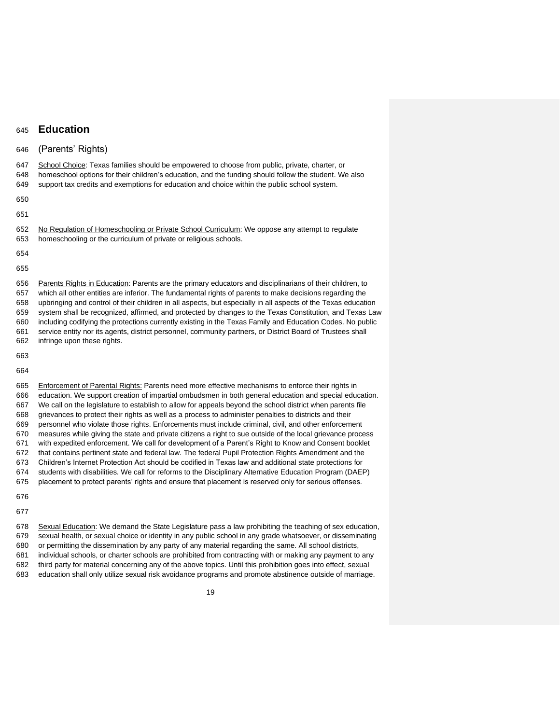### **Education**

#### (Parents' Rights)

647 School Choice: Texas families should be empowered to choose from public, private, charter, or homeschool options for their children's education, and the funding should follow the student. We also support tax credits and exemptions for education and choice within the public school system.

- 
- 

 No Regulation of Homeschooling or Private School Curriculum: We oppose any attempt to regulate homeschooling or the curriculum of private or religious schools.

#### 

 Parents Rights in Education: Parents are the primary educators and disciplinarians of their children, to which all other entities are inferior. The fundamental rights of parents to make decisions regarding the upbringing and control of their children in all aspects, but especially in all aspects of the Texas education system shall be recognized, affirmed, and protected by changes to the Texas Constitution, and Texas Law including codifying the protections currently existing in the Texas Family and Education Codes. No public service entity nor its agents, district personnel, community partners, or District Board of Trustees shall infringe upon these rights.

665 Enforcement of Parental Rights: Parents need more effective mechanisms to enforce their rights in education. We support creation of impartial ombudsmen in both general education and special education. We call on the legislature to establish to allow for appeals beyond the school district when parents file grievances to protect their rights as well as a process to administer penalties to districts and their personnel who violate those rights. Enforcements must include criminal, civil, and other enforcement measures while giving the state and private citizens a right to sue outside of the local grievance process with expedited enforcement. We call for development of a Parent's Right to Know and Consent booklet that contains pertinent state and federal law. The federal Pupil Protection Rights Amendment and the Children's Internet Protection Act should be codified in Texas law and additional state protections for students with disabilities. We call for reforms to the Disciplinary Alternative Education Program (DAEP) placement to protect parents' rights and ensure that placement is reserved only for serious offenses.

- 
- 

678 Sexual Education: We demand the State Legislature pass a law prohibiting the teaching of sex education, sexual health, or sexual choice or identity in any public school in any grade whatsoever, or disseminating or permitting the dissemination by any party of any material regarding the same. All school districts, individual schools, or charter schools are prohibited from contracting with or making any payment to any third party for material concerning any of the above topics. Until this prohibition goes into effect, sexual education shall only utilize sexual risk avoidance programs and promote abstinence outside of marriage.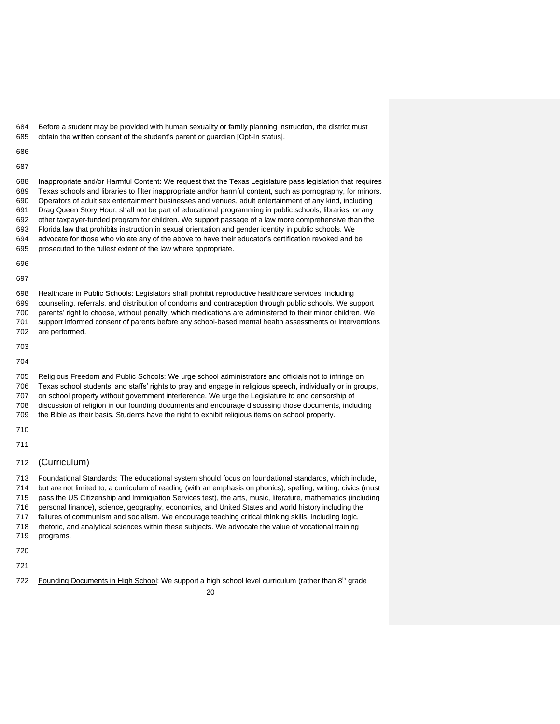Before a student may be provided with human sexuality or family planning instruction, the district must obtain the written consent of the student's parent or guardian [Opt-In status].

688 Inappropriate and/or Harmful Content: We request that the Texas Legislature pass legislation that requires Texas schools and libraries to filter inappropriate and/or harmful content, such as pornography, for minors. Operators of adult sex entertainment businesses and venues, adult entertainment of any kind, including Drag Queen Story Hour, shall not be part of educational programming in public schools, libraries, or any other taxpayer-funded program for children. We support passage of a law more comprehensive than the Florida law that prohibits instruction in sexual orientation and gender identity in public schools. We advocate for those who violate any of the above to have their educator's certification revoked and be prosecuted to the fullest extent of the law where appropriate.

 Healthcare in Public Schools: Legislators shall prohibit reproductive healthcare services, including counseling, referrals, and distribution of condoms and contraception through public schools. We support parents' right to choose, without penalty, which medications are administered to their minor children. We support informed consent of parents before any school-based mental health assessments or interventions are performed.

 Religious Freedom and Public Schools: We urge school administrators and officials not to infringe on Texas school students' and staffs' rights to pray and engage in religious speech, individually or in groups, on school property without government interference. We urge the Legislature to end censorship of discussion of religion in our founding documents and encourage discussing those documents, including the Bible as their basis. Students have the right to exhibit religious items on school property.

#### (Curriculum)

713 Foundational Standards: The educational system should focus on foundational standards, which include, but are not limited to, a curriculum of reading (with an emphasis on phonics), spelling, writing, civics (must pass the US Citizenship and Immigration Services test), the arts, music, literature, mathematics (including personal finance), science, geography, economics, and United States and world history including the failures of communism and socialism. We encourage teaching critical thinking skills, including logic, rhetoric, and analytical sciences within these subjects. We advocate the value of vocational training programs.

 

722 Founding Documents in High School: We support a high school level curriculum (rather than 8th grade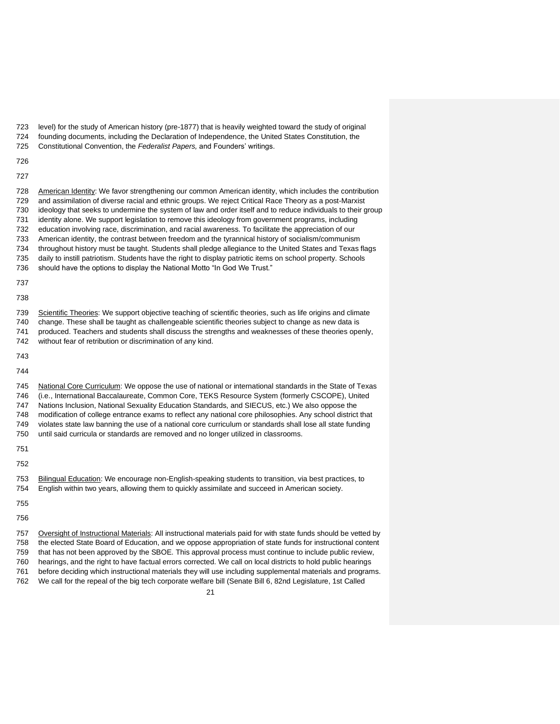level) for the study of American history (pre-1877) that is heavily weighted toward the study of original founding documents, including the Declaration of Independence, the United States Constitution, the

Constitutional Convention, the *Federalist Papers,* and Founders' writings.

728 American Identity: We favor strengthening our common American identity, which includes the contribution and assimilation of diverse racial and ethnic groups. We reject Critical Race Theory as a post-Marxist ideology that seeks to undermine the system of law and order itself and to reduce individuals to their group identity alone. We support legislation to remove this ideology from government programs, including education involving race, discrimination, and racial awareness. To facilitate the appreciation of our American identity, the contrast between freedom and the tyrannical history of socialism/communism throughout history must be taught. Students shall pledge allegiance to the United States and Texas flags daily to instill patriotism. Students have the right to display patriotic items on school property. Schools should have the options to display the National Motto "In God We Trust."

739 Scientific Theories: We support objective teaching of scientific theories, such as life origins and climate change. These shall be taught as challengeable scientific theories subject to change as new data is produced. Teachers and students shall discuss the strengths and weaknesses of these theories openly,

without fear of retribution or discrimination of any kind.

 National Core Curriculum: We oppose the use of national or international standards in the State of Texas (i.e., International Baccalaureate, Common Core, TEKS Resource System (formerly CSCOPE), United Nations Inclusion, National Sexuality Education Standards, and SIECUS, etc.) We also oppose the modification of college entrance exams to reflect any national core philosophies. Any school district that violates state law banning the use of a national core curriculum or standards shall lose all state funding until said curricula or standards are removed and no longer utilized in classrooms.

- 753 Bilingual Education: We encourage non-English-speaking students to transition, via best practices, to English within two years, allowing them to quickly assimilate and succeed in American society.
- 

 Oversight of Instructional Materials: All instructional materials paid for with state funds should be vetted by the elected State Board of Education, and we oppose appropriation of state funds for instructional content that has not been approved by the SBOE. This approval process must continue to include public review, hearings, and the right to have factual errors corrected. We call on local districts to hold public hearings before deciding which instructional materials they will use including supplemental materials and programs. We call for the repeal of the big tech corporate welfare bill (Senate Bill 6, 82nd Legislature, 1st Called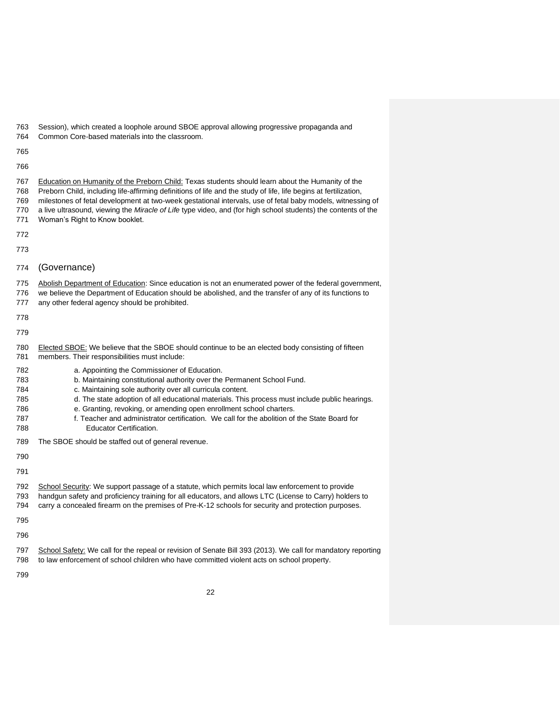Session), which created a loophole around SBOE approval allowing progressive propaganda and Common Core-based materials into the classroom. 767 Education on Humanity of the Preborn Child: Texas students should learn about the Humanity of the Preborn Child, including life-affirming definitions of life and the study of life, life begins at fertilization, milestones of fetal development at two-week gestational intervals, use of fetal baby models, witnessing of a live ultrasound, viewing the *Miracle of Life* type video, and (for high school students) the contents of the Woman's Right to Know booklet. (Governance) Abolish Department of Education: Since education is not an enumerated power of the federal government, we believe the Department of Education should be abolished, and the transfer of any of its functions to any other federal agency should be prohibited. Elected SBOE: We believe that the SBOE should continue to be an elected body consisting of fifteen members. Their responsibilities must include: a. Appointing the Commissioner of Education. b. Maintaining constitutional authority over the Permanent School Fund. c. Maintaining sole authority over all curricula content. d. The state adoption of all educational materials. This process must include public hearings. e. Granting, revoking, or amending open enrollment school charters. f. Teacher and administrator certification. We call for the abolition of the State Board for Educator Certification. The SBOE should be staffed out of general revenue. 792 School Security: We support passage of a statute, which permits local law enforcement to provide handgun safety and proficiency training for all educators, and allows LTC (License to Carry) holders to carry a concealed firearm on the premises of Pre-K-12 schools for security and protection purposes. 797 School Safety: We call for the repeal or revision of Senate Bill 393 (2013). We call for mandatory reporting to law enforcement of school children who have committed violent acts on school property.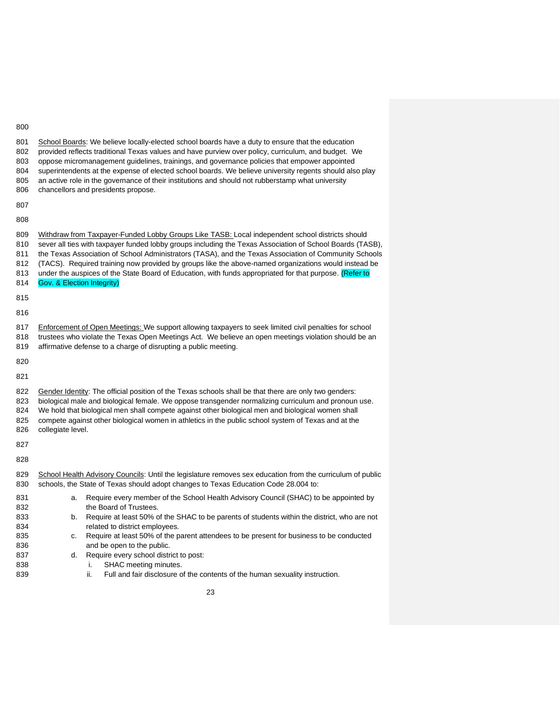School Boards: We believe locally-elected school boards have a duty to ensure that the education provided reflects traditional Texas values and have purview over policy, curriculum, and budget. We oppose micromanagement guidelines, trainings, and governance policies that empower appointed superintendents at the expense of elected school boards. We believe university regents should also play an active role in the governance of their institutions and should not rubberstamp what university chancellors and presidents propose. 809 Withdraw from Taxpayer-Funded Lobby Groups Like TASB: Local independent school districts should sever all ties with taxpayer funded lobby groups including the Texas Association of School Boards (TASB),

 the Texas Association of School Administrators (TASA), and the Texas Association of Community Schools (TACS). Required training now provided by groups like the above-named organizations would instead be 813 under the auspices of the State Board of Education, with funds appropriated for that purpose. (Refer to 814 Gov. & Election Integrity)

- 
- 

- 
- 817 Enforcement of Open Meetings: We support allowing taxpayers to seek limited civil penalties for school trustees who violate the Texas Open Meetings Act. We believe an open meetings violation should be an affirmative defense to a charge of disrupting a public meeting.
- 
- 
- 

822 Gender Identity: The official position of the Texas schools shall be that there are only two genders: biological male and biological female. We oppose transgender normalizing curriculum and pronoun use. We hold that biological men shall compete against other biological men and biological women shall compete against other biological women in athletics in the public school system of Texas and at the collegiate level.

| 829 |                                                                                     | School Health Advisory Councils: Until the legislature removes sex education from the curriculum of public |
|-----|-------------------------------------------------------------------------------------|------------------------------------------------------------------------------------------------------------|
| 830 | schools, the State of Texas should adopt changes to Texas Education Code 28.004 to: |                                                                                                            |
| 831 |                                                                                     | a. Require every member of the School Health Advisory Council (SHAC) to be appointed by                    |
| 832 |                                                                                     | the Board of Trustees.                                                                                     |

- b. Require at least 50% of the SHAC to be parents of students within the district, who are not **related to district employees.**
- c. Require at least 50% of the parent attendees to be present for business to be conducted 836 and be open to the public.
- d. Require every school district to post:
- i. SHAC meeting minutes.
- 839 ii. Full and fair disclosure of the contents of the human sexuality instruction.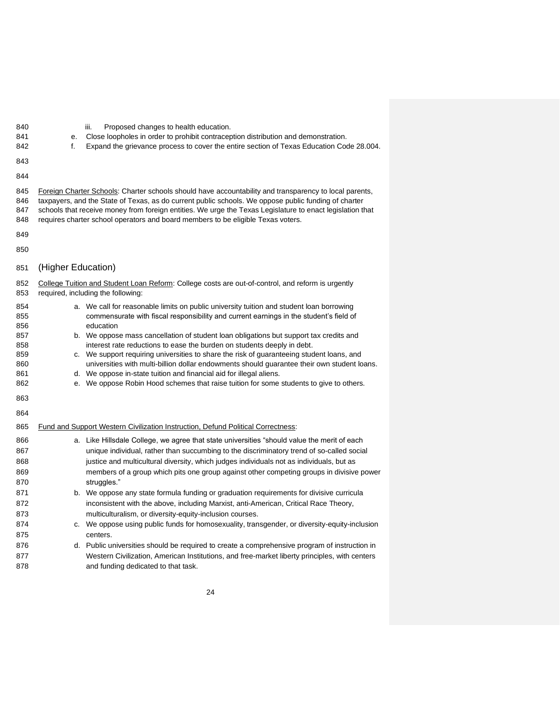| 840<br>841<br>842                                                  | iii.<br>Proposed changes to health education.<br>Close loopholes in order to prohibit contraception distribution and demonstration.<br>е.<br>f.<br>Expand the grievance process to cover the entire section of Texas Education Code 28.004.                                                                                                                                                                                                                                                                                                                                                                                                                                                                                        |
|--------------------------------------------------------------------|------------------------------------------------------------------------------------------------------------------------------------------------------------------------------------------------------------------------------------------------------------------------------------------------------------------------------------------------------------------------------------------------------------------------------------------------------------------------------------------------------------------------------------------------------------------------------------------------------------------------------------------------------------------------------------------------------------------------------------|
| 843                                                                |                                                                                                                                                                                                                                                                                                                                                                                                                                                                                                                                                                                                                                                                                                                                    |
| 844                                                                |                                                                                                                                                                                                                                                                                                                                                                                                                                                                                                                                                                                                                                                                                                                                    |
| 845<br>846<br>847<br>848                                           | Foreign Charter Schools: Charter schools should have accountability and transparency to local parents,<br>taxpayers, and the State of Texas, as do current public schools. We oppose public funding of charter<br>schools that receive money from foreign entities. We urge the Texas Legislature to enact legislation that<br>requires charter school operators and board members to be eligible Texas voters.                                                                                                                                                                                                                                                                                                                    |
| 849                                                                |                                                                                                                                                                                                                                                                                                                                                                                                                                                                                                                                                                                                                                                                                                                                    |
| 850                                                                |                                                                                                                                                                                                                                                                                                                                                                                                                                                                                                                                                                                                                                                                                                                                    |
| 851                                                                | (Higher Education)                                                                                                                                                                                                                                                                                                                                                                                                                                                                                                                                                                                                                                                                                                                 |
| 852<br>853                                                         | College Tuition and Student Loan Reform: College costs are out-of-control, and reform is urgently<br>required, including the following:                                                                                                                                                                                                                                                                                                                                                                                                                                                                                                                                                                                            |
| 854<br>855<br>856<br>857<br>858<br>859<br>860<br>861<br>862<br>863 | a. We call for reasonable limits on public university tuition and student loan borrowing<br>commensurate with fiscal responsibility and current earnings in the student's field of<br>education<br>b. We oppose mass cancellation of student loan obligations but support tax credits and<br>interest rate reductions to ease the burden on students deeply in debt.<br>c. We support requiring universities to share the risk of guaranteeing student loans, and<br>universities with multi-billion dollar endowments should guarantee their own student loans.<br>d. We oppose in-state tuition and financial aid for illegal aliens.<br>e. We oppose Robin Hood schemes that raise tuition for some students to give to others. |
| 864                                                                |                                                                                                                                                                                                                                                                                                                                                                                                                                                                                                                                                                                                                                                                                                                                    |
| 865                                                                | Fund and Support Western Civilization Instruction, Defund Political Correctness:                                                                                                                                                                                                                                                                                                                                                                                                                                                                                                                                                                                                                                                   |
| 866<br>867<br>868<br>869<br>870                                    | a. Like Hillsdale College, we agree that state universities "should value the merit of each<br>unique individual, rather than succumbing to the discriminatory trend of so-called social<br>justice and multicultural diversity, which judges individuals not as individuals, but as<br>members of a group which pits one group against other competing groups in divisive power<br>struggles."                                                                                                                                                                                                                                                                                                                                    |
| 871<br>872<br>873                                                  | b. We oppose any state formula funding or graduation requirements for divisive curricula<br>inconsistent with the above, including Marxist, anti-American, Critical Race Theory,<br>multiculturalism, or diversity-equity-inclusion courses.                                                                                                                                                                                                                                                                                                                                                                                                                                                                                       |
| 874                                                                | c. We oppose using public funds for homosexuality, transgender, or diversity-equity-inclusion                                                                                                                                                                                                                                                                                                                                                                                                                                                                                                                                                                                                                                      |
| 875<br>876<br>877<br>878                                           | centers.<br>d. Public universities should be required to create a comprehensive program of instruction in<br>Western Civilization, American Institutions, and free-market liberty principles, with centers<br>and funding dedicated to that task.                                                                                                                                                                                                                                                                                                                                                                                                                                                                                  |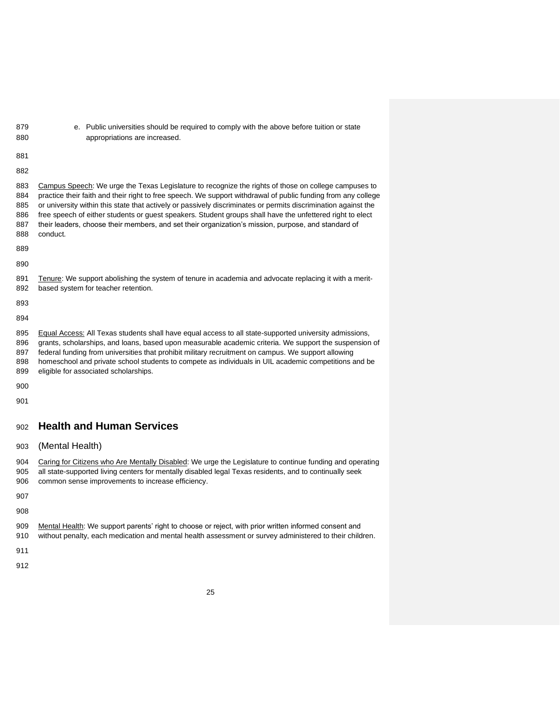879 e. Public universities should be required to comply with the above before tuition or state appropriations are increased.

883 Campus Speech: We urge the Texas Legislature to recognize the rights of those on college campuses to 884 practice their faith and their right to free speech. We support withdrawal of public funding from any college 885 or university within this state that actively or passively discriminates or permits discrimination against the free speech of either students or guest speakers. Student groups shall have the unfettered right to elect their leaders, choose their members, and set their organization's mission, purpose, and standard of conduct.

891 Tenure: We support abolishing the system of tenure in academia and advocate replacing it with a merit-based system for teacher retention.

895 Equal Access: All Texas students shall have equal access to all state-supported university admissions, grants, scholarships, and loans, based upon measurable academic criteria. We support the suspension of federal funding from universities that prohibit military recruitment on campus. We support allowing homeschool and private school students to compete as individuals in UIL academic competitions and be eligible for associated scholarships.

### **Health and Human Services**

(Mental Health)

904 Caring for Citizens who Are Mentally Disabled: We urge the Legislature to continue funding and operating all state-supported living centers for mentally disabled legal Texas residents, and to continually seek common sense improvements to increase efficiency.

- 
- Mental Health: We support parents' right to choose or reject, with prior written informed consent and
- without penalty, each medication and mental health assessment or survey administered to their children.
- 
-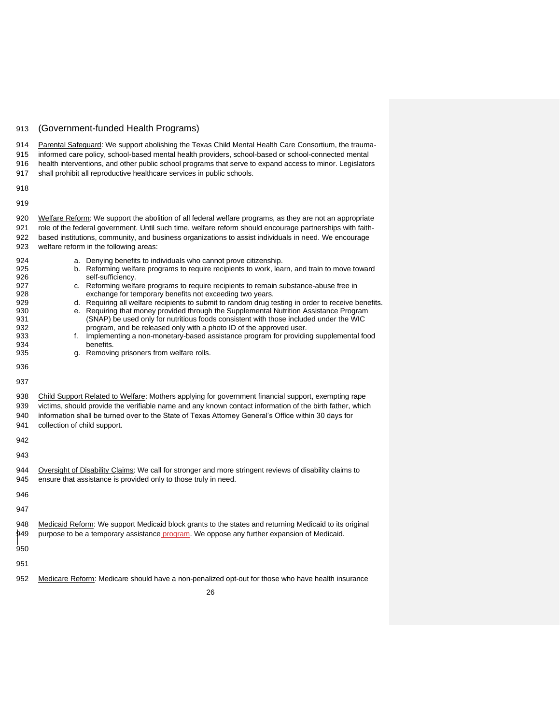#### (Government-funded Health Programs)

914 Parental Safeguard: We support abolishing the Texas Child Mental Health Care Consortium, the trauma-informed care policy, school-based mental health providers, school-based or school-connected mental

health interventions, and other public school programs that serve to expand access to minor. Legislators

shall prohibit all reproductive healthcare services in public schools.

920 Welfare Reform: We support the abolition of all federal welfare programs, as they are not an appropriate role of the federal government. Until such time, welfare reform should encourage partnerships with faith- based institutions, community, and business organizations to assist individuals in need. We encourage welfare reform in the following areas:

| 924 |                              | a. Denying benefits to individuals who cannot prove citizenship.                                         |
|-----|------------------------------|----------------------------------------------------------------------------------------------------------|
| 925 |                              | b. Reforming welfare programs to require recipients to work, learn, and train to move toward             |
| 926 |                              | self-sufficiency.                                                                                        |
| 927 |                              | c. Reforming welfare programs to require recipients to remain substance-abuse free in                    |
| 928 |                              | exchange for temporary benefits not exceeding two years.                                                 |
| 929 |                              | d. Requiring all welfare recipients to submit to random drug testing in order to receive benefits.       |
| 930 |                              | e. Requiring that money provided through the Supplemental Nutrition Assistance Program                   |
| 931 |                              | (SNAP) be used only for nutritious foods consistent with those included under the WIC                    |
| 932 |                              | program, and be released only with a photo ID of the approved user.                                      |
| 933 | f.                           | Implementing a non-monetary-based assistance program for providing supplemental food                     |
| 934 |                              | benefits.                                                                                                |
| 935 |                              | g. Removing prisoners from welfare rolls.                                                                |
| 936 |                              |                                                                                                          |
| 937 |                              |                                                                                                          |
| 938 |                              | Child Support Related to Welfare: Mothers applying for government financial support, exempting rape      |
| 939 |                              | victims, should provide the verifiable name and any known contact information of the birth father, which |
| 940 |                              | information shall be turned over to the State of Texas Attorney General's Office within 30 days for      |
| 941 | collection of child support. |                                                                                                          |
|     |                              |                                                                                                          |
| 942 |                              |                                                                                                          |
|     |                              |                                                                                                          |
| 943 |                              |                                                                                                          |
| 944 |                              | Oversight of Disability Claims: We call for stronger and more stringent reviews of disability claims to  |
| 945 |                              | ensure that assistance is provided only to those truly in need.                                          |
|     |                              |                                                                                                          |
| 946 |                              |                                                                                                          |
| 947 |                              |                                                                                                          |
| 948 |                              | Medicaid Reform: We support Medicaid block grants to the states and returning Medicaid to its original   |
| 949 |                              | purpose to be a temporary assistance program. We oppose any further expansion of Medicaid.               |
|     |                              |                                                                                                          |
| 950 |                              |                                                                                                          |
|     |                              |                                                                                                          |
| 951 |                              |                                                                                                          |
|     |                              |                                                                                                          |

952 Medicare Reform: Medicare should have a non-penalized opt-out for those who have health insurance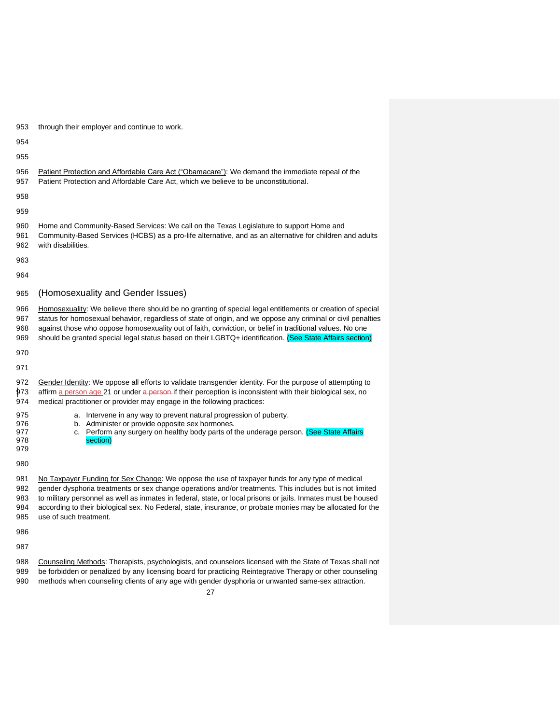through their employer and continue to work. 956 Patient Protection and Affordable Care Act ("Obamacare"): We demand the immediate repeal of the Patient Protection and Affordable Care Act, which we believe to be unconstitutional. 960 Home and Community-Based Services: We call on the Texas Legislature to support Home and Community-Based Services (HCBS) as a pro-life alternative, and as an alternative for children and adults with disabilities. (Homosexuality and Gender Issues) Homosexuality: We believe there should be no granting of special legal entitlements or creation of special status for homosexual behavior, regardless of state of origin, and we oppose any criminal or civil penalties against those who oppose homosexuality out of faith, conviction, or belief in traditional values. No one 969 should be granted special legal status based on their LGBTQ+ identification. (See State Affairs section) 972 Gender Identity: We oppose all efforts to validate transgender identity. For the purpose of attempting to 973 affirm a person age 21 or under a person if their perception is inconsistent with their biological sex, no medical practitioner or provider may engage in the following practices: a. Intervene in any way to prevent natural progression of puberty. 976 b. Administer or provide opposite sex hormones.<br>977 c. Perform any surgery on healthy body parts of the state. c. Perform any surgery on healthy body parts of the underage person. (See State Affairs 978 section) 981 No Taxpayer Funding for Sex Change: We oppose the use of taxpayer funds for any type of medical gender dysphoria treatments or sex change operations and/or treatments. This includes but is not limited to military personnel as well as inmates in federal, state, or local prisons or jails. Inmates must be housed according to their biological sex. No Federal, state, insurance, or probate monies may be allocated for the use of such treatment. 988 Counseling Methods: Therapists, psychologists, and counselors licensed with the State of Texas shall not

 be forbidden or penalized by any licensing board for practicing Reintegrative Therapy or other counseling methods when counseling clients of any age with gender dysphoria or unwanted same-sex attraction.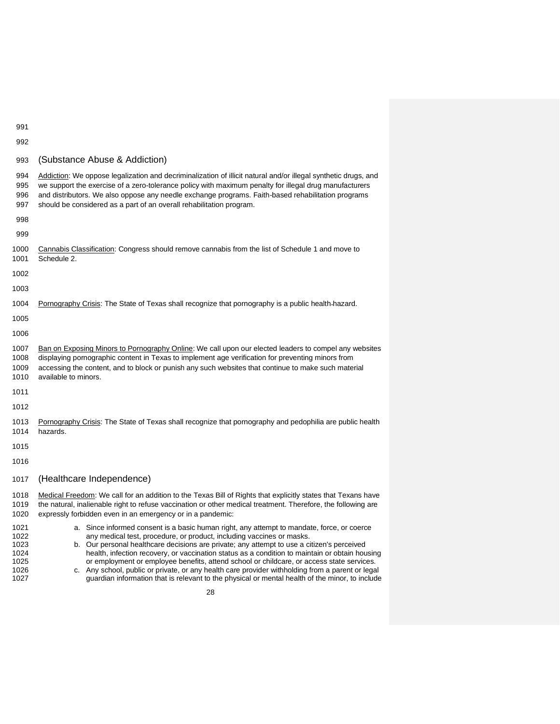| 991                                                  |                                                                                                                                                                                                                                                                                                                                                                                                                                                                                                                                                                                                                                                                         |
|------------------------------------------------------|-------------------------------------------------------------------------------------------------------------------------------------------------------------------------------------------------------------------------------------------------------------------------------------------------------------------------------------------------------------------------------------------------------------------------------------------------------------------------------------------------------------------------------------------------------------------------------------------------------------------------------------------------------------------------|
| 992                                                  |                                                                                                                                                                                                                                                                                                                                                                                                                                                                                                                                                                                                                                                                         |
| 993                                                  | (Substance Abuse & Addiction)                                                                                                                                                                                                                                                                                                                                                                                                                                                                                                                                                                                                                                           |
| 994<br>995<br>996<br>997                             | Addiction: We oppose legalization and decriminalization of illicit natural and/or illegal synthetic drugs, and<br>we support the exercise of a zero-tolerance policy with maximum penalty for illegal drug manufacturers<br>and distributors. We also oppose any needle exchange programs. Faith-based rehabilitation programs<br>should be considered as a part of an overall rehabilitation program.                                                                                                                                                                                                                                                                  |
| 998                                                  |                                                                                                                                                                                                                                                                                                                                                                                                                                                                                                                                                                                                                                                                         |
| 999                                                  |                                                                                                                                                                                                                                                                                                                                                                                                                                                                                                                                                                                                                                                                         |
| 1000<br>1001                                         | Cannabis Classification: Congress should remove cannabis from the list of Schedule 1 and move to<br>Schedule 2.                                                                                                                                                                                                                                                                                                                                                                                                                                                                                                                                                         |
| 1002                                                 |                                                                                                                                                                                                                                                                                                                                                                                                                                                                                                                                                                                                                                                                         |
| 1003                                                 |                                                                                                                                                                                                                                                                                                                                                                                                                                                                                                                                                                                                                                                                         |
| 1004                                                 | Pornography Crisis: The State of Texas shall recognize that pornography is a public health-hazard.                                                                                                                                                                                                                                                                                                                                                                                                                                                                                                                                                                      |
| 1005                                                 |                                                                                                                                                                                                                                                                                                                                                                                                                                                                                                                                                                                                                                                                         |
| 1006                                                 |                                                                                                                                                                                                                                                                                                                                                                                                                                                                                                                                                                                                                                                                         |
| 1007<br>1008<br>1009<br>1010                         | Ban on Exposing Minors to Pornography Online: We call upon our elected leaders to compel any websites<br>displaying pornographic content in Texas to implement age verification for preventing minors from<br>accessing the content, and to block or punish any such websites that continue to make such material<br>available to minors.                                                                                                                                                                                                                                                                                                                               |
| 1011                                                 |                                                                                                                                                                                                                                                                                                                                                                                                                                                                                                                                                                                                                                                                         |
| 1012                                                 |                                                                                                                                                                                                                                                                                                                                                                                                                                                                                                                                                                                                                                                                         |
| 1013<br>1014                                         | <b>Pornography Crisis:</b> The State of Texas shall recognize that pornography and pedophilia are public health<br>hazards.                                                                                                                                                                                                                                                                                                                                                                                                                                                                                                                                             |
| 1015                                                 |                                                                                                                                                                                                                                                                                                                                                                                                                                                                                                                                                                                                                                                                         |
| 1016                                                 |                                                                                                                                                                                                                                                                                                                                                                                                                                                                                                                                                                                                                                                                         |
| 1017                                                 | (Healthcare Independence)                                                                                                                                                                                                                                                                                                                                                                                                                                                                                                                                                                                                                                               |
| 1018<br>1019<br>1020                                 | Medical Freedom: We call for an addition to the Texas Bill of Rights that explicitly states that Texans have<br>the natural, inalienable right to refuse vaccination or other medical treatment. Therefore, the following are<br>expressly forbidden even in an emergency or in a pandemic:                                                                                                                                                                                                                                                                                                                                                                             |
| 1021<br>1022<br>1023<br>1024<br>1025<br>1026<br>1027 | a. Since informed consent is a basic human right, any attempt to mandate, force, or coerce<br>any medical test, procedure, or product, including vaccines or masks.<br>b. Our personal healthcare decisions are private; any attempt to use a citizen's perceived<br>health, infection recovery, or vaccination status as a condition to maintain or obtain housing<br>or employment or employee benefits, attend school or childcare, or access state services.<br>c. Any school, public or private, or any health care provider withholding from a parent or legal<br>guardian information that is relevant to the physical or mental health of the minor, to include |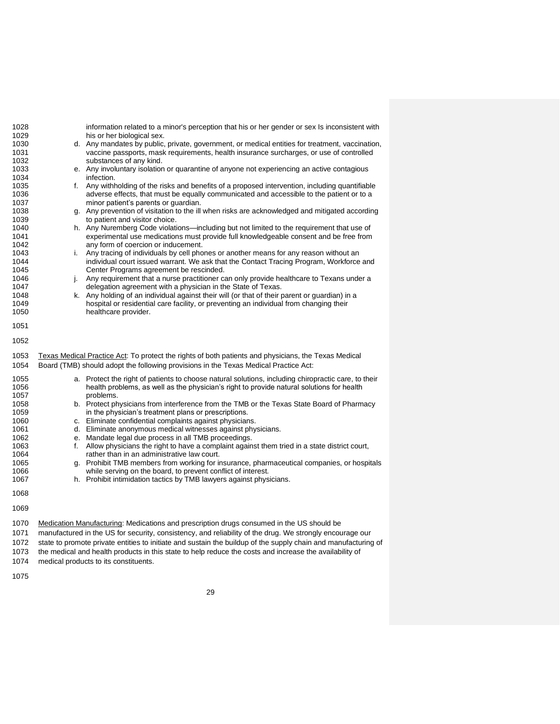| 1028 |    | information related to a minor's perception that his or her gender or sex Is inconsistent with                 |
|------|----|----------------------------------------------------------------------------------------------------------------|
| 1029 |    | his or her biological sex.                                                                                     |
| 1030 |    | d. Any mandates by public, private, government, or medical entities for treatment, vaccination,                |
| 1031 |    | vaccine passports, mask requirements, health insurance surcharges, or use of controlled                        |
| 1032 |    | substances of any kind.                                                                                        |
| 1033 |    | e. Any involuntary isolation or quarantine of anyone not experiencing an active contagious                     |
| 1034 |    | infection.                                                                                                     |
| 1035 | f. | Any withholding of the risks and benefits of a proposed intervention, including quantifiable                   |
| 1036 |    | adverse effects, that must be equally communicated and accessible to the patient or to a                       |
| 1037 |    | minor patient's parents or guardian.                                                                           |
| 1038 |    | g. Any prevention of visitation to the ill when risks are acknowledged and mitigated according                 |
| 1039 |    | to patient and visitor choice.                                                                                 |
| 1040 |    | h. Any Nuremberg Code violations-including but not limited to the requirement that use of                      |
|      |    |                                                                                                                |
| 1041 |    | experimental use medications must provide full knowledgeable consent and be free from                          |
| 1042 |    | any form of coercion or inducement.                                                                            |
| 1043 | i. | Any tracing of individuals by cell phones or another means for any reason without an                           |
| 1044 |    | individual court issued warrant. We ask that the Contact Tracing Program, Workforce and                        |
| 1045 |    | Center Programs agreement be rescinded.                                                                        |
| 1046 | j. | Any requirement that a nurse practitioner can only provide healthcare to Texans under a                        |
| 1047 |    | delegation agreement with a physician in the State of Texas.                                                   |
| 1048 |    | k. Any holding of an individual against their will (or that of their parent or guardian) in a                  |
| 1049 |    | hospital or residential care facility, or preventing an individual from changing their                         |
| 1050 |    | healthcare provider.                                                                                           |
| 1051 |    |                                                                                                                |
| 1052 |    |                                                                                                                |
|      |    |                                                                                                                |
| 1053 |    | Texas Medical Practice Act: To protect the rights of both patients and physicians, the Texas Medical           |
| 1054 |    | Board (TMB) should adopt the following provisions in the Texas Medical Practice Act:                           |
|      |    |                                                                                                                |
| 1055 |    | a. Protect the right of patients to choose natural solutions, including chiropractic care, to their            |
| 1056 |    | health problems, as well as the physician's right to provide natural solutions for health                      |
| 1057 |    | problems.                                                                                                      |
| 1058 |    | b. Protect physicians from interference from the TMB or the Texas State Board of Pharmacy                      |
| 1059 |    | in the physician's treatment plans or prescriptions.                                                           |
| 1060 |    | c. Eliminate confidential complaints against physicians.                                                       |
| 1061 |    | d. Eliminate anonymous medical witnesses against physicians.                                                   |
| 1062 |    | e. Mandate legal due process in all TMB proceedings.                                                           |
| 1063 | f. | Allow physicians the right to have a complaint against them tried in a state district court,                   |
| 1064 |    | rather than in an administrative law court.                                                                    |
| 1065 |    | g. Prohibit TMB members from working for insurance, pharmaceutical companies, or hospitals                     |
| 1066 |    | while serving on the board, to prevent conflict of interest.                                                   |
| 1067 |    | h. Prohibit intimidation tactics by TMB lawyers against physicians.                                            |
| 1068 |    |                                                                                                                |
|      |    |                                                                                                                |
| 1069 |    |                                                                                                                |
| 1070 |    | Medication Manufacturing: Medications and prescription drugs consumed in the US should be                      |
| 1071 |    | manufactured in the US for security, consistency, and reliability of the drug. We strongly encourage our       |
|      |    |                                                                                                                |
| 1072 |    | state to promote private entities to initiate and sustain the buildup of the supply chain and manufacturing of |
| 1073 |    | the medical and health products in this state to help reduce the costs and increase the availability of        |

medical products to its constituents.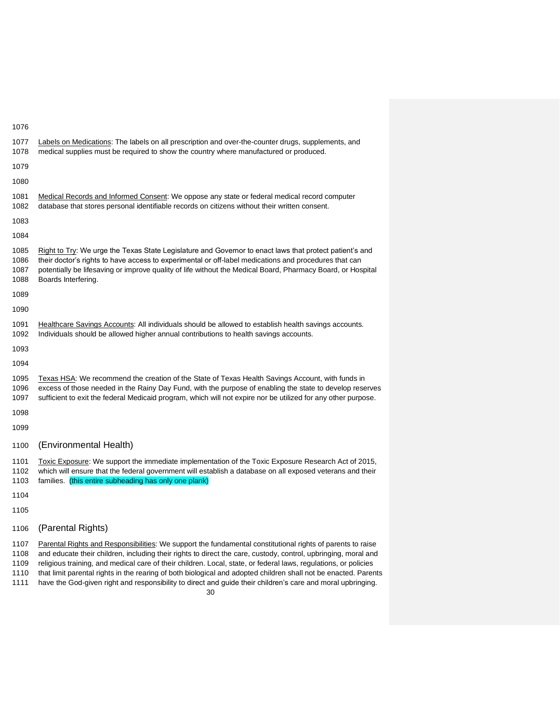Labels on Medications: The labels on all prescription and over-the-counter drugs, supplements, and medical supplies must be required to show the country where manufactured or produced. 1081 Medical Records and Informed Consent: We oppose any state or federal medical record computer database that stores personal identifiable records on citizens without their written consent. 1085 Right to Try: We urge the Texas State Legislature and Governor to enact laws that protect patient's and their doctor's rights to have access to experimental or off-label medications and procedures that can potentially be lifesaving or improve quality of life without the Medical Board, Pharmacy Board, or Hospital Boards Interfering. 1091 Healthcare Savings Accounts: All individuals should be allowed to establish health savings accounts. Individuals should be allowed higher annual contributions to health savings accounts. Texas HSA: We recommend the creation of the State of Texas Health Savings Account, with funds in excess of those needed in the Rainy Day Fund, with the purpose of enabling the state to develop reserves sufficient to exit the federal Medicaid program, which will not expire nor be utilized for any other purpose. (Environmental Health) 1101 Toxic Exposure: We support the immediate implementation of the Toxic Exposure Research Act of 2015, which will ensure that the federal government will establish a database on all exposed veterans and their 1103 families. (this entire subheading has only one plank) (Parental Rights) 1107 Parental Rights and Responsibilities: We support the fundamental constitutional rights of parents to raise and educate their children, including their rights to direct the care, custody, control, upbringing, moral and religious training, and medical care of their children. Local, state, or federal laws, regulations, or policies that limit parental rights in the rearing of both biological and adopted children shall not be enacted. Parents have the God-given right and responsibility to direct and guide their children's care and moral upbringing.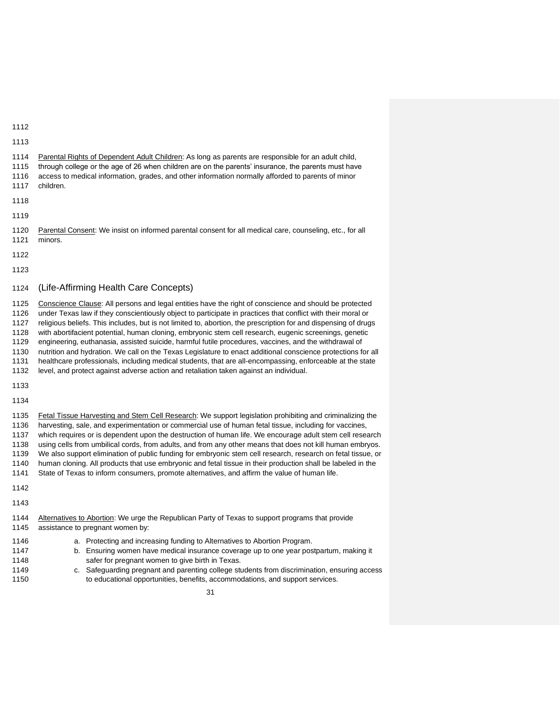- 
- 

| 1113                                                         |                                                                                                                                                                                                                                                                                                                                                                                                                                                                                                                                                                                                                                                                                                                                                                                                                                                                                     |
|--------------------------------------------------------------|-------------------------------------------------------------------------------------------------------------------------------------------------------------------------------------------------------------------------------------------------------------------------------------------------------------------------------------------------------------------------------------------------------------------------------------------------------------------------------------------------------------------------------------------------------------------------------------------------------------------------------------------------------------------------------------------------------------------------------------------------------------------------------------------------------------------------------------------------------------------------------------|
| 1114<br>1115<br>1116<br>1117                                 | Parental Rights of Dependent Adult Children: As long as parents are responsible for an adult child,<br>through college or the age of 26 when children are on the parents' insurance, the parents must have<br>access to medical information, grades, and other information normally afforded to parents of minor<br>children.                                                                                                                                                                                                                                                                                                                                                                                                                                                                                                                                                       |
| 1118                                                         |                                                                                                                                                                                                                                                                                                                                                                                                                                                                                                                                                                                                                                                                                                                                                                                                                                                                                     |
| 1119                                                         |                                                                                                                                                                                                                                                                                                                                                                                                                                                                                                                                                                                                                                                                                                                                                                                                                                                                                     |
| 1120<br>1121                                                 | Parental Consent: We insist on informed parental consent for all medical care, counseling, etc., for all<br>minors.                                                                                                                                                                                                                                                                                                                                                                                                                                                                                                                                                                                                                                                                                                                                                                 |
| 1122                                                         |                                                                                                                                                                                                                                                                                                                                                                                                                                                                                                                                                                                                                                                                                                                                                                                                                                                                                     |
| 1123                                                         |                                                                                                                                                                                                                                                                                                                                                                                                                                                                                                                                                                                                                                                                                                                                                                                                                                                                                     |
| 1124                                                         | (Life-Affirming Health Care Concepts)                                                                                                                                                                                                                                                                                                                                                                                                                                                                                                                                                                                                                                                                                                                                                                                                                                               |
| 1125<br>1126<br>1127<br>1128<br>1129<br>1130<br>1131<br>1132 | Conscience Clause: All persons and legal entities have the right of conscience and should be protected<br>under Texas law if they conscientiously object to participate in practices that conflict with their moral or<br>religious beliefs. This includes, but is not limited to, abortion, the prescription for and dispensing of drugs<br>with abortifacient potential, human cloning, embryonic stem cell research, eugenic screenings, genetic<br>engineering, euthanasia, assisted suicide, harmful futile procedures, vaccines, and the withdrawal of<br>nutrition and hydration. We call on the Texas Legislature to enact additional conscience protections for all<br>healthcare professionals, including medical students, that are all-encompassing, enforceable at the state<br>level, and protect against adverse action and retaliation taken against an individual. |
| 1133                                                         |                                                                                                                                                                                                                                                                                                                                                                                                                                                                                                                                                                                                                                                                                                                                                                                                                                                                                     |
| 1134<br>1135<br>1136<br>1137<br>1138<br>1139<br>1140<br>1141 | Fetal Tissue Harvesting and Stem Cell Research: We support legislation prohibiting and criminalizing the<br>harvesting, sale, and experimentation or commercial use of human fetal tissue, including for vaccines,<br>which requires or is dependent upon the destruction of human life. We encourage adult stem cell research<br>using cells from umbilical cords, from adults, and from any other means that does not kill human embryos.<br>We also support elimination of public funding for embryonic stem cell research, research on fetal tissue, or<br>human cloning. All products that use embryonic and fetal tissue in their production shall be labeled in the<br>State of Texas to inform consumers, promote alternatives, and affirm the value of human life.                                                                                                         |
| 1142                                                         |                                                                                                                                                                                                                                                                                                                                                                                                                                                                                                                                                                                                                                                                                                                                                                                                                                                                                     |
| 1143                                                         |                                                                                                                                                                                                                                                                                                                                                                                                                                                                                                                                                                                                                                                                                                                                                                                                                                                                                     |
| 1144<br>1145                                                 | Alternatives to Abortion: We urge the Republican Party of Texas to support programs that provide<br>assistance to pregnant women by:                                                                                                                                                                                                                                                                                                                                                                                                                                                                                                                                                                                                                                                                                                                                                |
| 1146<br>1147<br>1148<br>1149<br>1150                         | a. Protecting and increasing funding to Alternatives to Abortion Program.<br>b. Ensuring women have medical insurance coverage up to one year postpartum, making it<br>safer for pregnant women to give birth in Texas.<br>c. Safeguarding pregnant and parenting college students from discrimination, ensuring access<br>to educational opportunities, benefits, accommodations, and support services.                                                                                                                                                                                                                                                                                                                                                                                                                                                                            |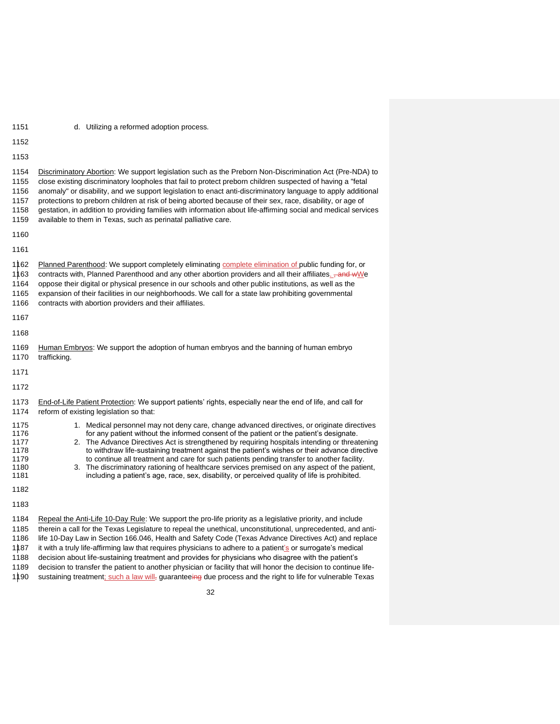| 1151                                                 | d. Utilizing a reformed adoption process.                                                                                                                                                                                                                                                                                                                                                                                                                                                                                                                                                                                                                                                |
|------------------------------------------------------|------------------------------------------------------------------------------------------------------------------------------------------------------------------------------------------------------------------------------------------------------------------------------------------------------------------------------------------------------------------------------------------------------------------------------------------------------------------------------------------------------------------------------------------------------------------------------------------------------------------------------------------------------------------------------------------|
| 1152                                                 |                                                                                                                                                                                                                                                                                                                                                                                                                                                                                                                                                                                                                                                                                          |
| 1153                                                 |                                                                                                                                                                                                                                                                                                                                                                                                                                                                                                                                                                                                                                                                                          |
| 1154<br>1155<br>1156<br>1157<br>1158<br>1159         | Discriminatory Abortion: We support legislation such as the Preborn Non-Discrimination Act (Pre-NDA) to<br>close existing discriminatory loopholes that fail to protect preborn children suspected of having a "fetal<br>anomaly" or disability, and we support legislation to enact anti-discriminatory language to apply additional<br>protections to preborn children at risk of being aborted because of their sex, race, disability, or age of<br>gestation, in addition to providing families with information about life-affirming social and medical services<br>available to them in Texas, such as perinatal palliative care.                                                  |
| 1160                                                 |                                                                                                                                                                                                                                                                                                                                                                                                                                                                                                                                                                                                                                                                                          |
| 1161                                                 |                                                                                                                                                                                                                                                                                                                                                                                                                                                                                                                                                                                                                                                                                          |
| 1162<br>1163<br>1164<br>1165<br>1166                 | Planned Parenthood: We support completely eliminating complete elimination of public funding for, or<br>contracts with, Planned Parenthood and any other abortion providers and all their affiliates. Fand wWe<br>oppose their digital or physical presence in our schools and other public institutions, as well as the<br>expansion of their facilities in our neighborhoods. We call for a state law prohibiting governmental<br>contracts with abortion providers and their affiliates.                                                                                                                                                                                              |
| 1167                                                 |                                                                                                                                                                                                                                                                                                                                                                                                                                                                                                                                                                                                                                                                                          |
| 1168                                                 |                                                                                                                                                                                                                                                                                                                                                                                                                                                                                                                                                                                                                                                                                          |
| 1169<br>1170                                         | Human Embryos: We support the adoption of human embryos and the banning of human embryo<br>trafficking.                                                                                                                                                                                                                                                                                                                                                                                                                                                                                                                                                                                  |
| 1171                                                 |                                                                                                                                                                                                                                                                                                                                                                                                                                                                                                                                                                                                                                                                                          |
| 1172                                                 |                                                                                                                                                                                                                                                                                                                                                                                                                                                                                                                                                                                                                                                                                          |
| 1173<br>1174                                         | End-of-Life Patient Protection: We support patients' rights, especially near the end of life, and call for<br>reform of existing legislation so that:                                                                                                                                                                                                                                                                                                                                                                                                                                                                                                                                    |
| 1175<br>1176<br>1177<br>1178<br>1179<br>1180<br>1181 | 1. Medical personnel may not deny care, change advanced directives, or originate directives<br>for any patient without the informed consent of the patient or the patient's designate.<br>2. The Advance Directives Act is strengthened by requiring hospitals intending or threatening<br>to withdraw life-sustaining treatment against the patient's wishes or their advance directive<br>to continue all treatment and care for such patients pending transfer to another facility.<br>3. The discriminatory rationing of healthcare services premised on any aspect of the patient,<br>including a patient's age, race, sex, disability, or perceived quality of life is prohibited. |
| 1182                                                 |                                                                                                                                                                                                                                                                                                                                                                                                                                                                                                                                                                                                                                                                                          |
| 1183                                                 |                                                                                                                                                                                                                                                                                                                                                                                                                                                                                                                                                                                                                                                                                          |
| 1184<br>1185<br>1186<br>1187<br>1188<br>1189         | Repeal the Anti-Life 10-Day Rule: We support the pro-life priority as a legislative priority, and include<br>therein a call for the Texas Legislature to repeal the unethical, unconstitutional, unprecedented, and anti-<br>life 10-Day Law in Section 166.046, Health and Safety Code (Texas Advance Directives Act) and replace<br>it with a truly life-affirming law that requires physicians to adhere to a patient's or surrogate's medical<br>decision about life-sustaining treatment and provides for physicians who disagree with the patient's<br>decision to transfer the patient to another physician or facility that will honor the decision to continue life-            |

100 sustaining treatment; such a law will<sub>7</sub> guaranteeing due process and the right to life for vulnerable Texas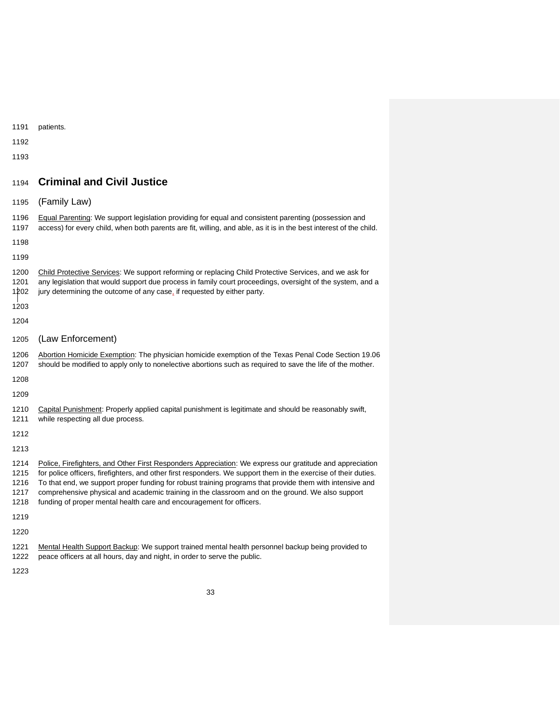| 1191                                 | patients.                                                                                                                                                                                                                                                                                                                                                                                                                                                                                                           |
|--------------------------------------|---------------------------------------------------------------------------------------------------------------------------------------------------------------------------------------------------------------------------------------------------------------------------------------------------------------------------------------------------------------------------------------------------------------------------------------------------------------------------------------------------------------------|
| 1192                                 |                                                                                                                                                                                                                                                                                                                                                                                                                                                                                                                     |
| 1193                                 |                                                                                                                                                                                                                                                                                                                                                                                                                                                                                                                     |
|                                      | <b>Criminal and Civil Justice</b>                                                                                                                                                                                                                                                                                                                                                                                                                                                                                   |
| 1194                                 |                                                                                                                                                                                                                                                                                                                                                                                                                                                                                                                     |
| 1195                                 | (Family Law)                                                                                                                                                                                                                                                                                                                                                                                                                                                                                                        |
| 1196<br>1197                         | <b>Equal Parenting:</b> We support legislation providing for equal and consistent parenting (possession and<br>access) for every child, when both parents are fit, willing, and able, as it is in the best interest of the child.                                                                                                                                                                                                                                                                                   |
| 1198                                 |                                                                                                                                                                                                                                                                                                                                                                                                                                                                                                                     |
| 1199                                 |                                                                                                                                                                                                                                                                                                                                                                                                                                                                                                                     |
| 1200<br>1201<br>1202<br>1203         | Child Protective Services: We support reforming or replacing Child Protective Services, and we ask for<br>any legislation that would support due process in family court proceedings, oversight of the system, and a<br>jury determining the outcome of any case, if requested by either party.                                                                                                                                                                                                                     |
| 1204                                 |                                                                                                                                                                                                                                                                                                                                                                                                                                                                                                                     |
| 1205                                 | (Law Enforcement)                                                                                                                                                                                                                                                                                                                                                                                                                                                                                                   |
| 1206<br>1207                         | Abortion Homicide Exemption: The physician homicide exemption of the Texas Penal Code Section 19.06<br>should be modified to apply only to nonelective abortions such as required to save the life of the mother.                                                                                                                                                                                                                                                                                                   |
| 1208                                 |                                                                                                                                                                                                                                                                                                                                                                                                                                                                                                                     |
| 1209                                 |                                                                                                                                                                                                                                                                                                                                                                                                                                                                                                                     |
| 1210<br>1211                         | Capital Punishment: Properly applied capital punishment is legitimate and should be reasonably swift,<br>while respecting all due process.                                                                                                                                                                                                                                                                                                                                                                          |
| 1212                                 |                                                                                                                                                                                                                                                                                                                                                                                                                                                                                                                     |
| 1213                                 |                                                                                                                                                                                                                                                                                                                                                                                                                                                                                                                     |
| 1214<br>1215<br>1216<br>1217<br>1218 | Police, Firefighters, and Other First Responders Appreciation: We express our gratitude and appreciation<br>for police officers, firefighters, and other first responders. We support them in the exercise of their duties.<br>To that end, we support proper funding for robust training programs that provide them with intensive and<br>comprehensive physical and academic training in the classroom and on the ground. We also support<br>funding of proper mental health care and encouragement for officers. |
| 1219                                 |                                                                                                                                                                                                                                                                                                                                                                                                                                                                                                                     |
| 1220                                 |                                                                                                                                                                                                                                                                                                                                                                                                                                                                                                                     |
| 1221<br>1222                         | Mental Health Support Backup: We support trained mental health personnel backup being provided to<br>peace officers at all hours, day and night, in order to serve the public.                                                                                                                                                                                                                                                                                                                                      |
| 1223                                 |                                                                                                                                                                                                                                                                                                                                                                                                                                                                                                                     |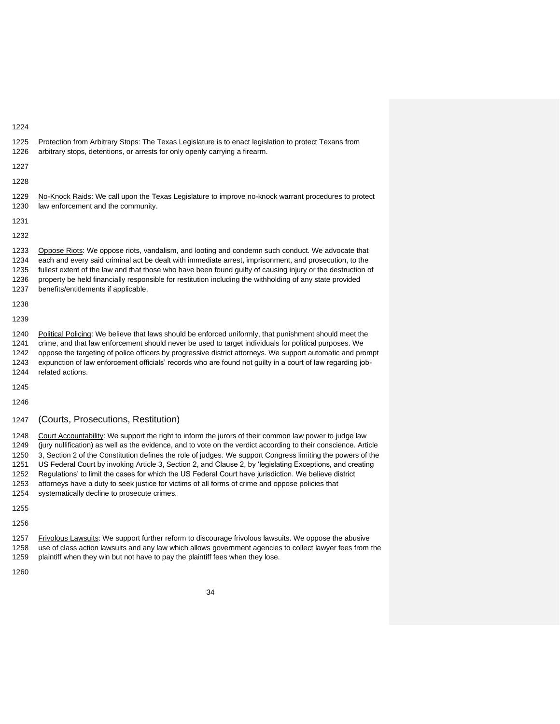Protection from Arbitrary Stops: The Texas Legislature is to enact legislation to protect Texans from arbitrary stops, detentions, or arrests for only openly carrying a firearm. 1229 No-Knock Raids: We call upon the Texas Legislature to improve no-knock warrant procedures to protect law enforcement and the community. 1233 Oppose Riots: We oppose riots, vandalism, and looting and condemn such conduct. We advocate that each and every said criminal act be dealt with immediate arrest, imprisonment, and prosecution, to the fullest extent of the law and that those who have been found guilty of causing injury or the destruction of property be held financially responsible for restitution including the withholding of any state provided benefits/entitlements if applicable. 1240 Political Policing: We believe that laws should be enforced uniformly, that punishment should meet the crime, and that law enforcement should never be used to target individuals for political purposes. We oppose the targeting of police officers by progressive district attorneys. We support automatic and prompt expunction of law enforcement officials' records who are found not guilty in a court of law regarding job-related actions.

- 
- 
- 

#### (Courts, Prosecutions, Restitution)

1248 Court Accountability: We support the right to inform the jurors of their common law power to judge law (jury nullification) as well as the evidence, and to vote on the verdict according to their conscience. Article 3, Section 2 of the Constitution defines the role of judges. We support Congress limiting the powers of the US Federal Court by invoking Article 3, Section 2, and Clause 2, by 'legislating Exceptions, and creating Regulations' to limit the cases for which the US Federal Court have jurisdiction. We believe district attorneys have a duty to seek justice for victims of all forms of crime and oppose policies that

- systematically decline to prosecute crimes.
- 
- 
- 1257 Frivolous Lawsuits: We support further reform to discourage frivolous lawsuits. We oppose the abusive
- use of class action lawsuits and any law which allows government agencies to collect lawyer fees from the
- plaintiff when they win but not have to pay the plaintiff fees when they lose.
-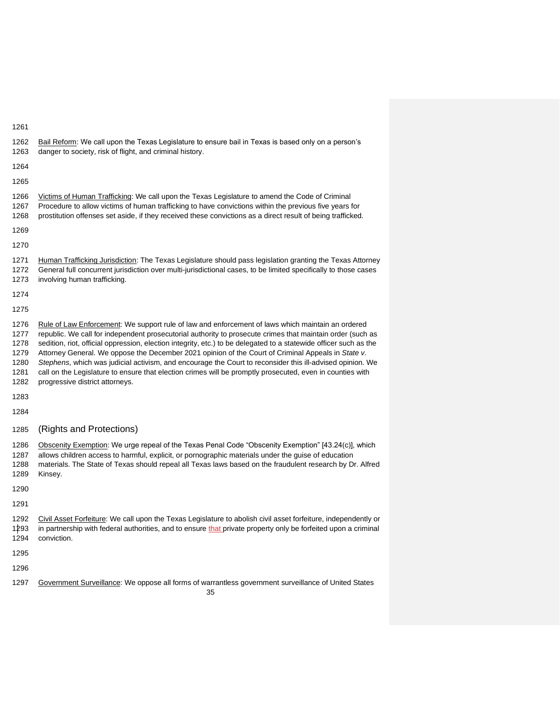Bail Reform: We call upon the Texas Legislature to ensure bail in Texas is based only on a person's danger to society, risk of flight, and criminal history. 1266 Victims of Human Trafficking: We call upon the Texas Legislature to amend the Code of Criminal Procedure to allow victims of human trafficking to have convictions within the previous five years for prostitution offenses set aside, if they received these convictions as a direct result of being trafficked. 1271 Human Trafficking Jurisdiction: The Texas Legislature should pass legislation granting the Texas Attorney General full concurrent jurisdiction over multi-jurisdictional cases, to be limited specifically to those cases involving human trafficking. 1276 Rule of Law Enforcement: We support rule of law and enforcement of laws which maintain an ordered republic. We call for independent prosecutorial authority to prosecute crimes that maintain order (such as sedition, riot, official oppression, election integrity, etc.) to be delegated to a statewide officer such as the Attorney General. We oppose the December 2021 opinion of the Court of Criminal Appeals in *State v. Stephens*, which was judicial activism, and encourage the Court to reconsider this ill-advised opinion. We call on the Legislature to ensure that election crimes will be promptly prosecuted, even in counties with progressive district attorneys. (Rights and Protections) Obscenity Exemption: We urge repeal of the Texas Penal Code "Obscenity Exemption" [43.24(c)], which allows children access to harmful, explicit, or pornographic materials under the guise of education materials. The State of Texas should repeal all Texas laws based on the fraudulent research by Dr. Alfred Kinsey. 1292 Civil Asset Forfeiture: We call upon the Texas Legislature to abolish civil asset forfeiture, independently or 1293 in partnership with federal authorities, and to ensure that private property only be forfeited upon a criminal conviction. 1297 Government Surveillance: We oppose all forms of warrantless government surveillance of United States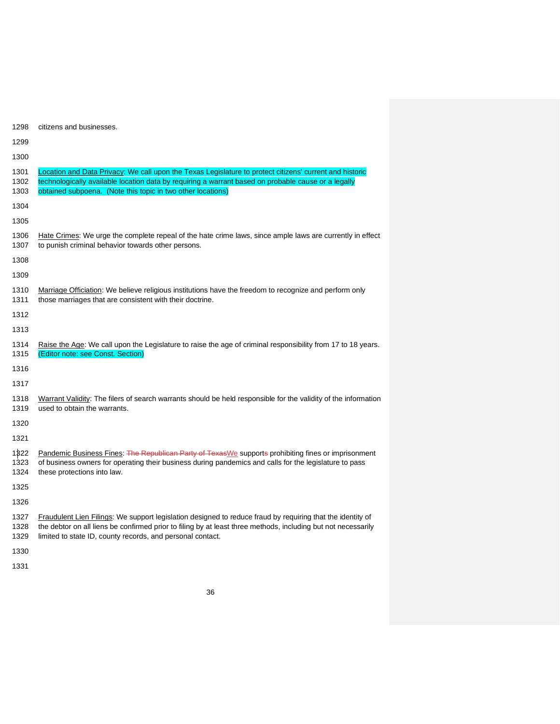| citizens and businesses.                                                                                                                                                                                                                                                                  |
|-------------------------------------------------------------------------------------------------------------------------------------------------------------------------------------------------------------------------------------------------------------------------------------------|
|                                                                                                                                                                                                                                                                                           |
|                                                                                                                                                                                                                                                                                           |
| <b>Location and Data Privacy:</b> We call upon the Texas Legislature to protect citizens' current and historic<br>technologically available location data by requiring a warrant based on probable cause or a legally<br>obtained subpoena. (Note this topic in two other locations)      |
|                                                                                                                                                                                                                                                                                           |
|                                                                                                                                                                                                                                                                                           |
| Hate Crimes: We urge the complete repeal of the hate crime laws, since ample laws are currently in effect<br>to punish criminal behavior towards other persons.                                                                                                                           |
|                                                                                                                                                                                                                                                                                           |
|                                                                                                                                                                                                                                                                                           |
| Marriage Officiation: We believe religious institutions have the freedom to recognize and perform only<br>those marriages that are consistent with their doctrine.                                                                                                                        |
|                                                                                                                                                                                                                                                                                           |
|                                                                                                                                                                                                                                                                                           |
| Raise the Age: We call upon the Legislature to raise the age of criminal responsibility from 17 to 18 years.<br>(Editor note: see Const. Section)                                                                                                                                         |
|                                                                                                                                                                                                                                                                                           |
|                                                                                                                                                                                                                                                                                           |
| Warrant Validity: The filers of search warrants should be held responsible for the validity of the information<br>used to obtain the warrants.                                                                                                                                            |
|                                                                                                                                                                                                                                                                                           |
|                                                                                                                                                                                                                                                                                           |
| Pandemic Business Fines: The Republican Party of TexasWe supports prohibiting fines or imprisonment<br>of business owners for operating their business during pandemics and calls for the legislature to pass<br>these protections into law.                                              |
|                                                                                                                                                                                                                                                                                           |
|                                                                                                                                                                                                                                                                                           |
| Fraudulent Lien Filings: We support legislation designed to reduce fraud by requiring that the identity of<br>the debtor on all liens be confirmed prior to filing by at least three methods, including but not necessarily<br>limited to state ID, county records, and personal contact. |
|                                                                                                                                                                                                                                                                                           |
|                                                                                                                                                                                                                                                                                           |
|                                                                                                                                                                                                                                                                                           |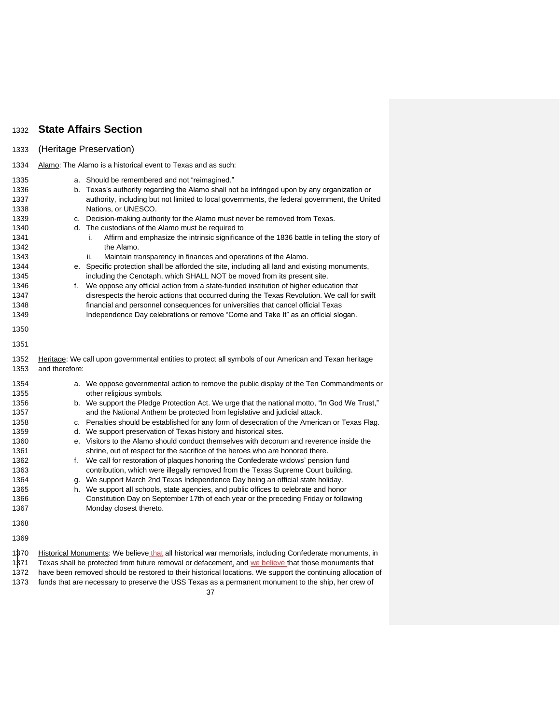### **State Affairs Section**

### (Heritage Preservation)

#### Alamo: The Alamo is a historical event to Texas and as such:

| 1335         |                | a. Should be remembered and not "reimagined."                                                                                                                              |
|--------------|----------------|----------------------------------------------------------------------------------------------------------------------------------------------------------------------------|
| 1336         |                | b. Texas's authority regarding the Alamo shall not be infringed upon by any organization or                                                                                |
| 1337         |                | authority, including but not limited to local governments, the federal government, the United                                                                              |
| 1338         |                | Nations, or UNESCO.                                                                                                                                                        |
| 1339         |                | c. Decision-making authority for the Alamo must never be removed from Texas.                                                                                               |
| 1340         |                | d. The custodians of the Alamo must be required to                                                                                                                         |
| 1341         |                | Affirm and emphasize the intrinsic significance of the 1836 battle in telling the story of<br>i.                                                                           |
| 1342         |                | the Alamo.                                                                                                                                                                 |
| 1343         |                | ii.<br>Maintain transparency in finances and operations of the Alamo.                                                                                                      |
| 1344         |                | e. Specific protection shall be afforded the site, including all land and existing monuments,                                                                              |
| 1345         |                | including the Cenotaph, which SHALL NOT be moved from its present site.                                                                                                    |
| 1346         | f.             | We oppose any official action from a state-funded institution of higher education that                                                                                     |
| 1347         |                | disrespects the heroic actions that occurred during the Texas Revolution. We call for swift                                                                                |
| 1348         |                | financial and personnel consequences for universities that cancel official Texas                                                                                           |
| 1349         |                | Independence Day celebrations or remove "Come and Take It" as an official slogan.                                                                                          |
| 1350         |                |                                                                                                                                                                            |
|              |                |                                                                                                                                                                            |
| 1351         |                |                                                                                                                                                                            |
| 1352         |                | Heritage: We call upon governmental entities to protect all symbols of our American and Texan heritage                                                                     |
| 1353         | and therefore: |                                                                                                                                                                            |
|              |                |                                                                                                                                                                            |
| 1354<br>1355 |                | a. We oppose governmental action to remove the public display of the Ten Commandments or                                                                                   |
| 1356         |                | other religious symbols.                                                                                                                                                   |
| 1357         |                | b. We support the Pledge Protection Act. We urge that the national motto, "In God We Trust,"<br>and the National Anthem be protected from legislative and judicial attack. |
| 1358         |                | c. Penalties should be established for any form of desecration of the American or Texas Flag.                                                                              |
| 1359         |                | d. We support preservation of Texas history and historical sites.                                                                                                          |
| 1360         |                | e. Visitors to the Alamo should conduct themselves with decorum and reverence inside the                                                                                   |
| 1361         |                | shrine, out of respect for the sacrifice of the heroes who are honored there.                                                                                              |
| 1362         | f.             | We call for restoration of plaques honoring the Confederate widows' pension fund                                                                                           |
| 1363         |                | contribution, which were illegally removed from the Texas Supreme Court building.                                                                                          |
| 1364         |                | g. We support March 2nd Texas Independence Day being an official state holiday.                                                                                            |
| 1365         |                | h. We support all schools, state agencies, and public offices to celebrate and honor                                                                                       |
| 1366         |                | Constitution Day on September 17th of each year or the preceding Friday or following                                                                                       |
| 1367         |                | Monday closest thereto.                                                                                                                                                    |
|              |                |                                                                                                                                                                            |
| 1368         |                |                                                                                                                                                                            |

- 
- 1870 Historical Monuments: We believe that all historical war memorials, including Confederate monuments, in
- Texas shall be protected from future removal or defacement, and we believe that those monuments that
- have been removed should be restored to their historical locations. We support the continuing allocation of
- funds that are necessary to preserve the USS Texas as a permanent monument to the ship, her crew of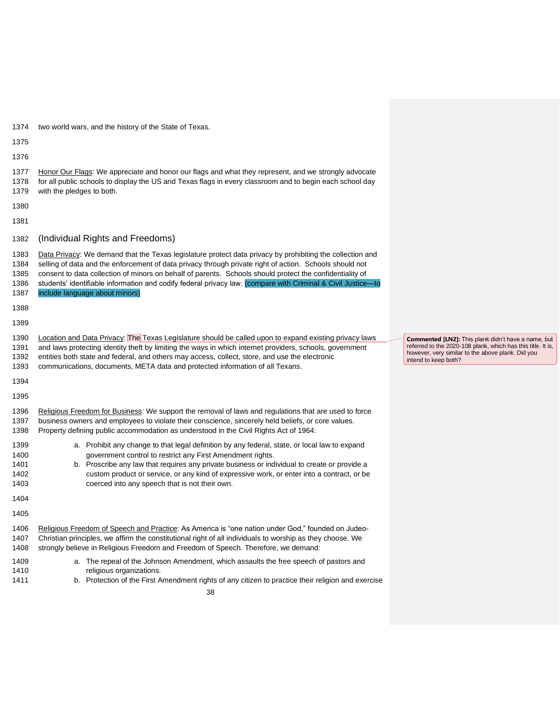| 1374                                 | two world wars, and the history of the State of Texas.                                                                                                                                                                                                                                                                                                                                                                                                                             |                                                                                                                                                                                                         |
|--------------------------------------|------------------------------------------------------------------------------------------------------------------------------------------------------------------------------------------------------------------------------------------------------------------------------------------------------------------------------------------------------------------------------------------------------------------------------------------------------------------------------------|---------------------------------------------------------------------------------------------------------------------------------------------------------------------------------------------------------|
| 1375                                 |                                                                                                                                                                                                                                                                                                                                                                                                                                                                                    |                                                                                                                                                                                                         |
| 1376                                 |                                                                                                                                                                                                                                                                                                                                                                                                                                                                                    |                                                                                                                                                                                                         |
| 1377<br>1378<br>1379                 | Honor Our Flags: We appreciate and honor our flags and what they represent, and we strongly advocate<br>for all public schools to display the US and Texas flags in every classroom and to begin each school day<br>with the pledges to both.                                                                                                                                                                                                                                      |                                                                                                                                                                                                         |
| 1380                                 |                                                                                                                                                                                                                                                                                                                                                                                                                                                                                    |                                                                                                                                                                                                         |
| 1381                                 |                                                                                                                                                                                                                                                                                                                                                                                                                                                                                    |                                                                                                                                                                                                         |
| 1382                                 | (Individual Rights and Freedoms)                                                                                                                                                                                                                                                                                                                                                                                                                                                   |                                                                                                                                                                                                         |
| 1383<br>1384<br>1385<br>1386<br>1387 | Data Privacy: We demand that the Texas legislature protect data privacy by prohibiting the collection and<br>selling of data and the enforcement of data privacy through private right of action. Schools should not<br>consent to data collection of minors on behalf of parents. Schools should protect the confidentiality of<br>students' identifiable information and codify federal privacy law. (compare with Criminal & Civil Justice—to<br>include language about minors) |                                                                                                                                                                                                         |
| 1388                                 |                                                                                                                                                                                                                                                                                                                                                                                                                                                                                    |                                                                                                                                                                                                         |
| 1389                                 |                                                                                                                                                                                                                                                                                                                                                                                                                                                                                    |                                                                                                                                                                                                         |
| 1390<br>1391<br>1392<br>1393         | Location and Data Privacy: The Texas Legislature should be called upon to expand existing privacy laws<br>and laws protecting identity theft by limiting the ways in which internet providers, schools, government<br>entities both state and federal, and others may access, collect, store, and use the electronic<br>communications, documents, META data and protected information of all Texans.                                                                              | <b>Commented [LN2]:</b> This plank didn't have a name, but<br>referred to the 2020-108 plank, which has this title. It is,<br>however, very similar to the above plank. Did you<br>intend to keep both? |
| 1394                                 |                                                                                                                                                                                                                                                                                                                                                                                                                                                                                    |                                                                                                                                                                                                         |
| 1395                                 |                                                                                                                                                                                                                                                                                                                                                                                                                                                                                    |                                                                                                                                                                                                         |
| 1396<br>1397<br>1398                 | Religious Freedom for Business: We support the removal of laws and regulations that are used to force<br>business owners and employees to violate their conscience, sincerely held beliefs, or core values.<br>Property defining public accommodation as understood in the Civil Rights Act of 1964:                                                                                                                                                                               |                                                                                                                                                                                                         |
| 1399<br>1400<br>1401<br>1402<br>1403 | a. Prohibit any change to that legal definition by any federal, state, or local law to expand<br>government control to restrict any First Amendment rights.<br>b. Proscribe any law that requires any private business or individual to create or provide a<br>custom product or service, or any kind of expressive work, or enter into a contract, or be<br>coerced into any speech that is not their own.                                                                        |                                                                                                                                                                                                         |
| 1404                                 |                                                                                                                                                                                                                                                                                                                                                                                                                                                                                    |                                                                                                                                                                                                         |
| 1405                                 |                                                                                                                                                                                                                                                                                                                                                                                                                                                                                    |                                                                                                                                                                                                         |
| 1406<br>1407<br>1408                 | Religious Freedom of Speech and Practice: As America is "one nation under God," founded on Judeo-<br>Christian principles, we affirm the constitutional right of all individuals to worship as they choose. We<br>strongly believe in Religious Freedom and Freedom of Speech. Therefore, we demand:                                                                                                                                                                               |                                                                                                                                                                                                         |
| 1409<br>1410<br>1411                 | a. The repeal of the Johnson Amendment, which assaults the free speech of pastors and<br>religious organizations.<br>b. Protection of the First Amendment rights of any citizen to practice their religion and exercise                                                                                                                                                                                                                                                            |                                                                                                                                                                                                         |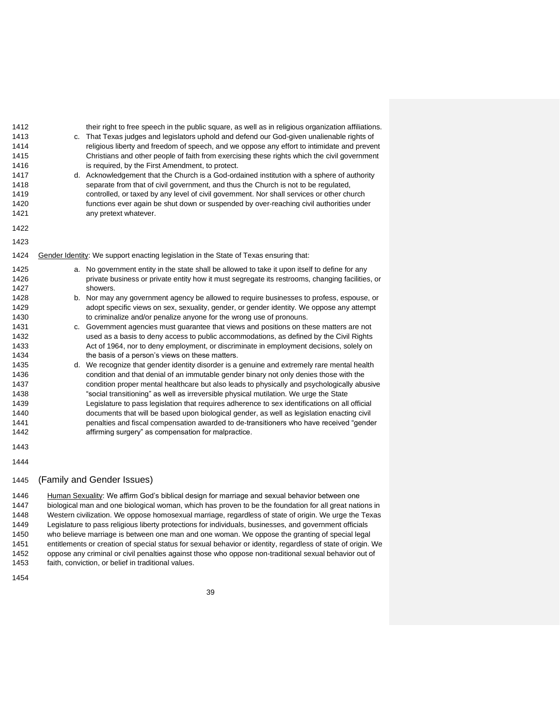| 1412<br>1413<br>1414<br>1415<br>1416<br>1417<br>1418<br>1419<br>1420<br>1421                                                 | their right to free speech in the public square, as well as in religious organization affiliations.<br>c. That Texas judges and legislators uphold and defend our God-given unalienable rights of<br>religious liberty and freedom of speech, and we oppose any effort to intimidate and prevent<br>Christians and other people of faith from exercising these rights which the civil government<br>is required, by the First Amendment, to protect.<br>d. Acknowledgement that the Church is a God-ordained institution with a sphere of authority<br>separate from that of civil government, and thus the Church is not to be regulated,<br>controlled, or taxed by any level of civil government. Nor shall services or other church<br>functions ever again be shut down or suspended by over-reaching civil authorities under<br>any pretext whatever.                                                                                                                                                                                                                                                                                                                                                                                                                                                                                                                                          |
|------------------------------------------------------------------------------------------------------------------------------|------------------------------------------------------------------------------------------------------------------------------------------------------------------------------------------------------------------------------------------------------------------------------------------------------------------------------------------------------------------------------------------------------------------------------------------------------------------------------------------------------------------------------------------------------------------------------------------------------------------------------------------------------------------------------------------------------------------------------------------------------------------------------------------------------------------------------------------------------------------------------------------------------------------------------------------------------------------------------------------------------------------------------------------------------------------------------------------------------------------------------------------------------------------------------------------------------------------------------------------------------------------------------------------------------------------------------------------------------------------------------------------------------|
| 1422                                                                                                                         |                                                                                                                                                                                                                                                                                                                                                                                                                                                                                                                                                                                                                                                                                                                                                                                                                                                                                                                                                                                                                                                                                                                                                                                                                                                                                                                                                                                                      |
| 1423                                                                                                                         |                                                                                                                                                                                                                                                                                                                                                                                                                                                                                                                                                                                                                                                                                                                                                                                                                                                                                                                                                                                                                                                                                                                                                                                                                                                                                                                                                                                                      |
| 1424                                                                                                                         | Gender Identity: We support enacting legislation in the State of Texas ensuring that:                                                                                                                                                                                                                                                                                                                                                                                                                                                                                                                                                                                                                                                                                                                                                                                                                                                                                                                                                                                                                                                                                                                                                                                                                                                                                                                |
| 1425<br>1426<br>1427<br>1428<br>1429<br>1430<br>1431<br>1432<br>1433<br>1434<br>1435<br>1436<br>1437<br>1438<br>1439<br>1440 | a. No government entity in the state shall be allowed to take it upon itself to define for any<br>private business or private entity how it must segregate its restrooms, changing facilities, or<br>showers.<br>b. Nor may any government agency be allowed to require businesses to profess, espouse, or<br>adopt specific views on sex, sexuality, gender, or gender identity. We oppose any attempt<br>to criminalize and/or penalize anyone for the wrong use of pronouns.<br>c. Government agencies must guarantee that views and positions on these matters are not<br>used as a basis to deny access to public accommodations, as defined by the Civil Rights<br>Act of 1964, nor to deny employment, or discriminate in employment decisions, solely on<br>the basis of a person's views on these matters.<br>d. We recognize that gender identity disorder is a genuine and extremely rare mental health<br>condition and that denial of an immutable gender binary not only denies those with the<br>condition proper mental healthcare but also leads to physically and psychologically abusive<br>"social transitioning" as well as irreversible physical mutilation. We urge the State<br>Legislature to pass legislation that requires adherence to sex identifications on all official<br>documents that will be based upon biological gender, as well as legislation enacting civil |
| 1441<br>1442                                                                                                                 | penalties and fiscal compensation awarded to de-transitioners who have received "gender<br>affirming surgery" as compensation for malpractice.                                                                                                                                                                                                                                                                                                                                                                                                                                                                                                                                                                                                                                                                                                                                                                                                                                                                                                                                                                                                                                                                                                                                                                                                                                                       |
| 1443                                                                                                                         |                                                                                                                                                                                                                                                                                                                                                                                                                                                                                                                                                                                                                                                                                                                                                                                                                                                                                                                                                                                                                                                                                                                                                                                                                                                                                                                                                                                                      |
| 1444                                                                                                                         |                                                                                                                                                                                                                                                                                                                                                                                                                                                                                                                                                                                                                                                                                                                                                                                                                                                                                                                                                                                                                                                                                                                                                                                                                                                                                                                                                                                                      |

### (Family and Gender Issues)

1446 Human Sexuality: We affirm God's biblical design for marriage and sexual behavior between one<br>1447 biological man and one biological woman, which has proven to be the foundation for all great nation 1447 biological man and one biological woman, which has proven to be the foundation for all great nations in<br>1448 Vestern civilization. We oppose homosexual marriage, regardless of state of origin. We urge the Texas Western civilization. We oppose homosexual marriage, regardless of state of origin. We urge the Texas Legislature to pass religious liberty protections for individuals, businesses, and government officials 1450 who believe marriage is between one man and one woman. We oppose the granting of special legal<br>1451 entitlements or creation of special status for sexual behavior or identity, regardless of state of origin. 1451 entitlements or creation of special status for sexual behavior or identity, regardless of state of origin. We<br>1452 oppose any criminal or civil penalties against those who oppose non-traditional sexual behavior out of 1452 oppose any criminal or civil penalties against those who oppose non-traditional sexual behavior out of 1453 faith, conviction, or belief in traditional values. faith, conviction, or belief in traditional values.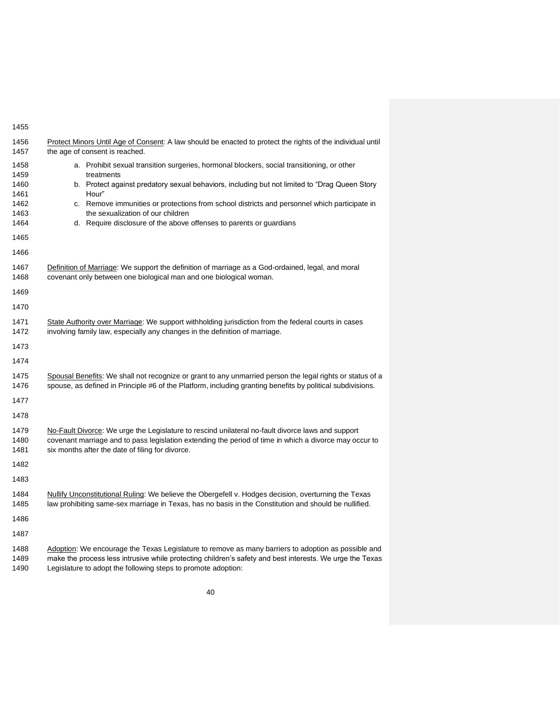| 1456<br>1457                                         | Protect Minors Until Age of Consent: A law should be enacted to protect the rights of the individual until<br>the age of consent is reached.                                                                                                                                                                                                                                                                                    |
|------------------------------------------------------|---------------------------------------------------------------------------------------------------------------------------------------------------------------------------------------------------------------------------------------------------------------------------------------------------------------------------------------------------------------------------------------------------------------------------------|
| 1458<br>1459<br>1460<br>1461<br>1462<br>1463<br>1464 | a. Prohibit sexual transition surgeries, hormonal blockers, social transitioning, or other<br>treatments<br>b. Protect against predatory sexual behaviors, including but not limited to "Drag Queen Story"<br>Hour"<br>c. Remove immunities or protections from school districts and personnel which participate in<br>the sexualization of our children<br>d. Require disclosure of the above offenses to parents or guardians |
| 1465                                                 |                                                                                                                                                                                                                                                                                                                                                                                                                                 |
| 1466                                                 |                                                                                                                                                                                                                                                                                                                                                                                                                                 |
| 1467<br>1468                                         | Definition of Marriage: We support the definition of marriage as a God-ordained, legal, and moral<br>covenant only between one biological man and one biological woman.                                                                                                                                                                                                                                                         |
| 1469                                                 |                                                                                                                                                                                                                                                                                                                                                                                                                                 |
| 1470                                                 |                                                                                                                                                                                                                                                                                                                                                                                                                                 |
| 1471<br>1472                                         | State Authority over Marriage: We support withholding jurisdiction from the federal courts in cases<br>involving family law, especially any changes in the definition of marriage.                                                                                                                                                                                                                                              |
| 1473                                                 |                                                                                                                                                                                                                                                                                                                                                                                                                                 |
| 1474                                                 |                                                                                                                                                                                                                                                                                                                                                                                                                                 |
| 1475<br>1476                                         | Spousal Benefits: We shall not recognize or grant to any unmarried person the legal rights or status of a<br>spouse, as defined in Principle #6 of the Platform, including granting benefits by political subdivisions.                                                                                                                                                                                                         |
| 1477                                                 |                                                                                                                                                                                                                                                                                                                                                                                                                                 |
| 1478                                                 |                                                                                                                                                                                                                                                                                                                                                                                                                                 |
| 1479<br>1480<br>1481                                 | No-Fault Divorce: We urge the Legislature to rescind unilateral no-fault divorce laws and support<br>covenant marriage and to pass legislation extending the period of time in which a divorce may occur to<br>six months after the date of filing for divorce.                                                                                                                                                                 |
| 1482                                                 |                                                                                                                                                                                                                                                                                                                                                                                                                                 |
| 1483                                                 |                                                                                                                                                                                                                                                                                                                                                                                                                                 |
| 1484<br>1485                                         | Nullify Unconstitutional Ruling: We believe the Obergefell v. Hodges decision, overturning the Texas<br>law prohibiting same-sex marriage in Texas, has no basis in the Constitution and should be nullified.                                                                                                                                                                                                                   |
| 1486                                                 |                                                                                                                                                                                                                                                                                                                                                                                                                                 |
| 1487                                                 |                                                                                                                                                                                                                                                                                                                                                                                                                                 |
| 1488<br>1489<br>1490                                 | Adoption: We encourage the Texas Legislature to remove as many barriers to adoption as possible and<br>make the process less intrusive while protecting children's safety and best interests. We urge the Texas<br>Legislature to adopt the following steps to promote adoption:                                                                                                                                                |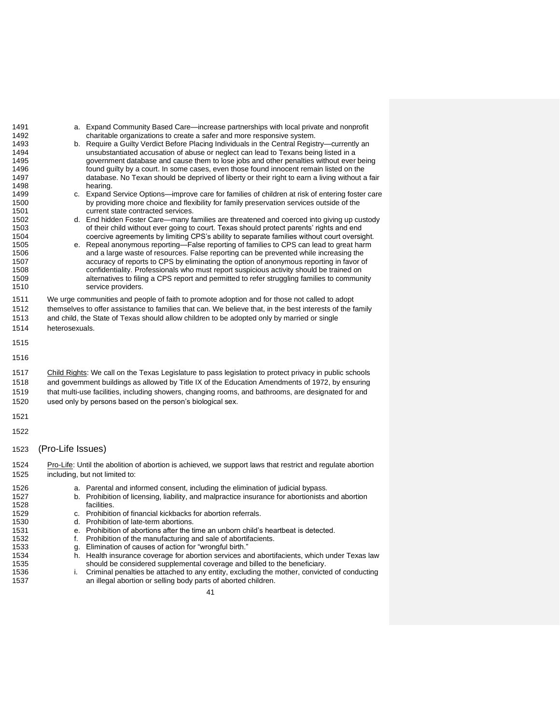| 1491<br>1492<br>1493<br>1494<br>1495<br>1496<br>1497<br>1498<br>1499<br>1500<br>1501<br>1502<br>1503<br>1504<br>1505<br>1506<br>1507<br>1508<br>1509<br>1510 | a. Expand Community Based Care—increase partnerships with local private and nonprofit<br>charitable organizations to create a safer and more responsive system.<br>b. Require a Guilty Verdict Before Placing Individuals in the Central Registry—currently an<br>unsubstantiated accusation of abuse or neglect can lead to Texans being listed in a<br>government database and cause them to lose jobs and other penalties without ever being<br>found guilty by a court. In some cases, even those found innocent remain listed on the<br>database. No Texan should be deprived of liberty or their right to earn a living without a fair<br>hearing.<br>c. Expand Service Options—improve care for families of children at risk of entering foster care<br>by providing more choice and flexibility for family preservation services outside of the<br>current state contracted services.<br>d. End hidden Foster Care—many families are threatened and coerced into giving up custody<br>of their child without ever going to court. Texas should protect parents' rights and end<br>coercive agreements by limiting CPS's ability to separate families without court oversight.<br>e. Repeal anonymous reporting—False reporting of families to CPS can lead to great harm<br>and a large waste of resources. False reporting can be prevented while increasing the<br>accuracy of reports to CPS by eliminating the option of anonymous reporting in favor of<br>confidentiality. Professionals who must report suspicious activity should be trained on<br>alternatives to filing a CPS report and permitted to refer struggling families to community<br>service providers. |
|--------------------------------------------------------------------------------------------------------------------------------------------------------------|--------------------------------------------------------------------------------------------------------------------------------------------------------------------------------------------------------------------------------------------------------------------------------------------------------------------------------------------------------------------------------------------------------------------------------------------------------------------------------------------------------------------------------------------------------------------------------------------------------------------------------------------------------------------------------------------------------------------------------------------------------------------------------------------------------------------------------------------------------------------------------------------------------------------------------------------------------------------------------------------------------------------------------------------------------------------------------------------------------------------------------------------------------------------------------------------------------------------------------------------------------------------------------------------------------------------------------------------------------------------------------------------------------------------------------------------------------------------------------------------------------------------------------------------------------------------------------------------------------------------------------------------------------------------------------------|
| 1511<br>1512<br>1513<br>1514                                                                                                                                 | We urge communities and people of faith to promote adoption and for those not called to adopt<br>themselves to offer assistance to families that can. We believe that, in the best interests of the family<br>and child, the State of Texas should allow children to be adopted only by married or single<br>heterosexuals.                                                                                                                                                                                                                                                                                                                                                                                                                                                                                                                                                                                                                                                                                                                                                                                                                                                                                                                                                                                                                                                                                                                                                                                                                                                                                                                                                          |
| 1515                                                                                                                                                         |                                                                                                                                                                                                                                                                                                                                                                                                                                                                                                                                                                                                                                                                                                                                                                                                                                                                                                                                                                                                                                                                                                                                                                                                                                                                                                                                                                                                                                                                                                                                                                                                                                                                                      |
| 1516                                                                                                                                                         |                                                                                                                                                                                                                                                                                                                                                                                                                                                                                                                                                                                                                                                                                                                                                                                                                                                                                                                                                                                                                                                                                                                                                                                                                                                                                                                                                                                                                                                                                                                                                                                                                                                                                      |
| 1517<br>1518<br>1519<br>1520                                                                                                                                 | Child Rights: We call on the Texas Legislature to pass legislation to protect privacy in public schools<br>and government buildings as allowed by Title IX of the Education Amendments of 1972, by ensuring<br>that multi-use facilities, including showers, changing rooms, and bathrooms, are designated for and<br>used only by persons based on the person's biological sex.                                                                                                                                                                                                                                                                                                                                                                                                                                                                                                                                                                                                                                                                                                                                                                                                                                                                                                                                                                                                                                                                                                                                                                                                                                                                                                     |
| 1521                                                                                                                                                         |                                                                                                                                                                                                                                                                                                                                                                                                                                                                                                                                                                                                                                                                                                                                                                                                                                                                                                                                                                                                                                                                                                                                                                                                                                                                                                                                                                                                                                                                                                                                                                                                                                                                                      |
| 1522                                                                                                                                                         |                                                                                                                                                                                                                                                                                                                                                                                                                                                                                                                                                                                                                                                                                                                                                                                                                                                                                                                                                                                                                                                                                                                                                                                                                                                                                                                                                                                                                                                                                                                                                                                                                                                                                      |
| 1523                                                                                                                                                         | (Pro-Life Issues)                                                                                                                                                                                                                                                                                                                                                                                                                                                                                                                                                                                                                                                                                                                                                                                                                                                                                                                                                                                                                                                                                                                                                                                                                                                                                                                                                                                                                                                                                                                                                                                                                                                                    |
| 1524<br>1525                                                                                                                                                 | Pro-Life: Until the abolition of abortion is achieved, we support laws that restrict and regulate abortion<br>including, but not limited to:                                                                                                                                                                                                                                                                                                                                                                                                                                                                                                                                                                                                                                                                                                                                                                                                                                                                                                                                                                                                                                                                                                                                                                                                                                                                                                                                                                                                                                                                                                                                         |
| 1526<br>1527<br>1528<br>1529<br>1530<br>1531<br>1532<br>1533<br>1534<br>1535<br>1536<br>1537                                                                 | a. Parental and informed consent, including the elimination of judicial bypass.<br>b. Prohibition of licensing, liability, and malpractice insurance for abortionists and abortion<br>facilities.<br>c. Prohibition of financial kickbacks for abortion referrals.<br>d. Prohibition of late-term abortions.<br>e. Prohibition of abortions after the time an unborn child's heartbeat is detected.<br>Prohibition of the manufacturing and sale of abortifacients.<br>f.<br>g. Elimination of causes of action for "wrongful birth."<br>h. Health insurance coverage for abortion services and abortifacients, which under Texas law<br>should be considered supplemental coverage and billed to the beneficiary.<br>Criminal penalties be attached to any entity, excluding the mother, convicted of conducting<br>i.<br>an illegal abortion or selling body parts of aborted children.                                                                                                                                                                                                                                                                                                                                                                                                                                                                                                                                                                                                                                                                                                                                                                                            |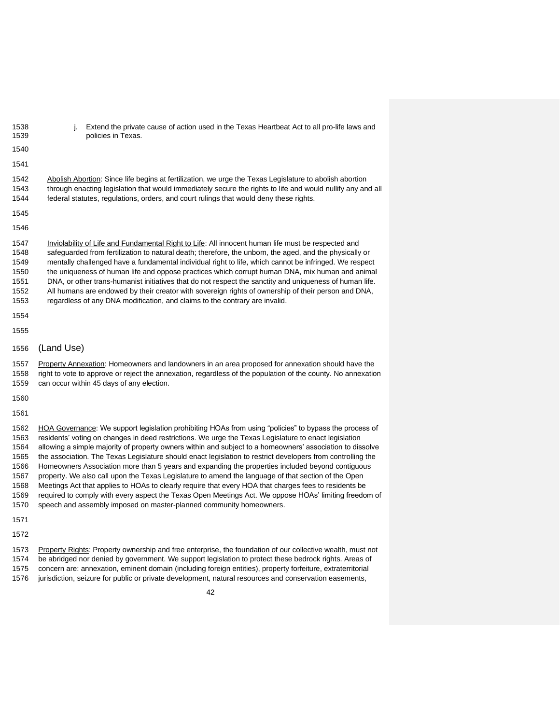| 1538<br>1539                                                         | Extend the private cause of action used in the Texas Heartbeat Act to all pro-life laws and<br>j.<br>policies in Texas.                                                                                                                                                                                                                                                                                                                                                                                                                                                                                                                                                                                                                                                                                                                                                                                                                         |
|----------------------------------------------------------------------|-------------------------------------------------------------------------------------------------------------------------------------------------------------------------------------------------------------------------------------------------------------------------------------------------------------------------------------------------------------------------------------------------------------------------------------------------------------------------------------------------------------------------------------------------------------------------------------------------------------------------------------------------------------------------------------------------------------------------------------------------------------------------------------------------------------------------------------------------------------------------------------------------------------------------------------------------|
| 1540                                                                 |                                                                                                                                                                                                                                                                                                                                                                                                                                                                                                                                                                                                                                                                                                                                                                                                                                                                                                                                                 |
| 1541                                                                 |                                                                                                                                                                                                                                                                                                                                                                                                                                                                                                                                                                                                                                                                                                                                                                                                                                                                                                                                                 |
| 1542<br>1543<br>1544                                                 | Abolish Abortion: Since life begins at fertilization, we urge the Texas Legislature to abolish abortion<br>through enacting legislation that would immediately secure the rights to life and would nullify any and all<br>federal statutes, regulations, orders, and court rulings that would deny these rights.                                                                                                                                                                                                                                                                                                                                                                                                                                                                                                                                                                                                                                |
| 1545                                                                 |                                                                                                                                                                                                                                                                                                                                                                                                                                                                                                                                                                                                                                                                                                                                                                                                                                                                                                                                                 |
| 1546                                                                 |                                                                                                                                                                                                                                                                                                                                                                                                                                                                                                                                                                                                                                                                                                                                                                                                                                                                                                                                                 |
| 1547<br>1548<br>1549<br>1550<br>1551<br>1552<br>1553                 | Inviolability of Life and Fundamental Right to Life: All innocent human life must be respected and<br>safeguarded from fertilization to natural death; therefore, the unborn, the aged, and the physically or<br>mentally challenged have a fundamental individual right to life, which cannot be infringed. We respect<br>the uniqueness of human life and oppose practices which corrupt human DNA, mix human and animal<br>DNA, or other trans-humanist initiatives that do not respect the sanctity and uniqueness of human life.<br>All humans are endowed by their creator with sovereign rights of ownership of their person and DNA,<br>regardless of any DNA modification, and claims to the contrary are invalid.                                                                                                                                                                                                                     |
| 1554                                                                 |                                                                                                                                                                                                                                                                                                                                                                                                                                                                                                                                                                                                                                                                                                                                                                                                                                                                                                                                                 |
| 1555                                                                 |                                                                                                                                                                                                                                                                                                                                                                                                                                                                                                                                                                                                                                                                                                                                                                                                                                                                                                                                                 |
| 1556                                                                 | (Land Use)                                                                                                                                                                                                                                                                                                                                                                                                                                                                                                                                                                                                                                                                                                                                                                                                                                                                                                                                      |
| 1557<br>1558<br>1559                                                 | Property Annexation: Homeowners and landowners in an area proposed for annexation should have the<br>right to vote to approve or reject the annexation, regardless of the population of the county. No annexation<br>can occur within 45 days of any election.                                                                                                                                                                                                                                                                                                                                                                                                                                                                                                                                                                                                                                                                                  |
| 1560                                                                 |                                                                                                                                                                                                                                                                                                                                                                                                                                                                                                                                                                                                                                                                                                                                                                                                                                                                                                                                                 |
| 1561                                                                 |                                                                                                                                                                                                                                                                                                                                                                                                                                                                                                                                                                                                                                                                                                                                                                                                                                                                                                                                                 |
| 1562<br>1563<br>1564<br>1565<br>1566<br>1567<br>1568<br>1569<br>1570 | HOA Governance: We support legislation prohibiting HOAs from using "policies" to bypass the process of<br>residents' voting on changes in deed restrictions. We urge the Texas Legislature to enact legislation<br>allowing a simple majority of property owners within and subject to a homeowners' association to dissolve<br>the association. The Texas Legislature should enact legislation to restrict developers from controlling the<br>Homeowners Association more than 5 years and expanding the properties included beyond contiguous<br>property. We also call upon the Texas Legislature to amend the language of that section of the Open<br>Meetings Act that applies to HOAs to clearly require that every HOA that charges fees to residents be<br>required to comply with every aspect the Texas Open Meetings Act. We oppose HOAs' limiting freedom of<br>speech and assembly imposed on master-planned community homeowners. |
| 1571                                                                 |                                                                                                                                                                                                                                                                                                                                                                                                                                                                                                                                                                                                                                                                                                                                                                                                                                                                                                                                                 |
| 1572                                                                 |                                                                                                                                                                                                                                                                                                                                                                                                                                                                                                                                                                                                                                                                                                                                                                                                                                                                                                                                                 |
| 1573<br>1574<br>1575                                                 | Property Rights: Property ownership and free enterprise, the foundation of our collective wealth, must not<br>be abridged nor denied by government. We support legislation to protect these bedrock rights. Areas of<br>concern are: annexation, eminent domain (including foreign entities), property forfeiture, extraterritorial                                                                                                                                                                                                                                                                                                                                                                                                                                                                                                                                                                                                             |

1575 concern are: annexation, eminent domain (including foreign entities), property forfeiture, extraterritorial<br>1576 jurisdiction, seizure for public or private development, natural resources and conservation easements,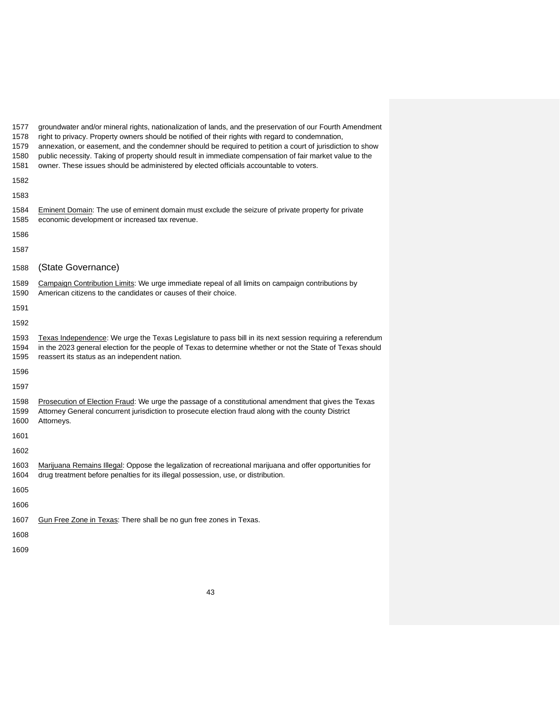| 1577<br>1578<br>1579<br>1580<br>1581 | groundwater and/or mineral rights, nationalization of lands, and the preservation of our Fourth Amendment<br>right to privacy. Property owners should be notified of their rights with regard to condemnation,<br>annexation, or easement, and the condemner should be required to petition a court of jurisdiction to show<br>public necessity. Taking of property should result in immediate compensation of fair market value to the<br>owner. These issues should be administered by elected officials accountable to voters. |
|--------------------------------------|-----------------------------------------------------------------------------------------------------------------------------------------------------------------------------------------------------------------------------------------------------------------------------------------------------------------------------------------------------------------------------------------------------------------------------------------------------------------------------------------------------------------------------------|
| 1582                                 |                                                                                                                                                                                                                                                                                                                                                                                                                                                                                                                                   |
| 1583                                 |                                                                                                                                                                                                                                                                                                                                                                                                                                                                                                                                   |
| 1584<br>1585                         | Eminent Domain: The use of eminent domain must exclude the seizure of private property for private<br>economic development or increased tax revenue.                                                                                                                                                                                                                                                                                                                                                                              |
| 1586                                 |                                                                                                                                                                                                                                                                                                                                                                                                                                                                                                                                   |
| 1587                                 |                                                                                                                                                                                                                                                                                                                                                                                                                                                                                                                                   |
| 1588                                 | (State Governance)                                                                                                                                                                                                                                                                                                                                                                                                                                                                                                                |
| 1589<br>1590                         | Campaign Contribution Limits: We urge immediate repeal of all limits on campaign contributions by<br>American citizens to the candidates or causes of their choice.                                                                                                                                                                                                                                                                                                                                                               |
| 1591                                 |                                                                                                                                                                                                                                                                                                                                                                                                                                                                                                                                   |
| 1592                                 |                                                                                                                                                                                                                                                                                                                                                                                                                                                                                                                                   |
| 1593<br>1594<br>1595                 | Texas Independence: We urge the Texas Legislature to pass bill in its next session requiring a referendum<br>in the 2023 general election for the people of Texas to determine whether or not the State of Texas should<br>reassert its status as an independent nation.                                                                                                                                                                                                                                                          |
| 1596                                 |                                                                                                                                                                                                                                                                                                                                                                                                                                                                                                                                   |
| 1597                                 |                                                                                                                                                                                                                                                                                                                                                                                                                                                                                                                                   |
| 1598<br>1599<br>1600                 | Prosecution of Election Fraud: We urge the passage of a constitutional amendment that gives the Texas<br>Attorney General concurrent jurisdiction to prosecute election fraud along with the county District<br>Attorneys.                                                                                                                                                                                                                                                                                                        |
| 1601                                 |                                                                                                                                                                                                                                                                                                                                                                                                                                                                                                                                   |
| 1602                                 |                                                                                                                                                                                                                                                                                                                                                                                                                                                                                                                                   |
| 1603<br>1604                         | Marijuana Remains Illegal: Oppose the legalization of recreational marijuana and offer opportunities for<br>drug treatment before penalties for its illegal possession, use, or distribution.                                                                                                                                                                                                                                                                                                                                     |
| 1605                                 |                                                                                                                                                                                                                                                                                                                                                                                                                                                                                                                                   |
| 1606                                 |                                                                                                                                                                                                                                                                                                                                                                                                                                                                                                                                   |
| 1607                                 | Gun Free Zone in Texas: There shall be no gun free zones in Texas.                                                                                                                                                                                                                                                                                                                                                                                                                                                                |
| 1608                                 |                                                                                                                                                                                                                                                                                                                                                                                                                                                                                                                                   |
| 1609                                 |                                                                                                                                                                                                                                                                                                                                                                                                                                                                                                                                   |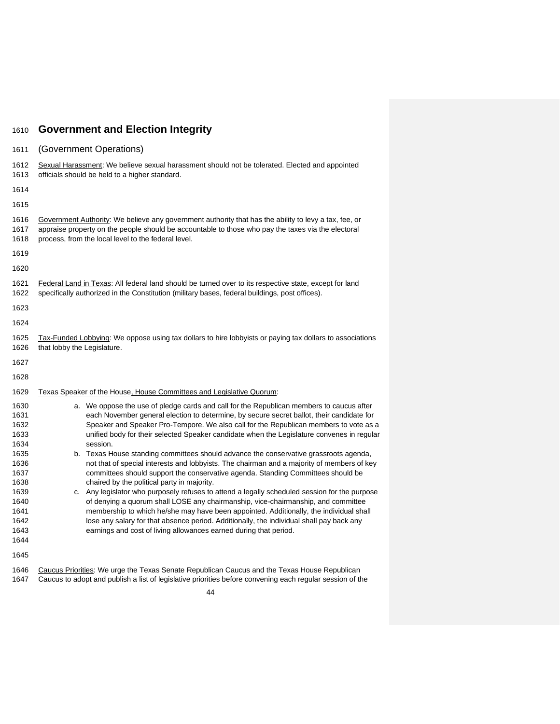| 1610                                                                                                                         | <b>Government and Election Integrity</b>                                                                                                                                                                                                                                                                                                                                                                                                                                                                                                                                                                                                                                                                                                                                                                                                                                                                                                                                                                                                                                                                                                                            |  |
|------------------------------------------------------------------------------------------------------------------------------|---------------------------------------------------------------------------------------------------------------------------------------------------------------------------------------------------------------------------------------------------------------------------------------------------------------------------------------------------------------------------------------------------------------------------------------------------------------------------------------------------------------------------------------------------------------------------------------------------------------------------------------------------------------------------------------------------------------------------------------------------------------------------------------------------------------------------------------------------------------------------------------------------------------------------------------------------------------------------------------------------------------------------------------------------------------------------------------------------------------------------------------------------------------------|--|
| 1611                                                                                                                         | (Government Operations)                                                                                                                                                                                                                                                                                                                                                                                                                                                                                                                                                                                                                                                                                                                                                                                                                                                                                                                                                                                                                                                                                                                                             |  |
| 1612<br>1613                                                                                                                 | Sexual Harassment: We believe sexual harassment should not be tolerated. Elected and appointed<br>officials should be held to a higher standard.                                                                                                                                                                                                                                                                                                                                                                                                                                                                                                                                                                                                                                                                                                                                                                                                                                                                                                                                                                                                                    |  |
| 1614                                                                                                                         |                                                                                                                                                                                                                                                                                                                                                                                                                                                                                                                                                                                                                                                                                                                                                                                                                                                                                                                                                                                                                                                                                                                                                                     |  |
| 1615                                                                                                                         |                                                                                                                                                                                                                                                                                                                                                                                                                                                                                                                                                                                                                                                                                                                                                                                                                                                                                                                                                                                                                                                                                                                                                                     |  |
| 1616<br>1617<br>1618                                                                                                         | Government Authority: We believe any government authority that has the ability to levy a tax, fee, or<br>appraise property on the people should be accountable to those who pay the taxes via the electoral<br>process, from the local level to the federal level.                                                                                                                                                                                                                                                                                                                                                                                                                                                                                                                                                                                                                                                                                                                                                                                                                                                                                                  |  |
| 1619                                                                                                                         |                                                                                                                                                                                                                                                                                                                                                                                                                                                                                                                                                                                                                                                                                                                                                                                                                                                                                                                                                                                                                                                                                                                                                                     |  |
| 1620                                                                                                                         |                                                                                                                                                                                                                                                                                                                                                                                                                                                                                                                                                                                                                                                                                                                                                                                                                                                                                                                                                                                                                                                                                                                                                                     |  |
| 1621<br>1622                                                                                                                 | Federal Land in Texas: All federal land should be turned over to its respective state, except for land<br>specifically authorized in the Constitution (military bases, federal buildings, post offices).                                                                                                                                                                                                                                                                                                                                                                                                                                                                                                                                                                                                                                                                                                                                                                                                                                                                                                                                                            |  |
| 1623                                                                                                                         |                                                                                                                                                                                                                                                                                                                                                                                                                                                                                                                                                                                                                                                                                                                                                                                                                                                                                                                                                                                                                                                                                                                                                                     |  |
| 1624                                                                                                                         |                                                                                                                                                                                                                                                                                                                                                                                                                                                                                                                                                                                                                                                                                                                                                                                                                                                                                                                                                                                                                                                                                                                                                                     |  |
| 1625<br>1626                                                                                                                 | Tax-Funded Lobbying: We oppose using tax dollars to hire lobbyists or paying tax dollars to associations<br>that lobby the Legislature.                                                                                                                                                                                                                                                                                                                                                                                                                                                                                                                                                                                                                                                                                                                                                                                                                                                                                                                                                                                                                             |  |
| 1627                                                                                                                         |                                                                                                                                                                                                                                                                                                                                                                                                                                                                                                                                                                                                                                                                                                                                                                                                                                                                                                                                                                                                                                                                                                                                                                     |  |
| 1628                                                                                                                         |                                                                                                                                                                                                                                                                                                                                                                                                                                                                                                                                                                                                                                                                                                                                                                                                                                                                                                                                                                                                                                                                                                                                                                     |  |
| 1629                                                                                                                         | Texas Speaker of the House, House Committees and Legislative Quorum:                                                                                                                                                                                                                                                                                                                                                                                                                                                                                                                                                                                                                                                                                                                                                                                                                                                                                                                                                                                                                                                                                                |  |
| 1630<br>1631<br>1632<br>1633<br>1634<br>1635<br>1636<br>1637<br>1638<br>1639<br>1640<br>1641<br>1642<br>1643<br>1644<br>1645 | a. We oppose the use of pledge cards and call for the Republican members to caucus after<br>each November general election to determine, by secure secret ballot, their candidate for<br>Speaker and Speaker Pro-Tempore. We also call for the Republican members to vote as a<br>unified body for their selected Speaker candidate when the Legislature convenes in regular<br>session.<br>b. Texas House standing committees should advance the conservative grassroots agenda,<br>not that of special interests and lobbyists. The chairman and a majority of members of key<br>committees should support the conservative agenda. Standing Committees should be<br>chaired by the political party in majority.<br>c. Any legislator who purposely refuses to attend a legally scheduled session for the purpose<br>of denying a quorum shall LOSE any chairmanship, vice-chairmanship, and committee<br>membership to which he/she may have been appointed. Additionally, the individual shall<br>lose any salary for that absence period. Additionally, the individual shall pay back any<br>earnings and cost of living allowances earned during that period. |  |
| 1646<br>1647                                                                                                                 | Caucus Priorities: We urge the Texas Senate Republican Caucus and the Texas House Republican<br>Caucus to adopt and publish a list of legislative priorities before convening each regular session of the                                                                                                                                                                                                                                                                                                                                                                                                                                                                                                                                                                                                                                                                                                                                                                                                                                                                                                                                                           |  |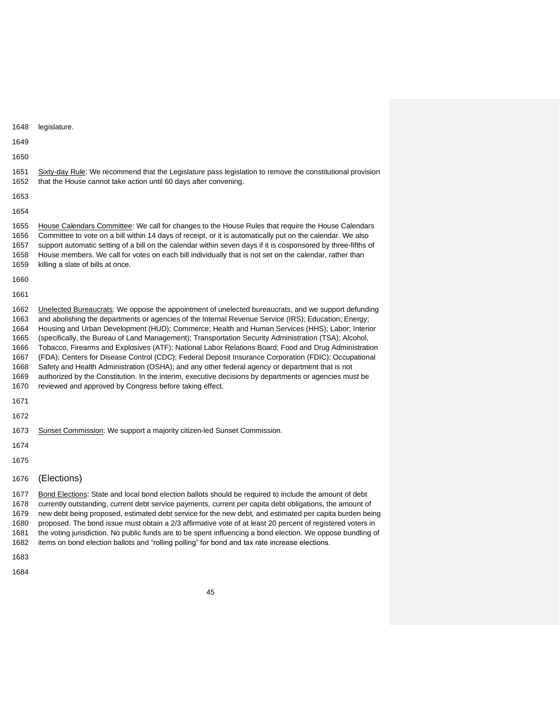legislature. 1651 Sixty-day Rule: We recommend that the Legislature pass legislation to remove the constitutional provision that the House cannot take action until 60 days after convening. 1655 House Calendars Committee: We call for changes to the House Rules that require the House Calendars Committee to vote on a bill within 14 days of receipt, or it is automatically put on the calendar. We also support automatic setting of a bill on the calendar within seven days if it is cosponsored by three-fifths of House members. We call for votes on each bill individually that is not set on the calendar, rather than killing a slate of bills at once. Unelected Bureaucrats: We oppose the appointment of unelected bureaucrats, and we support defunding and abolishing the departments or agencies of the Internal Revenue Service (IRS); Education; Energy; Housing and Urban Development (HUD); Commerce; Health and Human Services (HHS); Labor; Interior (specifically, the Bureau of Land Management); Transportation Security Administration (TSA); Alcohol, Tobacco, Firearms and Explosives (ATF); National Labor Relations Board; Food and Drug Administration (FDA); Centers for Disease Control (CDC); Federal Deposit Insurance Corporation (FDIC); Occupational Safety and Health Administration (OSHA); and any other federal agency or department that is not authorized by the Constitution. In the interim, executive decisions by departments or agencies must be reviewed and approved by Congress before taking effect. 1673 Sunset Commission: We support a majority citizen-led Sunset Commission. (Elections) Bond Elections: State and local bond election ballots should be required to include the amount of debt currently outstanding, current debt service payments, current per capita debt obligations, the amount of new debt being proposed, estimated debt service for the new debt, and estimated per capita burden being proposed. The bond issue must obtain a 2/3 affirmative vote of at least 20 percent of registered voters in the voting jurisdiction. No public funds are to be spent influencing a bond election. We oppose bundling of items on bond election ballots and "rolling polling" for bond and tax rate increase elections.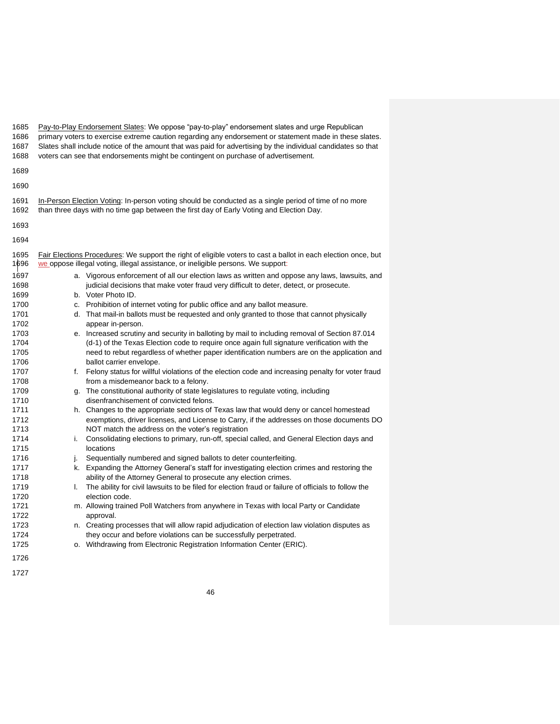| 1685<br>1686<br>1687<br>1688 | Pay-to-Play Endorsement Slates: We oppose "pay-to-play" endorsement slates and urge Republican<br>primary voters to exercise extreme caution regarding any endorsement or statement made in these slates.<br>Slates shall include notice of the amount that was paid for advertising by the individual candidates so that<br>voters can see that endorsements might be contingent on purchase of advertisement. |
|------------------------------|-----------------------------------------------------------------------------------------------------------------------------------------------------------------------------------------------------------------------------------------------------------------------------------------------------------------------------------------------------------------------------------------------------------------|
| 1689                         |                                                                                                                                                                                                                                                                                                                                                                                                                 |
| 1690                         |                                                                                                                                                                                                                                                                                                                                                                                                                 |
| 1691<br>1692                 | In-Person Election Voting: In-person voting should be conducted as a single period of time of no more<br>than three days with no time gap between the first day of Early Voting and Election Day.                                                                                                                                                                                                               |
| 1693                         |                                                                                                                                                                                                                                                                                                                                                                                                                 |
| 1694                         |                                                                                                                                                                                                                                                                                                                                                                                                                 |
| 1695<br>1696                 | Fair Elections Procedures: We support the right of eligible voters to cast a ballot in each election once, but<br>we oppose illegal voting, illegal assistance, or ineligible persons. We support:                                                                                                                                                                                                              |
| 1697<br>1698<br>1699         | a. Vigorous enforcement of all our election laws as written and oppose any laws, lawsuits, and<br>judicial decisions that make voter fraud very difficult to deter, detect, or prosecute.<br>b. Voter Photo ID.                                                                                                                                                                                                 |
| 1700                         | c. Prohibition of internet voting for public office and any ballot measure.                                                                                                                                                                                                                                                                                                                                     |
| 1701                         | d. That mail-in ballots must be requested and only granted to those that cannot physically                                                                                                                                                                                                                                                                                                                      |
| 1702                         | appear in-person.                                                                                                                                                                                                                                                                                                                                                                                               |
| 1703                         | e. Increased scrutiny and security in balloting by mail to including removal of Section 87.014                                                                                                                                                                                                                                                                                                                  |
| 1704                         | (d-1) of the Texas Election code to require once again full signature verification with the                                                                                                                                                                                                                                                                                                                     |
| 1705                         | need to rebut regardless of whether paper identification numbers are on the application and                                                                                                                                                                                                                                                                                                                     |
| 1706<br>1707                 | ballot carrier envelope.<br>f. Felony status for willful violations of the election code and increasing penalty for voter fraud                                                                                                                                                                                                                                                                                 |
| 1708                         | from a misdemeanor back to a felony.                                                                                                                                                                                                                                                                                                                                                                            |
| 1709                         | g. The constitutional authority of state legislatures to regulate voting, including                                                                                                                                                                                                                                                                                                                             |
| 1710                         | disenfranchisement of convicted felons.                                                                                                                                                                                                                                                                                                                                                                         |
| 1711                         | h. Changes to the appropriate sections of Texas law that would deny or cancel homestead                                                                                                                                                                                                                                                                                                                         |
| 1712                         | exemptions, driver licenses, and License to Carry, if the addresses on those documents DO                                                                                                                                                                                                                                                                                                                       |
| 1713                         | NOT match the address on the voter's registration                                                                                                                                                                                                                                                                                                                                                               |
| 1714                         | Consolidating elections to primary, run-off, special called, and General Election days and<br>i.                                                                                                                                                                                                                                                                                                                |
| 1715                         | locations                                                                                                                                                                                                                                                                                                                                                                                                       |
| 1716                         | Sequentially numbered and signed ballots to deter counterfeiting.<br>j.                                                                                                                                                                                                                                                                                                                                         |
| 1717                         | k. Expanding the Attorney General's staff for investigating election crimes and restoring the                                                                                                                                                                                                                                                                                                                   |
| 1718                         | ability of the Attorney General to prosecute any election crimes.                                                                                                                                                                                                                                                                                                                                               |
| 1719<br>1720                 | The ability for civil lawsuits to be filed for election fraud or failure of officials to follow the<br>I.<br>election code.                                                                                                                                                                                                                                                                                     |
| 1721                         |                                                                                                                                                                                                                                                                                                                                                                                                                 |
| 1722                         | m. Allowing trained Poll Watchers from anywhere in Texas with local Party or Candidate<br>approval.                                                                                                                                                                                                                                                                                                             |
| 1723                         | n. Creating processes that will allow rapid adjudication of election law violation disputes as                                                                                                                                                                                                                                                                                                                  |
| 1724                         | they occur and before violations can be successfully perpetrated.                                                                                                                                                                                                                                                                                                                                               |
| 1725                         | o. Withdrawing from Electronic Registration Information Center (ERIC).                                                                                                                                                                                                                                                                                                                                          |
| 1726                         |                                                                                                                                                                                                                                                                                                                                                                                                                 |
|                              |                                                                                                                                                                                                                                                                                                                                                                                                                 |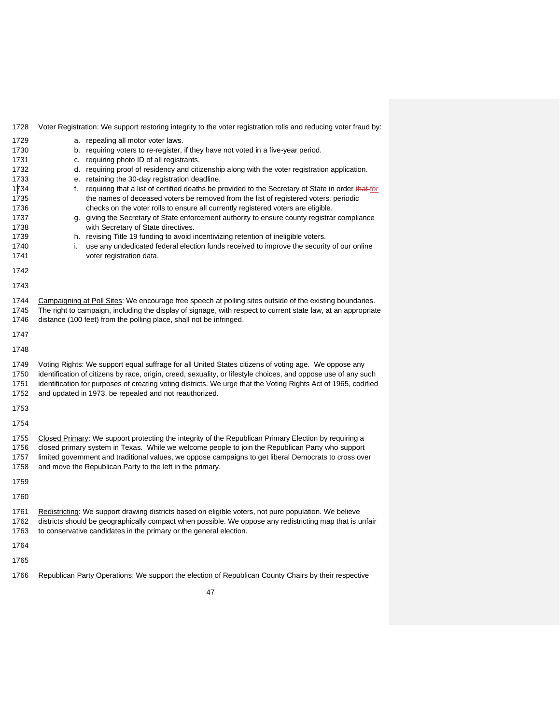| 1728                                                                                                 | Voter Registration: We support restoring integrity to the voter registration rolls and reducing voter fraud by:                                                                                                                                                                                                                                                                                                                                                                                                                                                                                                                                                                                                                                                                                                                                                                                                                                                            |  |
|------------------------------------------------------------------------------------------------------|----------------------------------------------------------------------------------------------------------------------------------------------------------------------------------------------------------------------------------------------------------------------------------------------------------------------------------------------------------------------------------------------------------------------------------------------------------------------------------------------------------------------------------------------------------------------------------------------------------------------------------------------------------------------------------------------------------------------------------------------------------------------------------------------------------------------------------------------------------------------------------------------------------------------------------------------------------------------------|--|
| 1729<br>1730<br>1731<br>1732<br>1733<br>1734<br>1735<br>1736<br>1737<br>1738<br>1739<br>1740<br>1741 | a. repealing all motor voter laws.<br>b. requiring voters to re-register, if they have not voted in a five-year period.<br>c. requiring photo ID of all registrants.<br>d. requiring proof of residency and citizenship along with the voter registration application.<br>e. retaining the 30-day registration deadline.<br>f. requiring that a list of certified deaths be provided to the Secretary of State in order that for<br>the names of deceased voters be removed from the list of registered voters. periodic<br>checks on the voter rolls to ensure all currently registered voters are eligible.<br>g. giving the Secretary of State enforcement authority to ensure county registrar compliance<br>with Secretary of State directives.<br>h. revising Title 19 funding to avoid incentivizing retention of ineligible voters.<br>use any undedicated federal election funds received to improve the security of our online<br>i.<br>voter registration data. |  |
| 1742                                                                                                 |                                                                                                                                                                                                                                                                                                                                                                                                                                                                                                                                                                                                                                                                                                                                                                                                                                                                                                                                                                            |  |
| 1743<br>1744<br>1745<br>1746                                                                         | Campaigning at Poll Sites: We encourage free speech at polling sites outside of the existing boundaries.<br>The right to campaign, including the display of signage, with respect to current state law, at an appropriate<br>distance (100 feet) from the polling place, shall not be infringed.                                                                                                                                                                                                                                                                                                                                                                                                                                                                                                                                                                                                                                                                           |  |
| 1747                                                                                                 |                                                                                                                                                                                                                                                                                                                                                                                                                                                                                                                                                                                                                                                                                                                                                                                                                                                                                                                                                                            |  |
| 1748                                                                                                 |                                                                                                                                                                                                                                                                                                                                                                                                                                                                                                                                                                                                                                                                                                                                                                                                                                                                                                                                                                            |  |
| 1749<br>1750<br>1751<br>1752                                                                         | Voting Rights: We support equal suffrage for all United States citizens of voting age. We oppose any<br>identification of citizens by race, origin, creed, sexuality, or lifestyle choices, and oppose use of any such<br>identification for purposes of creating voting districts. We urge that the Voting Rights Act of 1965, codified<br>and updated in 1973, be repealed and not reauthorized.                                                                                                                                                                                                                                                                                                                                                                                                                                                                                                                                                                         |  |
| 1753                                                                                                 |                                                                                                                                                                                                                                                                                                                                                                                                                                                                                                                                                                                                                                                                                                                                                                                                                                                                                                                                                                            |  |
| 1754                                                                                                 |                                                                                                                                                                                                                                                                                                                                                                                                                                                                                                                                                                                                                                                                                                                                                                                                                                                                                                                                                                            |  |
| 1755<br>1756<br>1757<br>1758                                                                         | Closed Primary: We support protecting the integrity of the Republican Primary Election by requiring a<br>closed primary system in Texas. While we welcome people to join the Republican Party who support<br>limited government and traditional values, we oppose campaigns to get liberal Democrats to cross over<br>and move the Republican Party to the left in the primary.                                                                                                                                                                                                                                                                                                                                                                                                                                                                                                                                                                                            |  |
| 1759                                                                                                 |                                                                                                                                                                                                                                                                                                                                                                                                                                                                                                                                                                                                                                                                                                                                                                                                                                                                                                                                                                            |  |
| 1760                                                                                                 |                                                                                                                                                                                                                                                                                                                                                                                                                                                                                                                                                                                                                                                                                                                                                                                                                                                                                                                                                                            |  |
| 1761<br>1762<br>1763                                                                                 | Redistricting: We support drawing districts based on eligible voters, not pure population. We believe<br>districts should be geographically compact when possible. We oppose any redistricting map that is unfair<br>to conservative candidates in the primary or the general election.                                                                                                                                                                                                                                                                                                                                                                                                                                                                                                                                                                                                                                                                                    |  |
| 1764                                                                                                 |                                                                                                                                                                                                                                                                                                                                                                                                                                                                                                                                                                                                                                                                                                                                                                                                                                                                                                                                                                            |  |
| 1765                                                                                                 |                                                                                                                                                                                                                                                                                                                                                                                                                                                                                                                                                                                                                                                                                                                                                                                                                                                                                                                                                                            |  |
| 1766                                                                                                 | Republican Party Operations: We support the election of Republican County Chairs by their respective                                                                                                                                                                                                                                                                                                                                                                                                                                                                                                                                                                                                                                                                                                                                                                                                                                                                       |  |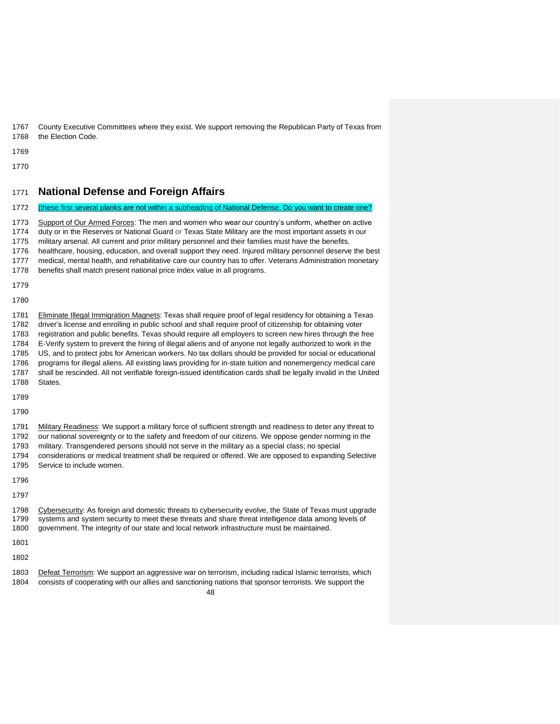County Executive Committees where they exist. We support removing the Republican Party of Texas from the Election Code.

#### **National Defense and Foreign Affairs**

1772 (these first several planks are not within a subheading of National Defense. Do you want to create one? Support of Our Armed Forces: The men and women who wear our country's uniform, whether on active duty or in the Reserves or National Guard or Texas State Military are the most important assets in our military arsenal. All current and prior military personnel and their families must have the benefits, healthcare, housing, education, and overall support they need. Injured military personnel deserve the best medical, mental health, and rehabilitative care our country has to offer. Veterans Administration monetary benefits shall match present national price index value in all programs. 1781 Eliminate Illegal Immigration Magnets: Texas shall require proof of legal residency for obtaining a Texas driver's license and enrolling in public school and shall require proof of citizenship for obtaining voter registration and public benefits. Texas should require all employers to screen new hires through the free E-Verify system to prevent the hiring of illegal aliens and of anyone not legally authorized to work in the US, and to protect jobs for American workers. No tax dollars should be provided for social or educational programs for illegal aliens. All existing laws providing for in-state tuition and nonemergency medical care shall be rescinded. All not verifiable foreign-issued identification cards shall be legally invalid in the United States. 1791 Military Readiness: We support a military force of sufficient strength and readiness to deter any threat to our national sovereignty or to the safety and freedom of our citizens. We oppose gender norming in the military. Transgendered persons should not serve in the military as a special class; no special considerations or medical treatment shall be required or offered. We are opposed to expanding Selective Service to include women. 1798 Cybersecurity: As foreign and domestic threats to cybersecurity evolve, the State of Texas must upgrade systems and system security to meet these threats and share threat intelligence data among levels of government. The integrity of our state and local network infrastructure must be maintained. 1803 Defeat Terrorism: We support an aggressive war on terrorism, including radical Islamic terrorists, which consists of cooperating with our allies and sanctioning nations that sponsor terrorists. We support the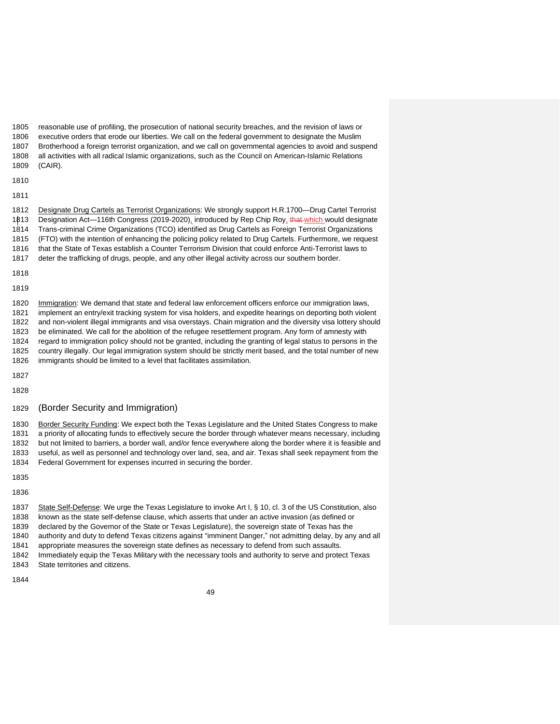reasonable use of profiling, the prosecution of national security breaches, and the revision of laws or executive orders that erode our liberties. We call on the federal government to designate the Muslim Brotherhood a foreign terrorist organization, and we call on governmental agencies to avoid and suspend all activities with all radical Islamic organizations, such as the Council on American-Islamic Relations (CAIR).

### 

 Designate Drug Cartels as Terrorist Organizations: We strongly support H.R.1700—Drug Cartel Terrorist Designation Act—116th Congress (2019-2020), introduced by Rep Chip Roy, that which would designate Trans-criminal Crime Organizations (TCO) identified as Drug Cartels as Foreign Terrorist Organizations (FTO) with the intention of enhancing the policing policy related to Drug Cartels. Furthermore, we request that the State of Texas establish a Counter Terrorism Division that could enforce Anti-Terrorist laws to

deter the trafficking of drugs, people, and any other illegal activity across our southern border.

### 

 Immigration: We demand that state and federal law enforcement officers enforce our immigration laws, implement an entry/exit tracking system for visa holders, and expedite hearings on deporting both violent and non-violent illegal immigrants and visa overstays. Chain migration and the diversity visa lottery should be eliminated. We call for the abolition of the refugee resettlement program. Any form of amnesty with regard to immigration policy should not be granted, including the granting of legal status to persons in the country illegally. Our legal immigration system should be strictly merit based, and the total number of new immigrants should be limited to a level that facilitates assimilation.

#### (Border Security and Immigration)

 Border Security Funding: We expect both the Texas Legislature and the United States Congress to make a priority of allocating funds to effectively secure the border through whatever means necessary, including but not limited to barriers, a border wall, and/or fence everywhere along the border where it is feasible and useful, as well as personnel and technology over land, sea, and air. Texas shall seek repayment from the Federal Government for expenses incurred in securing the border.

1837 State Self-Defense: We urge the Texas Legislature to invoke Art I, § 10, cl. 3 of the US Constitution, also

known as the state self-defense clause, which asserts that under an active invasion (as defined or

declared by the Governor of the State or Texas Legislature), the sovereign state of Texas has the

authority and duty to defend Texas citizens against "imminent Danger," not admitting delay, by any and all

appropriate measures the sovereign state defines as necessary to defend from such assaults.

 Immediately equip the Texas Military with the necessary tools and authority to serve and protect Texas State territories and citizens.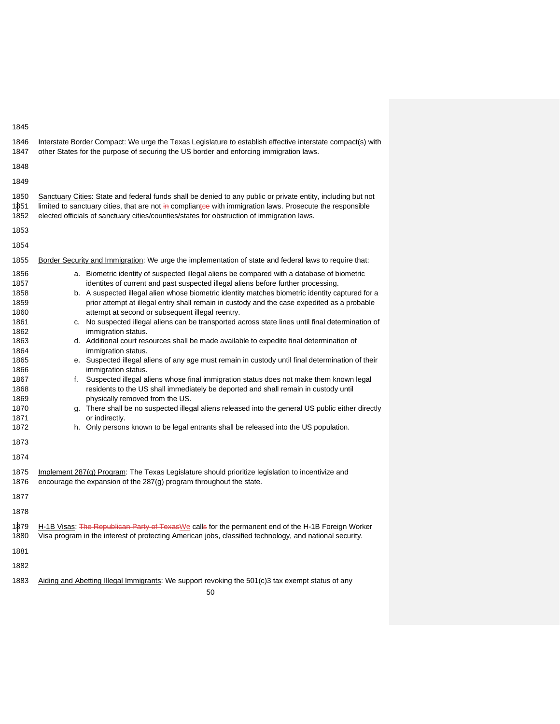| 1846<br>1847                                                                                                                                         | Interstate Border Compact: We urge the Texas Legislature to establish effective interstate compact(s) with<br>other States for the purpose of securing the US border and enforcing immigration laws.                                                                                                                                                                                                                                                                                                                                                                                                                                                                                                                                                                                                                                                                                                                                                                                                                                                                                                                                                                                                                                                  |
|------------------------------------------------------------------------------------------------------------------------------------------------------|-------------------------------------------------------------------------------------------------------------------------------------------------------------------------------------------------------------------------------------------------------------------------------------------------------------------------------------------------------------------------------------------------------------------------------------------------------------------------------------------------------------------------------------------------------------------------------------------------------------------------------------------------------------------------------------------------------------------------------------------------------------------------------------------------------------------------------------------------------------------------------------------------------------------------------------------------------------------------------------------------------------------------------------------------------------------------------------------------------------------------------------------------------------------------------------------------------------------------------------------------------|
| 1848                                                                                                                                                 |                                                                                                                                                                                                                                                                                                                                                                                                                                                                                                                                                                                                                                                                                                                                                                                                                                                                                                                                                                                                                                                                                                                                                                                                                                                       |
| 1849                                                                                                                                                 |                                                                                                                                                                                                                                                                                                                                                                                                                                                                                                                                                                                                                                                                                                                                                                                                                                                                                                                                                                                                                                                                                                                                                                                                                                                       |
| 1850<br>1851<br>1852                                                                                                                                 | Sanctuary Cities: State and federal funds shall be denied to any public or private entity, including but not<br>limited to sanctuary cities, that are not $\frac{1}{10}$ compliantee with immigration laws. Prosecute the responsible<br>elected officials of sanctuary cities/counties/states for obstruction of immigration laws.                                                                                                                                                                                                                                                                                                                                                                                                                                                                                                                                                                                                                                                                                                                                                                                                                                                                                                                   |
| 1853<br>1854                                                                                                                                         |                                                                                                                                                                                                                                                                                                                                                                                                                                                                                                                                                                                                                                                                                                                                                                                                                                                                                                                                                                                                                                                                                                                                                                                                                                                       |
| 1855                                                                                                                                                 | Border Security and Immigration: We urge the implementation of state and federal laws to require that:                                                                                                                                                                                                                                                                                                                                                                                                                                                                                                                                                                                                                                                                                                                                                                                                                                                                                                                                                                                                                                                                                                                                                |
| 1856<br>1857<br>1858<br>1859<br>1860<br>1861<br>1862<br>1863<br>1864<br>1865<br>1866<br>1867<br>1868<br>1869<br>1870<br>1871<br>1872<br>1873<br>1874 | a. Biometric identity of suspected illegal aliens be compared with a database of biometric<br>identites of current and past suspected illegal aliens before further processing.<br>b. A suspected illegal alien whose biometric identity matches biometric identity captured for a<br>prior attempt at illegal entry shall remain in custody and the case expedited as a probable<br>attempt at second or subsequent illegal reentry.<br>c. No suspected illegal aliens can be transported across state lines until final determination of<br>immigration status.<br>d. Additional court resources shall be made available to expedite final determination of<br>immigration status.<br>e. Suspected illegal aliens of any age must remain in custody until final determination of their<br>immigration status.<br>f. Suspected illegal aliens whose final immigration status does not make them known legal<br>residents to the US shall immediately be deported and shall remain in custody until<br>physically removed from the US.<br>g. There shall be no suspected illegal aliens released into the general US public either directly<br>or indirectly.<br>h. Only persons known to be legal entrants shall be released into the US population. |
| 1875<br>1876                                                                                                                                         | Implement 287(g) Program: The Texas Legislature should prioritize legislation to incentivize and<br>encourage the expansion of the $287(g)$ program throughout the state.                                                                                                                                                                                                                                                                                                                                                                                                                                                                                                                                                                                                                                                                                                                                                                                                                                                                                                                                                                                                                                                                             |
| 1877                                                                                                                                                 |                                                                                                                                                                                                                                                                                                                                                                                                                                                                                                                                                                                                                                                                                                                                                                                                                                                                                                                                                                                                                                                                                                                                                                                                                                                       |
| 1878                                                                                                                                                 |                                                                                                                                                                                                                                                                                                                                                                                                                                                                                                                                                                                                                                                                                                                                                                                                                                                                                                                                                                                                                                                                                                                                                                                                                                                       |
| 1879<br>1880                                                                                                                                         | H-1B Visas: The Republican Party of TexasWe calls for the permanent end of the H-1B Foreign Worker<br>Visa program in the interest of protecting American jobs, classified technology, and national security.                                                                                                                                                                                                                                                                                                                                                                                                                                                                                                                                                                                                                                                                                                                                                                                                                                                                                                                                                                                                                                         |
| 1881                                                                                                                                                 |                                                                                                                                                                                                                                                                                                                                                                                                                                                                                                                                                                                                                                                                                                                                                                                                                                                                                                                                                                                                                                                                                                                                                                                                                                                       |
| 1882                                                                                                                                                 |                                                                                                                                                                                                                                                                                                                                                                                                                                                                                                                                                                                                                                                                                                                                                                                                                                                                                                                                                                                                                                                                                                                                                                                                                                                       |
| 1883                                                                                                                                                 | Aiding and Abetting Illegal Immigrants: We support revoking the 501(c)3 tax exempt status of any                                                                                                                                                                                                                                                                                                                                                                                                                                                                                                                                                                                                                                                                                                                                                                                                                                                                                                                                                                                                                                                                                                                                                      |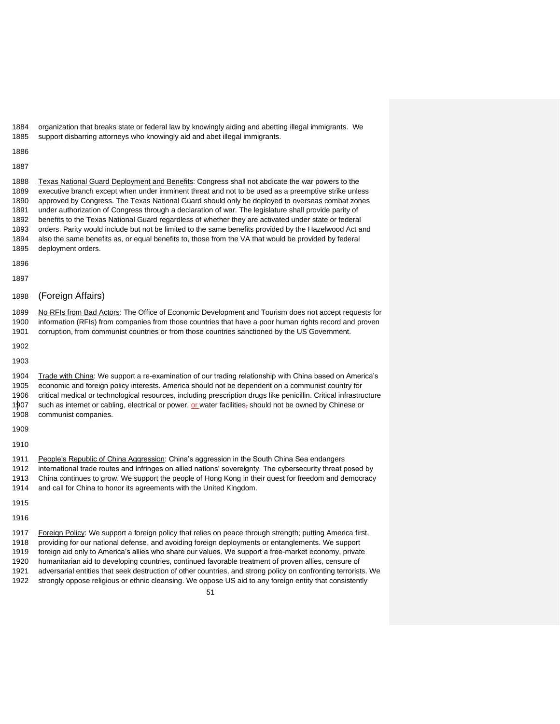organization that breaks state or federal law by knowingly aiding and abetting illegal immigrants. We support disbarring attorneys who knowingly aid and abet illegal immigrants.

1888 Texas National Guard Deployment and Benefits: Congress shall not abdicate the war powers to the executive branch except when under imminent threat and not to be used as a preemptive strike unless approved by Congress. The Texas National Guard should only be deployed to overseas combat zones under authorization of Congress through a declaration of war. The legislature shall provide parity of benefits to the Texas National Guard regardless of whether they are activated under state or federal orders. Parity would include but not be limited to the same benefits provided by the Hazelwood Act and also the same benefits as, or equal benefits to, those from the VA that would be provided by federal deployment orders.

| 1898 | (Foreign Affairs) |  |
|------|-------------------|--|
|      |                   |  |

1899 No RFIs from Bad Actors: The Office of Economic Development and Tourism does not accept requests for information (RFIs) from companies from those countries that have a poor human rights record and proven corruption, from communist countries or from those countries sanctioned by the US Government.

1904 Trade with China: We support a re-examination of our trading relationship with China based on America's economic and foreign policy interests. America should not be dependent on a communist country for critical medical or technological resources, including prescription drugs like penicillin. Critical infrastructure 1907 such as internet or cabling, electrical or power, or water facilities, should not be owned by Chinese or communist companies.

1911 People's Republic of China Aggression: China's aggression in the South China Sea endangers international trade routes and infringes on allied nations' sovereignty. The cybersecurity threat posed by China continues to grow. We support the people of Hong Kong in their quest for freedom and democracy and call for China to honor its agreements with the United Kingdom.

1917 Foreign Policy: We support a foreign policy that relies on peace through strength; putting America first, providing for our national defense, and avoiding foreign deployments or entanglements. We support foreign aid only to America's allies who share our values. We support a free-market economy, private humanitarian aid to developing countries, continued favorable treatment of proven allies, censure of adversarial entities that seek destruction of other countries, and strong policy on confronting terrorists. We

strongly oppose religious or ethnic cleansing. We oppose US aid to any foreign entity that consistently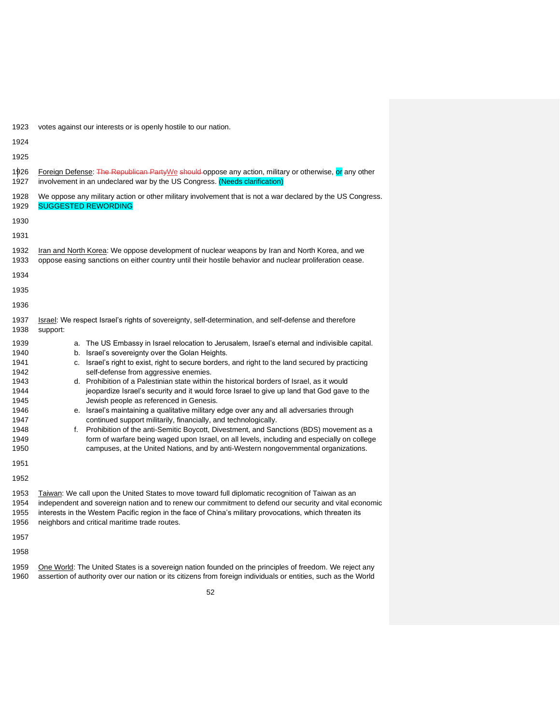| 1923                                                                                                         | votes against our interests or is openly hostile to our nation.                                                                                                                                                                                                                                                                                                                                                                                                                                                                                                                                                                                                                                                                                                                                                                                                                                                                                                                          |  |
|--------------------------------------------------------------------------------------------------------------|------------------------------------------------------------------------------------------------------------------------------------------------------------------------------------------------------------------------------------------------------------------------------------------------------------------------------------------------------------------------------------------------------------------------------------------------------------------------------------------------------------------------------------------------------------------------------------------------------------------------------------------------------------------------------------------------------------------------------------------------------------------------------------------------------------------------------------------------------------------------------------------------------------------------------------------------------------------------------------------|--|
| 1924                                                                                                         |                                                                                                                                                                                                                                                                                                                                                                                                                                                                                                                                                                                                                                                                                                                                                                                                                                                                                                                                                                                          |  |
| 1925                                                                                                         |                                                                                                                                                                                                                                                                                                                                                                                                                                                                                                                                                                                                                                                                                                                                                                                                                                                                                                                                                                                          |  |
| 1926<br>1927                                                                                                 | Foreign Defense: The Republican PartyWe should oppose any action, military or otherwise, or any other<br>involvement in an undeclared war by the US Congress. (Needs clarification)                                                                                                                                                                                                                                                                                                                                                                                                                                                                                                                                                                                                                                                                                                                                                                                                      |  |
| 1928<br>1929                                                                                                 | We oppose any military action or other military involvement that is not a war declared by the US Congress.<br><b>SUGGESTED REWORDING</b>                                                                                                                                                                                                                                                                                                                                                                                                                                                                                                                                                                                                                                                                                                                                                                                                                                                 |  |
| 1930                                                                                                         |                                                                                                                                                                                                                                                                                                                                                                                                                                                                                                                                                                                                                                                                                                                                                                                                                                                                                                                                                                                          |  |
| 1931                                                                                                         |                                                                                                                                                                                                                                                                                                                                                                                                                                                                                                                                                                                                                                                                                                                                                                                                                                                                                                                                                                                          |  |
| 1932<br>1933                                                                                                 | Iran and North Korea: We oppose development of nuclear weapons by Iran and North Korea, and we<br>oppose easing sanctions on either country until their hostile behavior and nuclear proliferation cease.                                                                                                                                                                                                                                                                                                                                                                                                                                                                                                                                                                                                                                                                                                                                                                                |  |
| 1934                                                                                                         |                                                                                                                                                                                                                                                                                                                                                                                                                                                                                                                                                                                                                                                                                                                                                                                                                                                                                                                                                                                          |  |
| 1935                                                                                                         |                                                                                                                                                                                                                                                                                                                                                                                                                                                                                                                                                                                                                                                                                                                                                                                                                                                                                                                                                                                          |  |
| 1936                                                                                                         |                                                                                                                                                                                                                                                                                                                                                                                                                                                                                                                                                                                                                                                                                                                                                                                                                                                                                                                                                                                          |  |
| 1937<br>1938                                                                                                 | Israel: We respect Israel's rights of sovereignty, self-determination, and self-defense and therefore<br>support:                                                                                                                                                                                                                                                                                                                                                                                                                                                                                                                                                                                                                                                                                                                                                                                                                                                                        |  |
| 1939<br>1940<br>1941<br>1942<br>1943<br>1944<br>1945<br>1946<br>1947<br>1948<br>1949<br>1950<br>1951<br>1952 | a. The US Embassy in Israel relocation to Jerusalem, Israel's eternal and indivisible capital.<br>b. Israel's sovereignty over the Golan Heights.<br>c. Israel's right to exist, right to secure borders, and right to the land secured by practicing<br>self-defense from aggressive enemies.<br>d. Prohibition of a Palestinian state within the historical borders of Israel, as it would<br>jeopardize Israel's security and it would force Israel to give up land that God gave to the<br>Jewish people as referenced in Genesis.<br>e. Israel's maintaining a qualitative military edge over any and all adversaries through<br>continued support militarily, financially, and technologically.<br>f. Prohibition of the anti-Semitic Boycott, Divestment, and Sanctions (BDS) movement as a<br>form of warfare being waged upon Israel, on all levels, including and especially on college<br>campuses, at the United Nations, and by anti-Western nongovernmental organizations. |  |
| 1953<br>1954<br>1955<br>1956                                                                                 | Taiwan: We call upon the United States to move toward full diplomatic recognition of Taiwan as an<br>independent and sovereign nation and to renew our commitment to defend our security and vital economic<br>interests in the Western Pacific region in the face of China's military provocations, which threaten its<br>neighbors and critical maritime trade routes.                                                                                                                                                                                                                                                                                                                                                                                                                                                                                                                                                                                                                 |  |
| 1957                                                                                                         |                                                                                                                                                                                                                                                                                                                                                                                                                                                                                                                                                                                                                                                                                                                                                                                                                                                                                                                                                                                          |  |
| 1958                                                                                                         |                                                                                                                                                                                                                                                                                                                                                                                                                                                                                                                                                                                                                                                                                                                                                                                                                                                                                                                                                                                          |  |
| 1959<br>1960                                                                                                 | One World: The United States is a sovereign nation founded on the principles of freedom. We reject any<br>assertion of authority over our nation or its citizens from foreign individuals or entities, such as the World                                                                                                                                                                                                                                                                                                                                                                                                                                                                                                                                                                                                                                                                                                                                                                 |  |